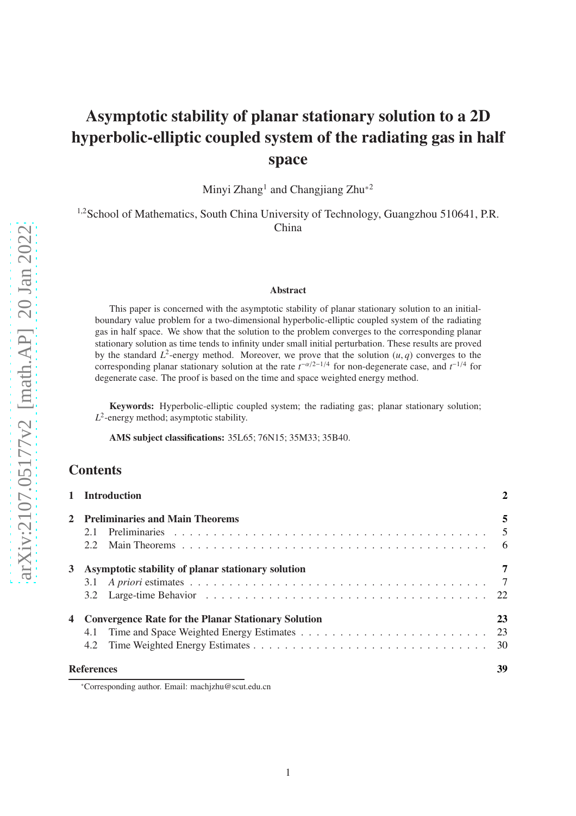# Asymptotic stability of planar stationary solution to a 2D hyperbolic-elliptic coupled system of the radiating gas in half space

Minyi Zhang<sup>1</sup> and Changjiang Zhu<sup>\*2</sup>

<sup>1,2</sup>School of Mathematics, South China University of Technology, Guangzhou 510641, P.R. China

#### Abstract

This paper is concerned with the asymptotic stability of planar stationary solution to an initialboundary value problem for a two-dimensional hyperbolic-elliptic coupled system of the radiating gas in half space. We show that the solution to the problem converges to the corresponding planar stationary solution as time tends to infinity under small initial perturbation. These results are proved by the standard  $L^2$ -energy method. Moreover, we prove that the solution  $(u, q)$  converges to the corresponding planar stationary solution at the rate  $t^{-\alpha/2-1/4}$  for non-degenerate case, and  $t^{-1/4}$  for degenerate case. The proof is based on the time and space weighted energy method.

Keywords: Hyperbolic-elliptic coupled system; the radiating gas; planar stationary solution;  $L^2$ -energy method; asymptotic stability.

AMS subject classifications: 35L65; 76N15; 35M33; 35B40.

## **Contents**

|   | 1 Introduction                                        |                |
|---|-------------------------------------------------------|----------------|
|   | 2 Preliminaries and Main Theorems                     | 5              |
|   | 2.1                                                   |                |
|   | 2.2                                                   |                |
| 3 | Asymptotic stability of planar stationary solution    | $\overline{7}$ |
|   |                                                       |                |
|   |                                                       |                |
|   | 4 Convergence Rate for the Planar Stationary Solution | 23             |
|   | 4.1                                                   |                |
|   |                                                       |                |
|   | <b>References</b>                                     | 39             |
|   |                                                       |                |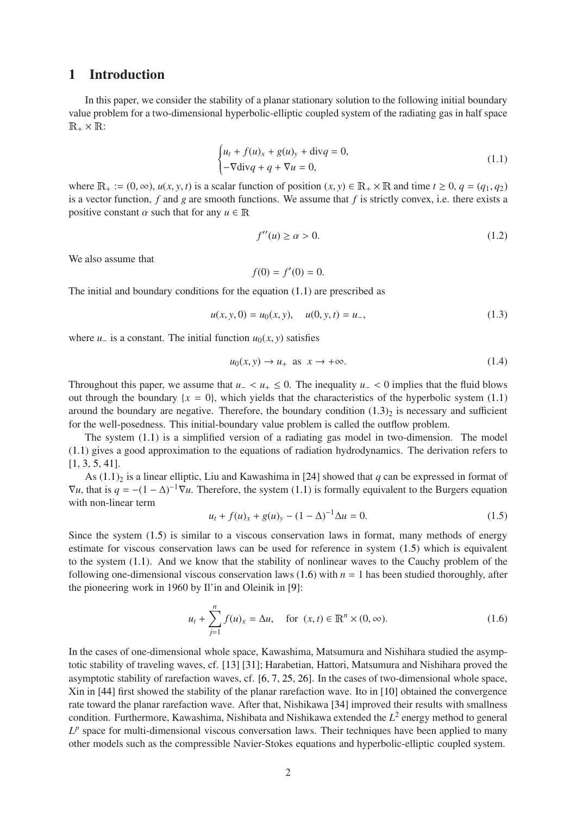## <span id="page-1-0"></span>1 Introduction

In this paper, we consider the stability of a planar stationary solution to the following initial boundary value problem for a two-dimensional hyperbolic-elliptic coupled system of the radiating gas in half space  $\mathbb{R}_+ \times \mathbb{R}$ :

<span id="page-1-1"></span>
$$
\begin{cases} u_t + f(u)_x + g(u)_y + \text{div}q = 0, \\ -\nabla \text{div}q + q + \nabla u = 0, \end{cases}
$$
 (1.1)

where  $\mathbb{R}_+ := (0, \infty), u(x, y, t)$  is a scalar function of position  $(x, y) \in \mathbb{R}_+ \times \mathbb{R}$  and time  $t \geq 0, q = (q_1, q_2)$ is a vector function, *f* and *g* are smooth functions. We assume that *f* is strictly convex, i.e. there exists a positive constant  $\alpha$  such that for any  $u \in \mathbb{R}$ 

<span id="page-1-5"></span>
$$
f''(u) \ge \alpha > 0. \tag{1.2}
$$

We also assume that

$$
f(0) = f'(0) = 0.
$$

The initial and boundary conditions for the equation [\(1.1\)](#page-1-1) are prescribed as

<span id="page-1-2"></span>
$$
u(x, y, 0) = u_0(x, y), \quad u(0, y, t) = u_-, \tag{1.3}
$$

where  $u_-\$  is a constant. The initial function  $u_0(x, y)$  satisfies

<span id="page-1-6"></span>
$$
u_0(x, y) \to u_+ \text{ as } x \to +\infty. \tag{1.4}
$$

Throughout this paper, we assume that  $u_$  <  $u_+$  ≤ 0. The inequality  $u_$  < 0 implies that the fluid blows out through the boundary  $\{x = 0\}$ , which yields that the characteristics of the hyperbolic system [\(1.1\)](#page-1-1) around the boundary are negative. Therefore, the boundary condition  $(1.3)_2$  is necessary and sufficient for the well-posedness. This initial-boundary value problem is called the outflow problem.

The system [\(1.1\)](#page-1-1) is a simplified version of a radiating gas model in two-dimension. The model [\(1.1\)](#page-1-1) gives a good approximation to the equations of radiation hydrodynamics. The derivation refers to [\[1,](#page-38-1) [3,](#page-38-2) [5,](#page-38-3) [41\]](#page-40-0).

As  $(1.1)<sub>2</sub>$  is a linear elliptic, Liu and Kawashima in [\[24\]](#page-39-0) showed that *q* can be expressed in format of  $\nabla u$ , that is  $q = -(1 - \Delta)^{-1} \nabla u$ . Therefore, the system [\(1.1\)](#page-1-1) is formally equivalent to the Burgers equation with non-linear term

<span id="page-1-3"></span>
$$
u_t + f(u)_x + g(u)_y - (1 - \Delta)^{-1} \Delta u = 0.
$$
 (1.5)

Since the system [\(1.5\)](#page-1-3) is similar to a viscous conservation laws in format, many methods of energy estimate for viscous conservation laws can be used for reference in system [\(1.5\)](#page-1-3) which is equivalent to the system [\(1.1\)](#page-1-1). And we know that the stability of nonlinear waves to the Cauchy problem of the following one-dimensional viscous conservation laws  $(1.6)$  with  $n = 1$  has been studied thoroughly, after the pioneering work in 1960 by Il'in and Oleinik in [\[9\]](#page-38-4):

<span id="page-1-4"></span>
$$
u_t + \sum_{j=1}^n f(u)_x = \Delta u
$$
, for  $(x, t) \in \mathbb{R}^n \times (0, \infty)$ . (1.6)

In the cases of one-dimensional whole space, Kawashima, Matsumura and Nishihara studied the asymptotic stability of traveling waves, cf. [\[13\]](#page-39-1) [\[31\]](#page-40-1); Harabetian, Hattori, Matsumura and Nishihara proved the asymptotic stability of rarefaction waves, cf. [\[6,](#page-38-5) [7,](#page-38-6) [25,](#page-39-2) [26\]](#page-39-3). In the cases of two-dimensional whole space, Xin in [\[44\]](#page-40-2) first showed the stability of the planar rarefaction wave. Ito in [\[10\]](#page-38-7) obtained the convergence rate toward the planar rarefaction wave. After that, Nishikawa [\[34\]](#page-40-3) improved their results with smallness condition. Furthermore, Kawashima, Nishibata and Nishikawa extended the *L* 2 energy method to general  $L^p$  space for multi-dimensional viscous conversation laws. Their techniques have been applied to many other models such as the compressible Navier-Stokes equations and hyperbolic-elliptic coupled system.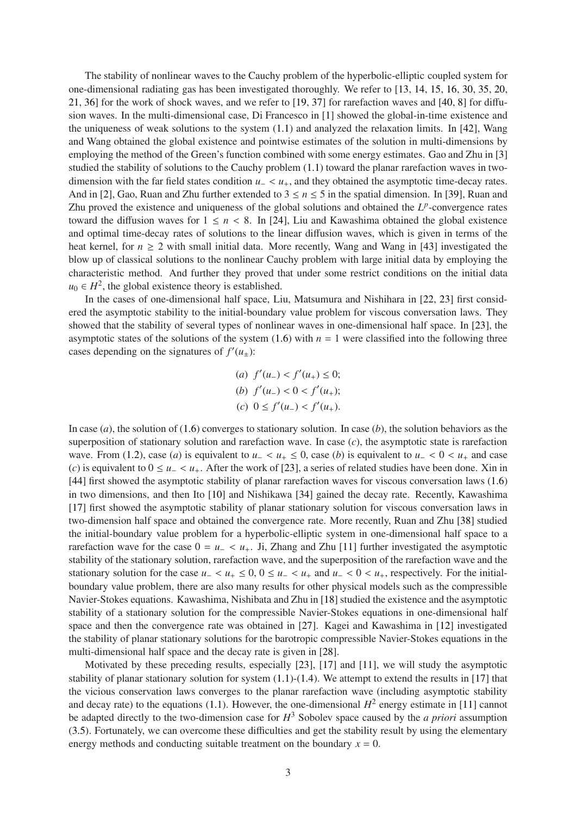The stability of nonlinear waves to the Cauchy problem of the hyperbolic-elliptic coupled system for one-dimensional radiating gas has been investigated thoroughly. We refer to [\[13,](#page-39-1) [14,](#page-39-4) [15,](#page-39-5) [16,](#page-39-6) [30,](#page-40-4) [35,](#page-40-5) [20,](#page-39-7) [21,](#page-39-8) [36\]](#page-40-6) for the work of shock waves, and we refer to [\[19,](#page-39-9) [37\]](#page-40-7) for rarefaction waves and [\[40,](#page-40-8) [8\]](#page-38-8) for diffusion waves. In the multi-dimensional case, Di Francesco in [\[1\]](#page-38-1) showed the global-in-time existence and the uniqueness of weak solutions to the system [\(1.1\)](#page-1-1) and analyzed the relaxation limits. In [\[42\]](#page-40-9), Wang and Wang obtained the global existence and pointwise estimates of the solution in multi-dimensions by employing the method of the Green's function combined with some energy estimates. Gao and Zhu in [\[3\]](#page-38-2) studied the stability of solutions to the Cauchy problem [\(1.1\)](#page-1-1) toward the planar rarefaction waves in twodimension with the far field states condition *u*<sup>−</sup> < *u*+, and they obtained the asymptotic time-decay rates. And in [\[2\]](#page-38-9), Gao, Ruan and Zhu further extended to  $3 \le n \le 5$  in the spatial dimension. In [\[39\]](#page-40-10), Ruan and Zhu proved the existence and uniqueness of the global solutions and obtained the  $L^p$ -convergence rates toward the diffusion waves for  $1 \le n < 8$ . In [\[24\]](#page-39-0), Liu and Kawashima obtained the global existence and optimal time-decay rates of solutions to the linear diffusion waves, which is given in terms of the heat kernel, for  $n \geq 2$  with small initial data. More recently, Wang and Wang in [\[43\]](#page-40-11) investigated the blow up of classical solutions to the nonlinear Cauchy problem with large initial data by employing the characteristic method. And further they proved that under some restrict conditions on the initial data  $u_0 \in H^2$ , the global existence theory is established.

In the cases of one-dimensional half space, Liu, Matsumura and Nishihara in [\[22,](#page-39-10) [23\]](#page-39-11) first considered the asymptotic stability to the initial-boundary value problem for viscous conversation laws. They showed that the stability of several types of nonlinear waves in one-dimensional half space. In [\[23\]](#page-39-11), the asymptotic states of the solutions of the system  $(1.6)$  with  $n = 1$  were classified into the following three cases depending on the signatures of  $f'(u_{\pm})$ :

(a) 
$$
f'(u_-) < f'(u_+) \le 0
$$
;  
\n(b)  $f'(u_-) < 0 < f'(u_+)$ ;  
\n(c)  $0 \le f'(u_-) < f'(u_+)$ .

In case (*a*), the solution of [\(1.6\)](#page-1-4) converges to stationary solution. In case (*b*), the solution behaviors as the superposition of stationary solution and rarefaction wave. In case (*c*), the asymptotic state is rarefaction wave. From [\(1.2\)](#page-1-5), case (*a*) is equivalent to  $u_-\lt u_+\leq 0$ , case (*b*) is equivalent to  $u_-\lt 0\lt u_+$  and case (*c*) is equivalent to  $0 \le u - \langle u_+$ . After the work of [\[23\]](#page-39-11), a series of related studies have been done. Xin in [\[44\]](#page-40-2) first showed the asymptotic stability of planar rarefaction waves for viscous conversation laws [\(1.6\)](#page-1-4) in two dimensions, and then Ito [\[10\]](#page-38-7) and Nishikawa [\[34\]](#page-40-3) gained the decay rate. Recently, Kawashima [\[17\]](#page-39-12) first showed the asymptotic stability of planar stationary solution for viscous conversation laws in two-dimension half space and obtained the convergence rate. More recently, Ruan and Zhu [\[38\]](#page-40-12) studied the initial-boundary value problem for a hyperbolic-elliptic system in one-dimensional half space to a rarefaction wave for the case  $0 = u<sub>-</sub> < u<sub>+</sub>$ . Ji, Zhang and Zhu [\[11\]](#page-39-13) further investigated the asymptotic stability of the stationary solution, rarefaction wave, and the superposition of the rarefaction wave and the stationary solution for the case  $u_+ < u_+ \leq 0$ ,  $0 \leq u_- < u_+$  and  $u_- < 0 < u_+$ , respectively. For the initialboundary value problem, there are also many results for other physical models such as the compressible Navier-Stokes equations. Kawashima, Nishibata and Zhu in [\[18\]](#page-39-14) studied the existence and the asymptotic stability of a stationary solution for the compressible Navier-Stokes equations in one-dimensional half space and then the convergence rate was obtained in [\[27\]](#page-39-15). Kagei and Kawashima in [\[12\]](#page-39-16) investigated the stability of planar stationary solutions for the barotropic compressible Navier-Stokes equations in the multi-dimensional half space and the decay rate is given in [\[28\]](#page-39-17).

Motivated by these preceding results, especially [\[23\]](#page-39-11), [\[17\]](#page-39-12) and [\[11\]](#page-39-13), we will study the asymptotic stability of planar stationary solution for system  $(1.1)-(1.4)$  $(1.1)-(1.4)$  $(1.1)-(1.4)$ . We attempt to extend the results in [\[17\]](#page-39-12) that the vicious conservation laws converges to the planar rarefaction wave (including asymptotic stability and decay rate) to the equations [\(1.1\)](#page-1-1). However, the one-dimensional  $H^2$  energy estimate in [\[11\]](#page-39-13) cannot be adapted directly to the two-dimension case for *H* <sup>3</sup> Sobolev space caused by the *a priori* assumption [\(3.5\)](#page-7-0). Fortunately, we can overcome these difficulties and get the stability result by using the elementary energy methods and conducting suitable treatment on the boundary  $x = 0$ .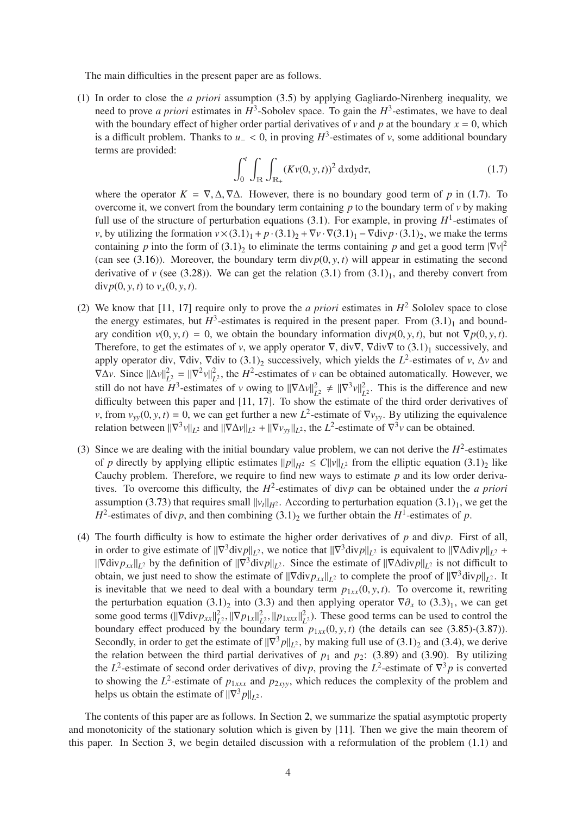The main difficulties in the present paper are as follows.

(1) In order to close the *a priori* assumption [\(3.5\)](#page-7-0) by applying Gagliardo-Nirenberg inequality, we need to prove *a priori* estimates in  $H^3$ -Sobolev space. To gain the  $H^3$ -estimates, we have to deal with the boundary effect of higher order partial derivatives of *v* and *p* at the boundary  $x = 0$ , which is a difficult problem. Thanks to  $u$ <sup>−</sup> < 0, in proving  $H^3$ -estimates of *v*, some additional boundary terms are provided:

<span id="page-3-0"></span>
$$
\int_0^t \int_{\mathbb{R}} \int_{\mathbb{R}_+} (Kv(0, y, t))^2 \, \mathrm{d}x \mathrm{d}y \mathrm{d}\tau,\tag{1.7}
$$

where the operator  $K = \nabla$ ,  $\Delta$ ,  $\nabla$  $\Delta$ . However, there is no boundary good term of *p* in [\(1.7\)](#page-3-0). To overcome it, we convert from the boundary term containing  $p$  to the boundary term of  $v$  by making full use of the structure of perturbation equations  $(3.1)$ . For example, in proving  $H^1$ -estimates of *v*, by utilizing the formation  $v \times (3.1)_1 + p \cdot (3.1)_2 + \nabla v \cdot \nabla (3.1)_1 - \nabla \text{div} p \cdot (3.1)_2$  $v \times (3.1)_1 + p \cdot (3.1)_2 + \nabla v \cdot \nabla (3.1)_1 - \nabla \text{div} p \cdot (3.1)_2$  $v \times (3.1)_1 + p \cdot (3.1)_2 + \nabla v \cdot \nabla (3.1)_1 - \nabla \text{div} p \cdot (3.1)_2$ , we make the terms containing *p* into the form of  $(3.1)_2$  to eliminate the terms containing *p* and get a good term  $|\nabla v|^2$ (can see [\(3.16\)](#page-8-0)). Moreover, the boundary term div $p(0, y, t)$  will appear in estimating the second derivative of  $\nu$  (see [\(3.28\)](#page-10-0)). We can get the relation [\(3.1\)](#page-6-2) from  $(3.1)_1$ , and thereby convert from div $p(0, y, t)$  to  $v_x(0, y, t)$ .

- (2) We know that [\[11,](#page-39-13) [17\]](#page-39-12) require only to prove the *a priori* estimates in  $H^2$  Sololev space to close the energy estimates, but  $H^3$ -estimates is required in the present paper. From  $(3.1)_1$  and boundary condition  $v(0, y, t) = 0$ , we obtain the boundary information div $p(0, y, t)$ , but not  $\nabla p(0, y, t)$ . Therefore, to get the estimates of *v*, we apply operator  $\nabla$ , div $\nabla$ ,  $\nabla$ div $\nabla$  to  $(3.1)_1$  $(3.1)_1$  successively, and apply operator div,  $\nabla$ div,  $\nabla$ div to  $(3.1)_2$  $(3.1)_2$  successively, which yields the *L*<sup>2</sup>-estimates of *v*,  $\Delta v$  and  $\nabla \Delta \nu$ . Since  $||\Delta \nu||_L^2$  $L^2 = ||\nabla^2 v||_L^2$  $L^2$ , the *H*<sup>2</sup>-estimates of *v* can be obtained automatically. However, we still do not have  $H^3$ -estimates of *v* owing to  $\|\nabla \Delta v\|_L^2$  $\frac{2}{L^2}$   $\neq$   $\|\nabla^3 v\|_L^2$  $L^2$ . This is the difference and new difficulty between this paper and [\[11,](#page-39-13) [17\]](#page-39-12). To show the estimate of the third order derivatives of *v*, from  $v_{yy}(0, y, t) = 0$ , we can get further a new  $L^2$ -estimate of  $\nabla v_{yy}$ . By utilizing the equivalence relation between  $\|\nabla^3 v\|_{L^2}$  and  $\|\nabla \Delta v\|_{L^2} + \|\nabla v_{yy}\|_{L^2}$ , the  $L^2$ -estimate of  $\nabla^3 v$  can be obtained.
- (3) Since we are dealing with the initial boundary value problem, we can not derive the  $H^2$ -estimates of *p* directly by applying elliptic estimates  $||p||_{H^2} \le C||v||_{L^2}$  from the elliptic equation  $(3.1)_2$  like Cauchy problem. Therefore, we require to find new ways to estimate *p* and its low order derivatives. To overcome this difficulty, the  $H^2$ -estimates of div*p* can be obtained under the *a priori* assumption [\(3.73\)](#page-17-0) that requires small  $||v_t||_{H^2}$ . According to perturbation equation [\(3.1\)](#page-6-2)<sub>1</sub>, we get the  $H^2$ -estimates of div*p*, and then combining  $(3.1)_2$  we further obtain the  $H^1$ -estimates of *p*.
- (4) The fourth difficulty is how to estimate the higher order derivatives of *p* and div*p*. First of all, in order to give estimate of  $\|\nabla^3 \text{div} p\|_{L^2}$ , we notice that  $\|\nabla^3 \text{div} p\|_{L^2}$  is equivalent to  $\|\nabla \Delta \text{div} p\|_{L^2}$  +  $\|\nabla \text{div} p_{xx}\|_{L^2}$  by the definition of  $\|\nabla^3 \text{div} p\|_{L^2}$ . Since the estimate of  $\|\nabla \Delta \text{div} p\|_{L^2}$  is not difficult to obtain, we just need to show the estimate of  $\|\nabla \text{div} p_{xx}\|_{L^2}$  to complete the proof of  $\|\nabla^3 \text{div} p\|_{L^2}$ . It is inevitable that we need to deal with a boundary term  $p_{1xx}(0, y, t)$ . To overcome it, rewriting the perturbation equation  $(3.1)_2$  $(3.1)_2$  into  $(3.3)$  and then applying operator  $\nabla \partial_x$  to  $(3.3)_1$ , we can get some good terms  $(||\nabla \text{div} p_{xx}||_L^2)$  $L^2$ ,  $\|\nabla p_{1x}\|_L^2$  $L^2$ <sup>2</sup>,  $||p_{1xxx}||^2$  $L<sup>2</sup>$ ). These good terms can be used to control the boundary effect produced by the boundary term  $p_{1xx}(0, y, t)$  (the details can see [\(3.85\)](#page-20-0)-[\(3.87\)](#page-20-1)). Secondly, in order to get the estimate of  $\|\nabla^3 p\|_{L^2}$ , by making full use of [\(3.1\)](#page-6-2)<sub>2</sub> and [\(3.4\)](#page-7-1), we derive the relation between the third partial derivatives of  $p_1$  and  $p_2$ : [\(3.89\)](#page-21-1) and [\(3.90\)](#page-21-2). By utilizing the *L*<sup>2</sup>-estimate of second order derivatives of div*p*, proving the *L*<sup>2</sup>-estimate of  $\nabla^3 p$  is converted to showing the  $L^2$ -estimate of  $p_{1xxx}$  and  $p_{2xyy}$ , which reduces the complexity of the problem and helps us obtain the estimate of  $\|\nabla^3 p\|_{L^2}$ .

The contents of this paper are as follows. In Section [2,](#page-4-0) we summarize the spatial asymptotic property and monotonicity of the stationary solution which is given by [\[11\]](#page-39-13). Then we give the main theorem of this paper. In Section [3,](#page-6-0) we begin detailed discussion with a reformulation of the problem [\(1.1\)](#page-1-1) and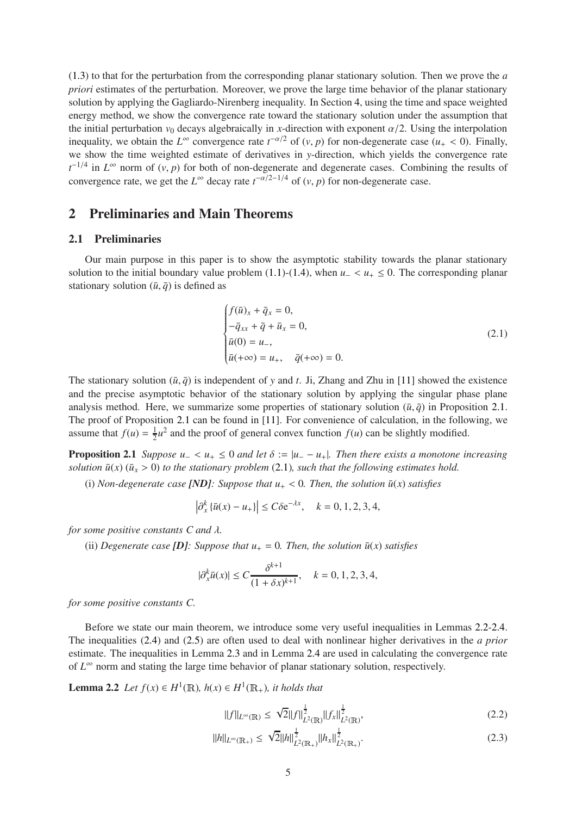[\(1.3\)](#page-1-2) to that for the perturbation from the corresponding planar stationary solution. Then we prove the *a priori* estimates of the perturbation. Moreover, we prove the large time behavior of the planar stationary solution by applying the Gagliardo-Nirenberg inequality. In Section [4,](#page-22-0) using the time and space weighted energy method, we show the convergence rate toward the stationary solution under the assumption that the initial perturbation  $v_0$  decays algebraically in *x*-direction with exponent  $\alpha/2$ . Using the interpolation inequality, we obtain the  $L^{\infty}$  convergence rate  $t^{-\alpha/2}$  of  $(v, p)$  for non-degenerate case  $(u_{+} < 0)$ . Finally, we show the time weighted estimate of derivatives in *y*-direction, which yields the convergence rate  $t^{-1/4}$  in  $L^{\infty}$  norm of  $(v, p)$  for both of non-degenerate and degenerate cases. Combining the results of convergence rate, we get the  $L^{\infty}$  decay rate  $t^{-\alpha/2-1/4}$  of  $(v, p)$  for non-degenerate case.

## <span id="page-4-1"></span><span id="page-4-0"></span>2 Preliminaries and Main Theorems

#### 2.1 Preliminaries

Our main purpose in this paper is to show the asymptotic stability towards the planar stationary solution to the initial boundary value problem [\(1.1\)](#page-1-1)-[\(1.4\)](#page-1-6), when  $u_+ < u_+ \leq 0$ . The corresponding planar stationary solution  $(\bar{u}, \bar{q})$  is defined as

<span id="page-4-3"></span><span id="page-4-2"></span>
$$
\begin{cases}\nf(\bar{u})_x + \bar{q}_x = 0, \\
-\bar{q}_{xx} + \bar{q} + \bar{u}_x = 0, \\
\bar{u}(0) = u_-, \\
\bar{u}(+\infty) = u_+, \quad \bar{q}(+\infty) = 0.\n\end{cases} \tag{2.1}
$$

The stationary solution  $(\bar{u}, \bar{q})$  is independent of *y* and *t*. Ji, Zhang and Zhu in [\[11\]](#page-39-13) showed the existence and the precise asymptotic behavior of the stationary solution by applying the singular phase plane analysis method. Here, we summarize some properties of stationary solution  $(\bar{u}, \bar{q})$  in Proposition 2.[1.](#page-4-2) The proof of Proposition [2](#page-4-2).1 can be found in [\[11\]](#page-39-13). For convenience of calculation, in the following, we assume that  $f(u) = \frac{1}{2}$  $\frac{1}{2}u^2$  and the proof of general convex function  $f(u)$  can be slightly modified.

**Proposition 2.1** *Suppose*  $u_-\lt u_+ \leq 0$  *and let*  $\delta := |u_-\t- u_+|$ *. Then there exists a monotone increasing solution*  $\bar{u}(x)$  ( $\bar{u}_x > 0$ ) *to the stationary problem* [\(2.1\)](#page-4-3)*, such that the following estimates hold.* 

(i) *Non-degenerate case [ND]: Suppose that*  $u_{+} < 0$ *. Then, the solution*  $\bar{u}(x)$  *satisfies* 

$$
\left|\partial_{x}^{k}\{\bar{u}(x) - u_{+}\}\right| \leq C\delta e^{-\lambda x}, \quad k = 0, 1, 2, 3, 4,
$$

*for some positive constants C and* λ*.*

(ii) *Degenerate case [D]: Suppose that*  $u_+ = 0$ *. Then, the solution*  $\bar{u}(x)$  *satisfies* 

$$
|\partial_x^k \bar{u}(x)| \le C \frac{\delta^{k+1}}{(1+\delta x)^{k+1}}, \quad k = 0, 1, 2, 3, 4,
$$

*for some positive constants C.*

Before we state our main theorem, we introduce some very useful inequalities in Lemmas 2.[2-](#page-4-4)2.[4.](#page-5-1) The inequalities [\(2.4\)](#page-5-2) and [\(2.5\)](#page-5-3) are often used to deal with nonlinear higher derivatives in the *a prior* estimate. The inequalities in Lemma [2](#page-5-4).3 and in Lemma [2](#page-5-1).4 are used in calculating the convergence rate of  $L^{\infty}$  norm and stating the large time behavior of planar stationary solution, respectively.

**Lemma 2.2** *Let*  $f(x) \in H^1(\mathbb{R})$ *,*  $h(x) \in H^1(\mathbb{R}_+)$ *, it holds that* 

<span id="page-4-6"></span><span id="page-4-5"></span><span id="page-4-4"></span>
$$
||f||_{L^{\infty}(\mathbb{R})} \leq \sqrt{2}||f||_{L^{2}(\mathbb{R})}^{\frac{1}{2}}||f_{x}||_{L^{2}(\mathbb{R})}^{\frac{1}{2}},
$$
\n(2.2)

$$
||h||_{L^{\infty}(\mathbb{R}_{+})} \leq \sqrt{2}||h||_{L^{2}(\mathbb{R}_{+})}^{\frac{1}{2}}||h_{x}||_{L^{2}(\mathbb{R}_{+})}^{\frac{1}{2}}.
$$
\n(2.3)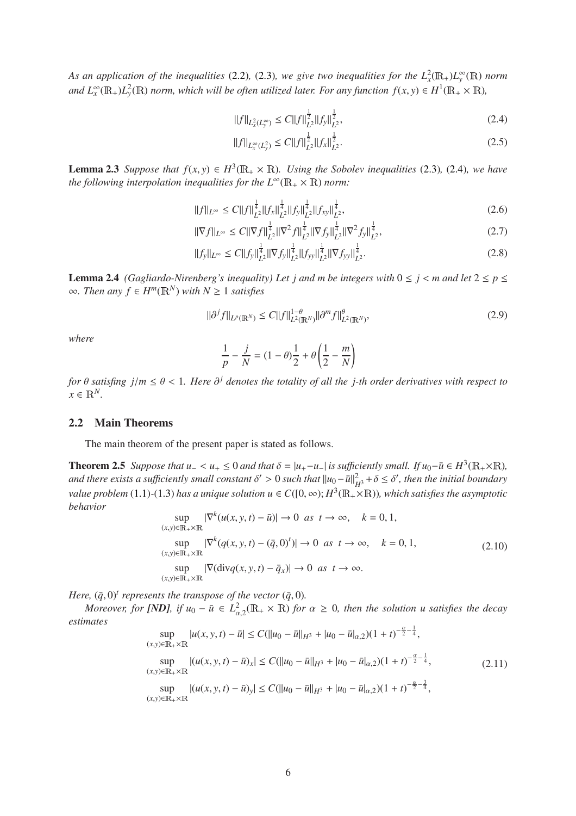As an application of the inequalities [\(2.2\)](#page-4-5), [\(2.3\)](#page-4-6), we give two inequalities for the  $L^2_x(\mathbb{R}_+)L_y^{\infty}(\mathbb{R})$  norm *and*  $L_x^{\infty}(\mathbb{R}_+)L_y^2(\mathbb{R})$  *norm, which will be often utilized later. For any function*  $f(x, y) \in H^1(\mathbb{R}_+ \times \mathbb{R})$ *,* 

<span id="page-5-2"></span>
$$
||f||_{L_x^2(L_y^{\infty})} \le C||f||_{L^2}^{\frac{1}{2}}||f_y||_{L^2}^{\frac{1}{2}},
$$
\n(2.4)

<span id="page-5-9"></span><span id="page-5-8"></span><span id="page-5-3"></span>
$$
||f||_{L_x^{\infty}(L_y^2)} \le C||f||_{L^2}^{\frac{1}{2}}||f_x||_{L^2}^{\frac{1}{2}}.
$$
\n(2.5)

<span id="page-5-4"></span>**Lemma 2.3** *Suppose that*  $f(x, y) \in H^3(\mathbb{R}_+ \times \mathbb{R})$ *. Using the Sobolev inequalities* [\(2.3\)](#page-4-6)*,* (2.4*), we have the following interpolation inequalities for the*  $L^{\infty}(\mathbb{R}_{+} \times \mathbb{R})$  *norm:* 

$$
||f||_{L^{\infty}} \leq C||f||_{L^{2}}^{\frac{1}{4}}||f_{x}||_{L^{2}}^{\frac{1}{4}}||f_{y}||_{L^{2}}^{\frac{1}{4}}||f_{xy}||_{L^{2}}^{\frac{1}{4}},
$$
\n(2.6)

$$
\|\nabla f\|_{L^{\infty}} \le C \|\nabla f\|_{L^{2}}^{\frac{1}{4}} \|\nabla^{2} f\|_{L^{2}}^{\frac{1}{4}} \|\nabla f_{y}\|_{L^{2}}^{\frac{1}{4}} \|\nabla^{2} f_{y}\|_{L^{2}}^{\frac{1}{4}},
$$
\n(2.7)

$$
||f_{y}||_{L^{\infty}} \leq C||f_{y}||_{L^{2}}^{\frac{1}{4}}||\nabla f_{y}||_{L^{2}}^{\frac{1}{4}}||f_{yy}||_{L^{2}}^{\frac{1}{4}}||\nabla f_{yy}||_{L^{2}}^{\frac{1}{4}}.
$$
\n(2.8)

<span id="page-5-1"></span>**Lemma 2.4** *(Gagliardo-Nirenberg's inequality) Let j and m be integers with*  $0 \le j \le m$  *and let*  $2 \le p \le m$  $\infty$ *. Then any*  $f \in H^m(\mathbb{R}^N)$  *with*  $N \ge 1$  *satisfies* 

$$
\|\partial^j f\|_{L^p(\mathbb{R}^N)} \le C \|f\|_{L^2(\mathbb{R}^N)}^{1-\theta} \|\partial^m f\|_{L^2(\mathbb{R}^N)}^\theta, \tag{2.9}
$$

*where*

<span id="page-5-6"></span>
$$
\frac{1}{p} - \frac{j}{N} = (1 - \theta)\frac{1}{2} + \theta\left(\frac{1}{2} - \frac{m}{N}\right)
$$

*for*  $\theta$  *satisfing*  $j/m \leq \theta < 1$ *. Here*  $\partial^{j}$  *denotes the totality of all the j-th order derivatives with respect to*  $x \in \mathbb{R}^N$ .

#### <span id="page-5-0"></span>2.2 Main Theorems

The main theorem of the present paper is stated as follows.

**Theorem 2.5** *Suppose that*  $u_-\lt u_+\leq 0$  *and that*  $\delta = |u_+-u_-|$  *is sufficiently small. If*  $u_0-\bar{u}\in H^3(\mathbb{R}_+\times\mathbb{R})$ *,* and there exists a sufficiently small constant  $\delta' > 0$  such that  $||u_0 - \bar{u}||^2_{H^3} + \delta \leq \delta'$ , then the initial boundary *value problem* [\(1.1\)](#page-1-1)-[\(1.3\)](#page-1-2) *has a unique solution*  $u \in C([0,\infty); H^3(\mathbb{R}_+\times\mathbb{R}))$ *, which satisfies the asymptotic behavior*

<span id="page-5-7"></span>
$$
\sup_{(x,y)\in\mathbb{R}_+\times\mathbb{R}} |\nabla^k(u(x,y,t)-\bar{u})| \to 0 \text{ as } t \to \infty, \quad k = 0, 1,
$$
  
\n
$$
\sup_{(x,y)\in\mathbb{R}_+\times\mathbb{R}} |\nabla^k(q(x,y,t)-(\bar{q},0)^t)| \to 0 \text{ as } t \to \infty, \quad k = 0, 1,
$$
  
\n
$$
\sup_{(x,y)\in\mathbb{R}_+\times\mathbb{R}} |\nabla(\text{div}q(x,y,t)-\bar{q}_x)| \to 0 \text{ as } t \to \infty.
$$
\n(2.10)

*Here,*  $(\bar{q}, 0)^t$  represents the transpose of the vector  $(\bar{q}, 0)$ *.* 

*Moreover, for [ND], if*  $u_0 - \bar{u} \in L^2_{\alpha,2}(\mathbb{R}_+ \times \mathbb{R})$  *for*  $\alpha \geq 0$ *, then the solution u satisfies the decay estimates*

<span id="page-5-5"></span>
$$
\sup_{(x,y)\in\mathbb{R}_+\times\mathbb{R}} |u(x,y,t)-\bar{u}| \le C(||u_0 - \bar{u}||_{H^3} + |u_0 - \bar{u}|_{\alpha,2})(1+t)^{-\frac{\alpha}{2}-\frac{1}{4}},
$$
  
\n
$$
\sup_{(x,y)\in\mathbb{R}_+\times\mathbb{R}} |(u(x,y,t)-\bar{u})_x| \le C(||u_0 - \bar{u}||_{H^3} + |u_0 - \bar{u}|_{\alpha,2})(1+t)^{-\frac{\alpha}{2}-\frac{1}{4}},
$$
  
\n
$$
\sup_{(x,y)\in\mathbb{R}_+\times\mathbb{R}} |(u(x,y,t)-\bar{u})_y| \le C(||u_0 - \bar{u}||_{H^3} + |u_0 - \bar{u}|_{\alpha,2})(1+t)^{-\frac{\alpha}{2}-\frac{3}{4}},
$$
\n(2.11)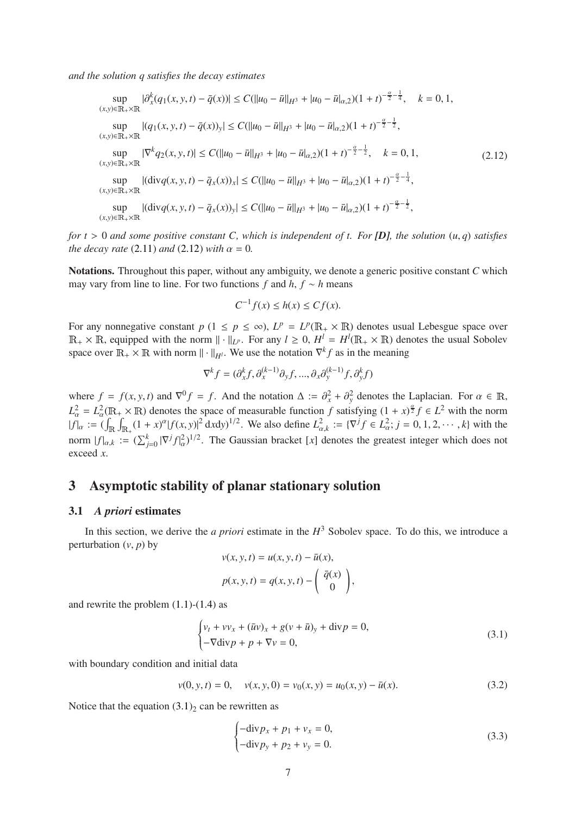*and the solution q satisfies the decay estimates*

<span id="page-6-4"></span>
$$
\sup_{(x,y)\in\mathbb{R}_+\times\mathbb{R}} |\partial_x^k(q_1(x,y,t)-\bar{q}(x))| \le C(||u_0 - \bar{u}||_{H^3} + |u_0 - \bar{u}|_{\alpha,2})(1+t)^{-\frac{\alpha}{2}-\frac{1}{4}}, \quad k = 0, 1,
$$
\n
$$
\sup_{(x,y)\in\mathbb{R}_+\times\mathbb{R}} |(q_1(x,y,t)-\bar{q}(x))_y| \le C(||u_0 - \bar{u}||_{H^3} + |u_0 - \bar{u}|_{\alpha,2})(1+t)^{-\frac{\alpha}{2}-\frac{1}{2}},
$$
\n
$$
\sup_{(x,y)\in\mathbb{R}_+\times\mathbb{R}} |\nabla^k q_2(x,y,t)| \le C(||u_0 - \bar{u}||_{H^3} + |u_0 - \bar{u}|_{\alpha,2})(1+t)^{-\frac{\alpha}{2}-\frac{1}{2}}, \quad k = 0, 1,
$$
\n
$$
\sup_{(x,y)\in\mathbb{R}_+\times\mathbb{R}} |(\text{div}q(x,y,t)-\bar{q}_x(x))_x| \le C(||u_0 - \bar{u}||_{H^3} + |u_0 - \bar{u}|_{\alpha,2})(1+t)^{-\frac{\alpha}{2}-\frac{1}{4}},
$$
\n
$$
\sup_{(x,y)\in\mathbb{R}_+\times\mathbb{R}} |(\text{div}q(x,y,t)-\bar{q}_x(x))_y| \le C(||u_0 - \bar{u}||_{H^3} + |u_0 - \bar{u}|_{\alpha,2})(1+t)^{-\frac{\alpha}{2}-\frac{1}{2}},
$$
\n
$$
\sup_{(x,y)\in\mathbb{R}_+\times\mathbb{R}} |(\text{div}q(x,y,t)-\bar{q}_x(x))_y| \le C(||u_0 - \bar{u}||_{H^3} + |u_0 - \bar{u}|_{\alpha,2})(1+t)^{-\frac{\alpha}{2}-\frac{1}{2}},
$$

*for t* > 0 *and some positive constant C, which is independent of t. For*  $[D]$ *, the solution*  $(u, q)$  *satisfies the decay rate* [\(2.11\)](#page-5-5) *and* [\(2.12\)](#page-6-4) *with*  $\alpha = 0$ *.* 

Notations. Throughout this paper, without any ambiguity, we denote a generic positive constant *C* which may vary from line to line. For two functions  $f$  and  $h$ ,  $f \sim h$  means

$$
C^{-1}f(x) \le h(x) \le Cf(x).
$$

For any nonnegative constant  $p$  ( $1 \leq p \leq \infty$ ),  $L^p = L^p(\mathbb{R}_+ \times \mathbb{R})$  denotes usual Lebesgue space over  $\mathbb{R}_+ \times \mathbb{R}$ , equipped with the norm  $\| \cdot \|_{L^p}$ . For any  $l \geq 0$ ,  $H^l = H^l(\mathbb{R}_+ \times \mathbb{R})$  denotes the usual Sobolev space over  $\mathbb{R}_+ \times \mathbb{R}$  with norm  $\|\cdot\|_{H^l}$ . We use the notation  $\nabla^k f$  as in the meaning

$$
\nabla^k f = (\partial_x^k f, \partial_x^{(k-1)} \partial_y f, ..., \partial_x \partial_y^{(k-1)} f, \partial_y^k f)
$$

where  $f = f(x, y, t)$  and  $\nabla^0 f = f$ . And the notation  $\Delta := \partial_x^2 + \partial_y^2$  denotes the Laplacian. For  $\alpha \in \mathbb{R}$ ,  $L^2_{\alpha} = L^2_{\alpha}(\mathbb{R}_+ \times \mathbb{R})$  denotes the space of measurable function *f* satisfying  $(1 + x)^{\frac{\alpha}{2}} f \in L^2$  with the norm  $|f|_{\alpha} := (\int_{\mathbb{R}} \int_{\mathbb{R}_+} (1+x)^{\alpha} |f(x,y)|^2 dx dy)^{1/2}$ . We also define  $L^2_{\alpha,k} := {\nabla^{j} f \in L^2_{\alpha}}; j = 0, 1, 2, \cdots, k}$  with the norm  $|f|_{\alpha,k} := (\sum_{j=0}^k |\nabla^j f|^2_{\alpha})^{1/2}$ . The Gaussian bracket [*x*] denotes the greatest integer which does not exceed *x*.

## <span id="page-6-0"></span>3 Asymptotic stability of planar stationary solution

#### <span id="page-6-1"></span>3.1 *A priori* estimates

In this section, we derive the *a priori* estimate in the  $H^3$  Sobolev space. To do this, we introduce a perturbation  $(v, p)$  by  $v(x, y, t) = u(x, y, t) - \bar{u}(x)$ 

$$
v(x, y, t) = u(x, y, t) - u(x),
$$
  

$$
p(x, y, t) = q(x, y, t) - \begin{pmatrix} \bar{q}(x) \\ 0 \end{pmatrix},
$$

and rewrite the problem  $(1.1)-(1.4)$  $(1.1)-(1.4)$  as

<span id="page-6-2"></span>
$$
\begin{cases} v_t + v v_x + (\bar{u}v)_x + g(v + \bar{u})_y + \text{div} p = 0, \\ -\nabla \text{div} p + p + \nabla v = 0, \end{cases}
$$
 (3.1)

with boundary condition and initial data

<span id="page-6-5"></span>
$$
v(0, y, t) = 0, \quad v(x, y, 0) = v_0(x, y) = u_0(x, y) - \bar{u}(x).
$$
 (3.2)

Notice that the equation  $(3.1)_2$  $(3.1)_2$  can be rewritten as

<span id="page-6-3"></span>
$$
\begin{cases}\n-\text{div}p_x + p_1 + v_x = 0, \\
-\text{div}p_y + p_2 + v_y = 0.\n\end{cases}
$$
\n(3.3)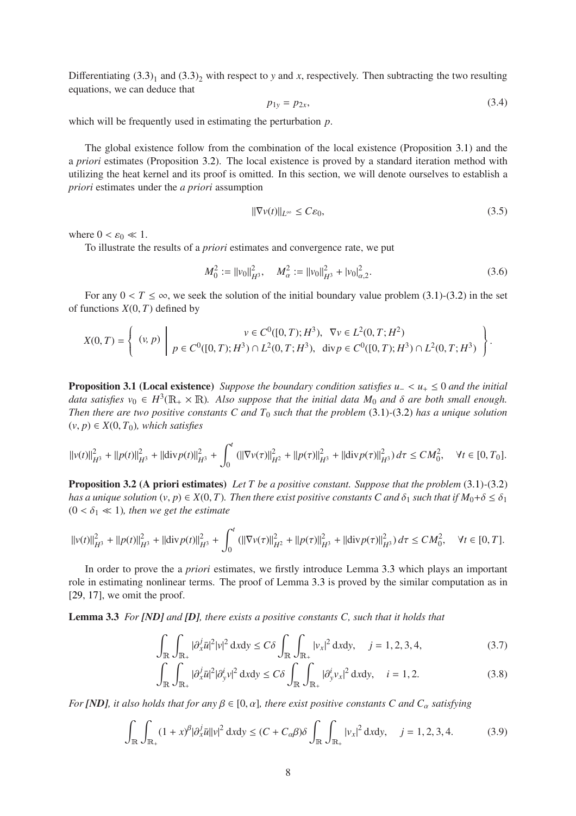Differentiating  $(3.3)<sub>1</sub>$  and  $(3.3)<sub>2</sub>$  with respect to *y* and *x*, respectively. Then subtracting the two resulting equations, we can deduce that

<span id="page-7-1"></span>
$$
p_{1y} = p_{2x}, \t\t(3.4)
$$

which will be frequently used in estimating the perturbation *p*.

The global existence follow from the combination of the local existence (Proposition 3.[1\)](#page-7-2) and the a *priori* estimates (Proposition 3.[2\)](#page-7-3). The local existence is proved by a standard iteration method with utilizing the heat kernel and its proof is omitted. In this section, we will denote ourselves to establish a *priori* estimates under the *a priori* assumption

<span id="page-7-0"></span>
$$
\|\nabla v(t)\|_{L^{\infty}} \leq C\varepsilon_0,\tag{3.5}
$$

where  $0 < \varepsilon_0 \ll 1$ .

To illustrate the results of a *priori* estimates and convergence rate, we put

<span id="page-7-7"></span>
$$
M_0^2 := ||v_0||_{H^3}^2, \quad M_\alpha^2 := ||v_0||_{H^3}^2 + |v_0|_{\alpha,2}^2. \tag{3.6}
$$

For any  $0 < T \le \infty$ , we seek the solution of the initial boundary value problem [\(3.1\)](#page-6-2)-[\(3.2\)](#page-6-5) in the set of functions  $X(0, T)$  defined by

$$
X(0,T) = \left\{ \begin{array}{c} (v,p) \ \end{array} \ \Bigg| \ \begin{array}{c} v \in C^0([0,T);H^3), \ \nabla v \in L^2(0,T;H^2) \\ p \in C^0([0,T);H^3) \cap L^2(0,T;H^3), \ \text{div} \, p \in C^0([0,T);H^3) \cap L^2(0,T;H^3) \end{array} \right\}.
$$

<span id="page-7-2"></span>Proposition 3.1 (Local existence) *Suppose the boundary condition satisfies u*<sup>−</sup> < *u*<sup>+</sup> ≤ 0 *and the initial* data satisfies  $v_0 \in H^3(\mathbb{R}_+ \times \mathbb{R})$ . Also suppose that the initial data  $M_0$  and  $\delta$  are both small enough. *Then there are two positive constants C and*  $T_0$  *such that the problem* [\(3.1\)](#page-6-2)-[\(3.2\)](#page-6-5) *has a unique solution*  $(v, p) \in X(0, T_0)$ *, which satisfies* 

$$
\|v(t)\|_{H^3}^2 + \|p(t)\|_{H^3}^2 + \|div p(t)\|_{H^3}^2 + \int_0^t (||\nabla v(\tau)||_{H^2}^2 + ||p(\tau)||_{H^3}^2 + ||div p(\tau)||_{H^3}^2) d\tau \le CM_0^2, \quad \forall t \in [0, T_0].
$$

<span id="page-7-3"></span>Proposition 3.2 (A priori estimates) *Let T be a positive constant. Suppose that the problem* [\(3.1\)](#page-6-2)*-*[\(3.2\)](#page-6-5) *has a unique solution*  $(v, p) \in X(0, T)$ *. Then there exist positive constants C and*  $\delta_1$  *such that if*  $M_0 + \delta \leq \delta_1$  $(0 < \delta_1 \ll 1)$ *, then we get the estimate* 

$$
\left\|v(t)\right\|^{2}_{H^{3}}+\left\|p(t)\right\|^{2}_{H^{3}}+\left\|{\rm div}\,p(t)\right\|^{2}_{H^{3}}+\int^{t}_{0}\left(\left\|\nabla v(\tau)\right\|^{2}_{H^{2}}+\left\|p(\tau)\right\|^{2}_{H^{3}}+\left\|{\rm div}\,p(\tau)\right\|^{2}_{H^{3}}\right)d\tau\leq CM_{0}^{2},\quad\forall t\in[0,T].
$$

In order to prove the a *priori* estimates, we firstly introduce Lemma [3](#page-7-4).3 which plays an important role in estimating nonlinear terms. The proof of Lemma [3](#page-7-4).3 is proved by the similar computation as in [\[29,](#page-39-18) [17\]](#page-39-12), we omit the proof.

Lemma 3.3 *For [ND] and [D], there exists a positive constants C, such that it holds that*

<span id="page-7-5"></span><span id="page-7-4"></span>
$$
\int_{\mathbb{R}} \int_{\mathbb{R}_+} |\partial_x^j \bar{u}|^2 |v|^2 \, \mathrm{d}x \mathrm{d}y \le C \delta \int_{\mathbb{R}} \int_{\mathbb{R}_+} |v_x|^2 \, \mathrm{d}x \mathrm{d}y, \quad j = 1, 2, 3, 4,\tag{3.7}
$$

<span id="page-7-8"></span>
$$
\int_{\mathbb{R}} \int_{\mathbb{R}_+} |\partial_x^j \bar{u}|^2 |\partial_y^i v|^2 dxdy \le C\delta \int_{\mathbb{R}} \int_{\mathbb{R}_+} |\partial_y^i v_x|^2 dxdy, \quad i = 1, 2. \tag{3.8}
$$

*For [ND], it also holds that for any*  $\beta \in [0, \alpha]$ *, there exist positive constants C and*  $C_{\alpha}$  *satisfying* 

<span id="page-7-6"></span>
$$
\int_{\mathbb{R}} \int_{\mathbb{R}_+} (1+x)^{\beta} |\partial_x^j \bar{u}||\mathbf{v}|^2 d\mathbf{x} d\mathbf{y} \le (C + C_{\alpha}\beta)\delta \int_{\mathbb{R}} \int_{\mathbb{R}_+} |\mathbf{v}_x|^2 d\mathbf{x} d\mathbf{y}, \quad j = 1, 2, 3, 4. \tag{3.9}
$$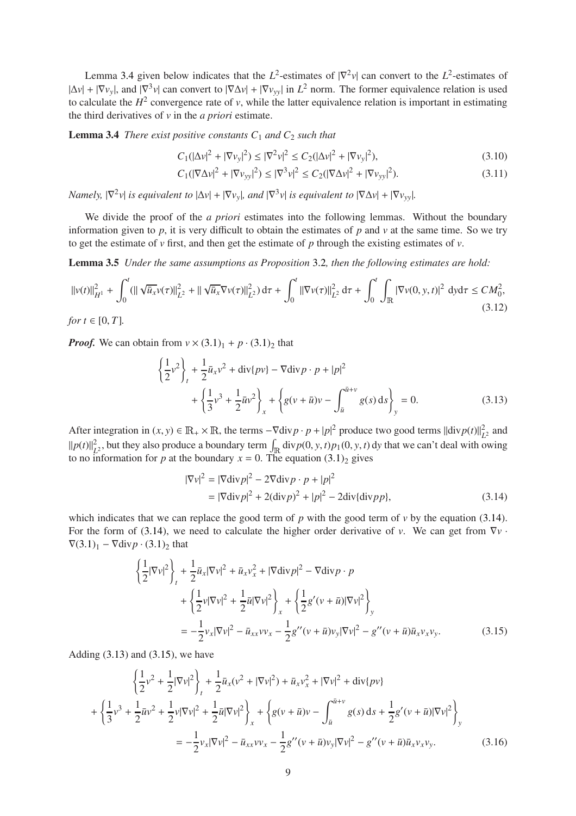Lemma [3](#page-8-1).4 given below indicates that the  $L^2$ -estimates of  $|\nabla^2 v|$  can convert to the  $L^2$ -estimates of  $|\Delta v| + |\nabla v_y|$ , and  $|\nabla^3 v|$  can convert to  $|\nabla \Delta v| + |\nabla v_{yy}|$  in  $L^2$  norm. The former equivalence relation is used to calculate the  $H^2$  convergence rate of *v*, while the latter equivalence relation is important in estimating the third derivatives of *v* in the *a priori* estimate.

**Lemma 3.4** *There exist positive constants*  $C_1$  *and*  $C_2$  *such that* 

<span id="page-8-7"></span><span id="page-8-1"></span>
$$
C_1(|\Delta v|^2 + |\nabla v_y|^2) \le |\nabla^2 v|^2 \le C_2(|\Delta v|^2 + |\nabla v_y|^2),\tag{3.10}
$$

<span id="page-8-6"></span>
$$
C_1(|\nabla \Delta v|^2 + |\nabla v_{yy}|^2) \le |\nabla^3 v|^2 \le C_2(|\nabla \Delta v|^2 + |\nabla v_{yy}|^2). \tag{3.11}
$$

*Namely,*  $|\nabla^2 v|$  *is equivalent to*  $|\Delta v| + |\nabla v_y|$ *, and*  $|\nabla^3 v|$  *is equivalent to*  $|\nabla \Delta v| + |\nabla v_{yy}|$ *.* 

We divide the proof of the *a priori* estimates into the following lemmas. Without the boundary information given to  $p$ , it is very difficult to obtain the estimates of  $p$  and  $v$  at the same time. So we try to get the estimate of *v* first, and then get the estimate of *p* through the existing estimates of *v*.

Lemma 3.5 *Under the same assumptions as Proposition* [3](#page-7-3).2*, then the following estimates are hold:*

<span id="page-8-5"></span>
$$
||v(t)||_{H^{1}}^{2} + \int_{0}^{t} (||\sqrt{\bar{u}_{x}}v(\tau)||_{L^{2}}^{2} + ||\sqrt{\bar{u}_{x}}\nabla v(\tau)||_{L^{2}}^{2}) d\tau + \int_{0}^{t} ||\nabla v(\tau)||_{L^{2}}^{2} d\tau + \int_{0}^{t} \int_{\mathbb{R}} |\nabla v(0, y, t)|^{2} dy d\tau \le CM_{0}^{2},
$$
  
(3.12)

*Proof.* We can obtain from  $v \times (3.1)_1 + p \cdot (3.1)_2$  $v \times (3.1)_1 + p \cdot (3.1)_2$  $v \times (3.1)_1 + p \cdot (3.1)_2$  that

<span id="page-8-3"></span>
$$
\left\{\frac{1}{2}v^2\right\}_t + \frac{1}{2}\bar{u}_xv^2 + \text{div}\{pv\} - \nabla \text{div}p \cdot p + |p|^2
$$
  
+ 
$$
\left\{\frac{1}{3}v^3 + \frac{1}{2}\bar{u}v^2\right\}_x + \left\{g(v+\bar{u})v - \int_{\bar{u}}^{\bar{u}+v} g(s) \,ds\right\}_y = 0.
$$
 (3.13)

After integration in  $(x, y) \in \mathbb{R}_+ \times \mathbb{R}$ , the terms  $-\nabla \text{div} p \cdot p + |p|^2$  produce two good terms  $||\text{div} p(t)||_L^2$  $L^2$  and  $||p(t)||_L^2$  $L^2$ , but they also produce a boundary term  $\int_{\mathbb{R}} \text{div}p(0, y, t)p_1(0, y, t) \,dy$  that we can't deal with owing to no information for *p* at the boundary  $x = 0$ . The equation  $(3.1)<sub>2</sub>$  $(3.1)<sub>2</sub>$  gives

<span id="page-8-2"></span>
$$
|\nabla v|^2 = |\nabla \operatorname{div} p|^2 - 2\nabla \operatorname{div} p \cdot p + |p|^2
$$
  
= 
$$
|\nabla \operatorname{div} p|^2 + 2(\operatorname{div} p)^2 + |p|^2 - 2\operatorname{div} {\{\operatorname{div} p\}},
$$
 (3.14)

which indicates that we can replace the good term of  $p$  with the good term of  $\nu$  by the equation [\(3.14\)](#page-8-2). For the form of [\(3.14\)](#page-8-2), we need to calculate the higher order derivative of *v*. We can get from ∇*v* ·  $\nabla$ [\(3.1\)](#page-6-2)<sub>1</sub> –  $\nabla$ div $p \cdot (3.1)_2$  that

$$
\begin{split}\n\left\{\frac{1}{2}|\nabla v|^{2}\right\}_{t} &+ \frac{1}{2}\bar{u}_{x}|\nabla v|^{2} + \bar{u}_{x}v_{x}^{2} + |\nabla \text{div} p|^{2} - \nabla \text{div} p \cdot p \\
&+ \left\{\frac{1}{2}v|\nabla v|^{2} + \frac{1}{2}\bar{u}|\nabla v|^{2}\right\}_{x} + \left\{\frac{1}{2}g'(v+\bar{u})|\nabla v|^{2}\right\}_{y} \\
&= -\frac{1}{2}v_{x}|\nabla v|^{2} - \bar{u}_{xx}v v_{x} - \frac{1}{2}g''(v+\bar{u})v_{y}|\nabla v|^{2} - g''(v+\bar{u})\bar{u}_{x}v_{x}v_{y}.\n\end{split} \tag{3.15}
$$

Adding  $(3.13)$  and  $(3.15)$ , we have

<span id="page-8-4"></span><span id="page-8-0"></span>
$$
\left\{\frac{1}{2}v^2 + \frac{1}{2}|\nabla v|^2\right\}_t + \frac{1}{2}\bar{u}_x(v^2 + |\nabla v|^2) + \bar{u}_x v_x^2 + |\nabla v|^2 + \text{div}\{pv\}
$$
  
+ 
$$
\left\{\frac{1}{3}v^3 + \frac{1}{2}\bar{u}v^2 + \frac{1}{2}v|\nabla v|^2 + \frac{1}{2}\bar{u}|\nabla v|^2\right\}_x + \left\{g(v + \bar{u})v - \int_{\bar{u}}^{\bar{u}+v} g(s) ds + \frac{1}{2}g'(v + \bar{u})|\nabla v|^2\right\}_y
$$
  
= 
$$
-\frac{1}{2}v_x|\nabla v|^2 - \bar{u}_{xx}vv_x - \frac{1}{2}g''(v + \bar{u})v_y|\nabla v|^2 - g''(v + \bar{u})\bar{u}_x v_x v_y.
$$
 (3.16)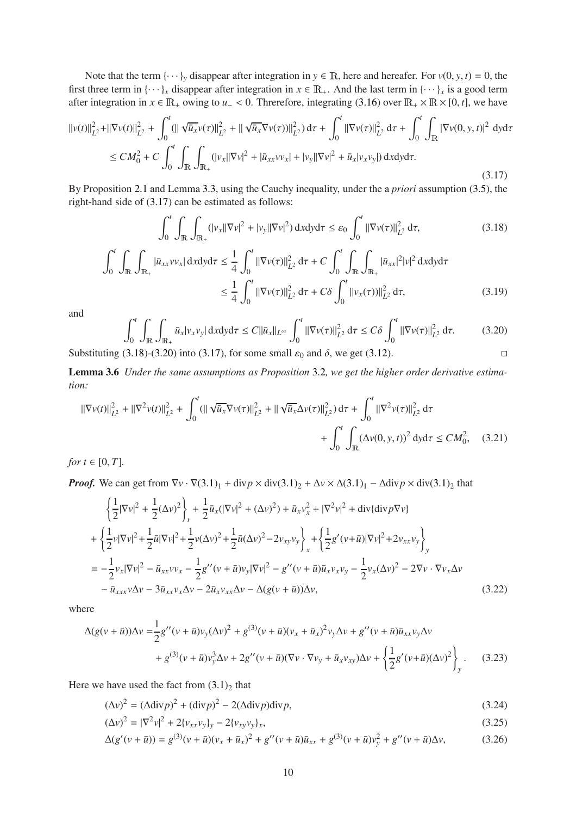Note that the term  $\{\cdots\}$ *y* disappear after integration in  $y \in \mathbb{R}$ , here and hereafer. For  $v(0, y, t) = 0$ , the first three term in  $\{\cdots\}_x$  disappear after integration in  $x \in \mathbb{R}_+$ . And the last term in  $\{\cdots\}_x$  is a good term after integration in *x* ∈  $\mathbb{R}_+$  owing to *u*− < 0. Threrefore, integrating [\(3.16\)](#page-8-0) over  $\mathbb{R}_+ \times \mathbb{R} \times [0, t]$ , we have

<span id="page-9-0"></span>
$$
\|v(t)\|_{L^{2}}^{2} + \|\nabla v(t)\|_{L^{2}}^{2} + \int_{0}^{t} (\|\sqrt{\bar{u}_{x}}v(\tau)\|_{L^{2}}^{2} + \|\sqrt{\bar{u}_{x}}\nabla v(\tau))\|_{L^{2}}^{2}) d\tau + \int_{0}^{t} \|\nabla v(\tau)\|_{L^{2}}^{2} d\tau + \int_{0}^{t} \int_{\mathbb{R}} |\nabla v(0, y, t)|^{2} dy d\tau
$$
  
\n
$$
\le CM_{0}^{2} + C \int_{0}^{t} \int_{\mathbb{R}} \int_{\mathbb{R}_{+}} (|v_{x}||\nabla v|^{2} + |\bar{u}_{xx}v v_{x}| + |v_{y}||\nabla v|^{2} + \bar{u}_{x}|v_{x}v_{y}|) dxdy d\tau.
$$
\n(3.17)

By Proposition [2](#page-4-2).1 and Lemma 3.[3,](#page-7-4) using the Cauchy inequality, under the a *priori* assumption [\(3.5\)](#page-7-0), the right-hand side of [\(3.17\)](#page-9-0) can be estimated as follows:

<span id="page-9-1"></span>
$$
\int_0^t \int_{\mathbb{R}} \int_{\mathbb{R}_+} (|v_x| |\nabla v|^2 + |v_y| |\nabla v|^2) \, \mathrm{d}x \mathrm{d}y \mathrm{d}\tau \leq \varepsilon_0 \int_0^t ||\nabla v(\tau)||_{L^2}^2 \, \mathrm{d}\tau,\tag{3.18}
$$

$$
\int_{0}^{t} \int_{\mathbb{R}} \int_{\mathbb{R}_{+}} |\bar{u}_{xx} v v_{x}| dxdy d\tau \leq \frac{1}{4} \int_{0}^{t} ||\nabla v(\tau)||_{L^{2}}^{2} d\tau + C \int_{0}^{t} \int_{\mathbb{R}} \int_{\mathbb{R}_{+}} |\bar{u}_{xx}|^{2} |v|^{2} dxdy d\tau
$$

$$
\leq \frac{1}{4} \int_{0}^{t} ||\nabla v(\tau)||_{L^{2}}^{2} d\tau + C \delta \int_{0}^{t} ||v_{x}(\tau)||_{L^{2}}^{2} d\tau, \tag{3.19}
$$

and

<span id="page-9-2"></span>
$$
\int_0^t \int_{\mathbb{R}} \int_{\mathbb{R}_+} \bar{u}_x |v_x v_y| \, \mathrm{d}x \mathrm{d}y \mathrm{d}\tau \le C \|\bar{u}_x\|_{L^\infty} \int_0^t \|\nabla v(\tau)\|_{L^2}^2 \, \mathrm{d}\tau \le C \delta \int_0^t \|\nabla v(\tau)\|_{L^2}^2 \, \mathrm{d}\tau. \tag{3.20}
$$

<span id="page-9-6"></span>Substituting [\(3.18\)](#page-9-1)-[\(3.20\)](#page-9-2) into [\(3.17\)](#page-9-0), for some small  $\varepsilon_0$  and  $\delta$ , we get [\(3.12\)](#page-8-5).

Lemma 3.6 *Under the same assumptions as Proposition* [3](#page-7-3).2*, we get the higher order derivative estimation:*

$$
\|\nabla v(t)\|_{L^{2}}^{2} + \|\nabla^{2} v(t)\|_{L^{2}}^{2} + \int_{0}^{t} (\|\sqrt{\bar{u}_{x}}\nabla v(\tau)\|_{L^{2}}^{2} + \|\sqrt{\bar{u}_{x}}\Delta v(\tau)\|_{L^{2}}^{2}) d\tau + \int_{0}^{t} \|\nabla^{2} v(\tau)\|_{L^{2}}^{2} d\tau + \int_{0}^{t} \int_{\mathbb{R}} (\Delta v(0, y, t))^{2} dy d\tau \le CM_{0}^{2}, \quad (3.21)
$$

<span id="page-9-5"></span>*for*  $t \in [0, T]$ *.* 

*Proof.* We can get from  $\nabla v \cdot \nabla (3.1)_1 + \text{div} p \times \text{div}(3.1)_2 + \Delta v \times \Delta (3.1)_1 - \Delta \text{div} p \times \text{div}(3.1)_2$  $\nabla v \cdot \nabla (3.1)_1 + \text{div} p \times \text{div}(3.1)_2 + \Delta v \times \Delta (3.1)_1 - \Delta \text{div} p \times \text{div}(3.1)_2$  $\nabla v \cdot \nabla (3.1)_1 + \text{div} p \times \text{div}(3.1)_2 + \Delta v \times \Delta (3.1)_1 - \Delta \text{div} p \times \text{div}(3.1)_2$  that

$$
\begin{split}\n&\left\{\frac{1}{2}|\nabla v|^{2}+\frac{1}{2}(\Delta v)^{2}\right\}_{t}+\frac{1}{2}\bar{u}_{x}(|\nabla v|^{2}+(\Delta v)^{2})+\bar{u}_{x}v_{x}^{2}+|\nabla^{2}v|^{2}+\text{div}\{\text{div}p\nabla v\} \\
&+\left\{\frac{1}{2}v|\nabla v|^{2}+\frac{1}{2}\bar{u}|\nabla v|^{2}+\frac{1}{2}v(\Delta v)^{2}+\frac{1}{2}\bar{u}(\Delta v)^{2}-2v_{xy}v_{y}\right\}_{x}+\left\{\frac{1}{2}g'(v+\bar{u})|\nabla v|^{2}+2v_{xx}v_{y}\right\}_{y} \\
&=-\frac{1}{2}v_{x}|\nabla v|^{2}-\bar{u}_{xx}vv_{x}-\frac{1}{2}g''(v+\bar{u})v_{y}|\nabla v|^{2}-g''(v+\bar{u})\bar{u}_{x}v_{x}v_{y}-\frac{1}{2}v_{x}(\Delta v)^{2}-2\nabla v\cdot\nabla v_{x}\Delta v \\
&- \bar{u}_{xxx}v\Delta v-3\bar{u}_{xx}v_{x}\Delta v-2\bar{u}_{x}v_{xx}\Delta v-\Delta(g(v+\bar{u}))\Delta v,\n\end{split}
$$
\n(3.22)

<span id="page-9-3"></span>where

$$
\Delta(g(v+\bar{u}))\Delta v = \frac{1}{2}g''(v+\bar{u})v_{y}(\Delta v)^{2} + g^{(3)}(v+\bar{u})(v_{x}+\bar{u}_{x})^{2}v_{y}\Delta v + g''(v+\bar{u})\bar{u}_{xx}v_{y}\Delta v \n+ g^{(3)}(v+\bar{u})v_{y}^{3}\Delta v + 2g''(v+\bar{u})(\nabla v \cdot \nabla v_{y} + \bar{u}_{x}v_{xy})\Delta v + \left\{\frac{1}{2}g'(v+\bar{u})(\Delta v)^{2}\right\}_{y}.
$$
\n(3.23)

Here we have used the fact from  $(3.1)_2$  $(3.1)_2$  that

 $\ddot{\phantom{a}}$ 

$$
(\Delta v)^2 = (\Delta \text{div} \, p)^2 + (\text{div} \, p)^2 - 2(\Delta \text{div} \, p) \text{div} \, p,\tag{3.24}
$$

<span id="page-9-7"></span><span id="page-9-4"></span>
$$
(\Delta v)^2 = |\nabla^2 v|^2 + 2\{v_{xx}v_y\}_y - 2\{v_{xy}v_y\}_x,\tag{3.25}
$$

$$
\Delta(g'(\nu + \bar{u})) = g^{(3)}(\nu + \bar{u})(\nu_x + \bar{u}_x)^2 + g''(\nu + \bar{u})\bar{u}_{xx} + g^{(3)}(\nu + \bar{u})\nu_y^2 + g''(\nu + \bar{u})\Delta\nu, \tag{3.26}
$$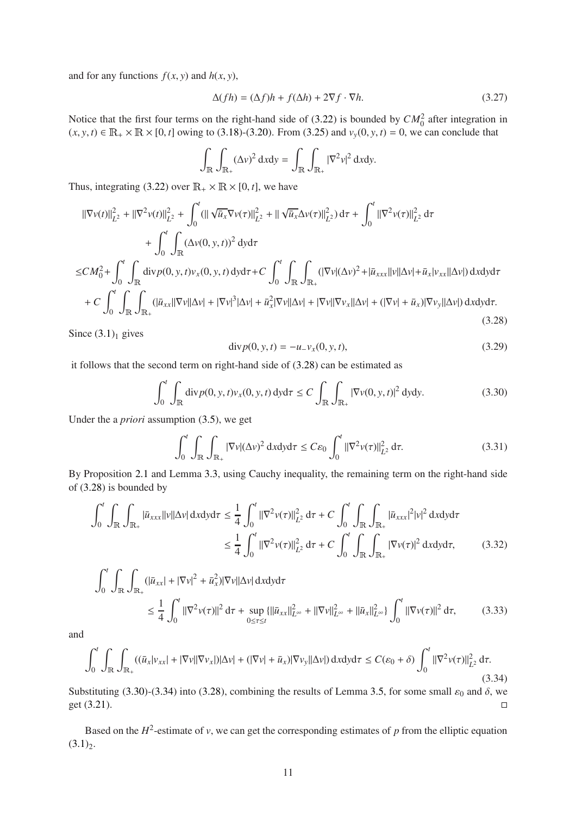and for any functions  $f(x, y)$  and  $h(x, y)$ ,

<span id="page-10-5"></span>
$$
\Delta(fh) = (\Delta f)h + f(\Delta h) + 2\nabla f \cdot \nabla h.
$$
\n(3.27)

Notice that the first four terms on the right-hand side of  $(3.22)$  is bounded by  $CM_0^2$  after integration in  $(x, y, t) \in \mathbb{R}_+ \times \mathbb{R} \times [0, t]$  owing to [\(3.18\)](#page-9-1)-[\(3.20\)](#page-9-2). From [\(3.25\)](#page-9-4) and  $v_y(0, y, t) = 0$ , we can conclude that

$$
\int_{\mathbb{R}} \int_{\mathbb{R}_+} (\Delta v)^2 \, \mathrm{d}x \mathrm{d}y = \int_{\mathbb{R}} \int_{\mathbb{R}_+} |\nabla^2 v|^2 \, \mathrm{d}x \mathrm{d}y.
$$

Thus, integrating [\(3.22\)](#page-9-3) over  $\mathbb{R}_+ \times \mathbb{R} \times [0, t]$ , we have

$$
\|\nabla v(t)\|_{L^{2}}^{2} + \|\nabla^{2} v(t)\|_{L^{2}}^{2} + \int_{0}^{t} (\|\sqrt{\bar{u}_{x}}\nabla v(\tau)\|_{L^{2}}^{2} + \|\sqrt{\bar{u}_{x}}\Delta v(\tau)\|_{L^{2}}^{2}) d\tau + \int_{0}^{t} \|\nabla^{2} v(\tau)\|_{L^{2}}^{2} d\tau + \int_{0}^{t} \int_{\mathbb{R}} (\Delta v(0, y, t))^{2} dy d\tau \leq CM_{0}^{2} + \int_{0}^{t} \int_{\mathbb{R}} \text{div} p(0, y, t) v_{x}(0, y, t) dy d\tau + C \int_{0}^{t} \int_{\mathbb{R}} \int_{\mathbb{R}_{+}} (|\nabla v|(\Delta v)^{2} + |\bar{u}_{xxx}||v||\Delta v| + \bar{u}_{x}|v_{xx}||\Delta v|) dxdy d\tau + C \int_{0}^{t} \int_{\mathbb{R}} \int_{\mathbb{R}_{+}} (|\bar{u}_{xx}||\nabla v||\Delta v| + |\nabla v|^{3}|\Delta v| + \bar{u}_{x}^{2}|\nabla v||\Delta v| + |\nabla v||\nabla v_{x}||\Delta v| + (|\nabla v| + \bar{u}_{x})|\nabla v_{y}||\Delta v|) dxdy d\tau.
$$
\n(3.28)

<span id="page-10-0"></span>Since  $(3.1)$ <sub>1</sub> gives

<span id="page-10-1"></span>
$$
\text{div} \, p(0, y, t) = -u_{-}v_{x}(0, y, t), \tag{3.29}
$$

it follows that the second term on right-hand side of [\(3.28\)](#page-10-0) can be estimated as

<span id="page-10-2"></span>
$$
\int_0^t \int_{\mathbb{R}} \text{div} \, p(0, y, t) v_x(0, y, t) \, \text{d}y \, \text{d}\tau \leq C \int_{\mathbb{R}} \int_{\mathbb{R}_+} |\nabla v(0, y, t)|^2 \, \text{d}y \, \text{d}y. \tag{3.30}
$$

Under the a *priori* assumption [\(3.5\)](#page-7-0), we get

<span id="page-10-6"></span>
$$
\int_0^t \int_{\mathbb{R}} \int_{\mathbb{R}_+} |\nabla v| (\Delta v)^2 \, \mathrm{d}x \mathrm{d}y \mathrm{d}\tau \leq C \varepsilon_0 \int_0^t ||\nabla^2 v(\tau)||_{L^2}^2 \, \mathrm{d}\tau. \tag{3.31}
$$

By Proposition [2](#page-4-2).1 and Lemma 3.[3,](#page-7-4) using Cauchy inequality, the remaining term on the right-hand side of [\(3.28\)](#page-10-0) is bounded by

$$
\int_{0}^{t} \int_{\mathbb{R}} \int_{\mathbb{R}_{+}} |\bar{u}_{xxx}||v||\Delta v| \, dxdy \, d\tau \leq \frac{1}{4} \int_{0}^{t} \|\nabla^{2}v(\tau)\|_{L^{2}}^{2} \, d\tau + C \int_{0}^{t} \int_{\mathbb{R}} \int_{\mathbb{R}_{+}} |\bar{u}_{xxx}|^{2}|v|^{2} \, dxdy \, d\tau
$$
\n
$$
\leq \frac{1}{4} \int_{0}^{t} \|\nabla^{2}v(\tau)\|_{L^{2}}^{2} \, d\tau + C \int_{0}^{t} \int_{\mathbb{R}} \int_{\mathbb{R}_{+}} |\nabla v(\tau)|^{2} \, dxdy \, d\tau, \tag{3.32}
$$

$$
\int_{0}^{t} \int_{\mathbb{R}} \int_{\mathbb{R}_{+}} (|\bar{u}_{xx}| + |\nabla v|^{2} + \bar{u}_{x}^{2}) |\nabla v| |\Delta v| \, dxdy d\tau
$$
\n
$$
\leq \frac{1}{4} \int_{0}^{t} ||\nabla^{2} v(\tau)||^{2} \, d\tau + \sup_{0 \leq \tau \leq t} \{ ||\bar{u}_{xx}||^{2}_{L^{\infty}} + ||\nabla v||^{2}_{L^{\infty}} + ||\bar{u}_{x}||^{2}_{L^{\infty}} \} \int_{0}^{t} ||\nabla v(\tau)||^{2} \, d\tau, \tag{3.33}
$$

and

<span id="page-10-3"></span>
$$
\int_0^t \int_{\mathbb{R}} \int_{\mathbb{R}_+} ((\bar{u}_x | v_{xx}| + |\nabla v| |\nabla v_x|) |\Delta v| + (|\nabla v| + \bar{u}_x) |\nabla v_y| |\Delta v|) dxdy d\tau \le C(\varepsilon_0 + \delta) \int_0^t ||\nabla^2 v(\tau)||_{L^2}^2 d\tau.
$$
\n(3.34)

Substituting [\(3.30\)](#page-10-2)-[\(3.34\)](#page-10-3) into [\(3.28\)](#page-10-0), combining the results of Lemma 3.[5,](#page-8-6) for some small  $\varepsilon_0$  and  $\delta$ , we get (3.21).  $\text{get } (3.21).$  $\text{get } (3.21).$  $\text{get } (3.21).$ 

<span id="page-10-4"></span>Based on the  $H^2$ -estimate of *v*, we can get the corresponding estimates of *p* from the elliptic equation  $(3.1)_2$  $(3.1)_2$ .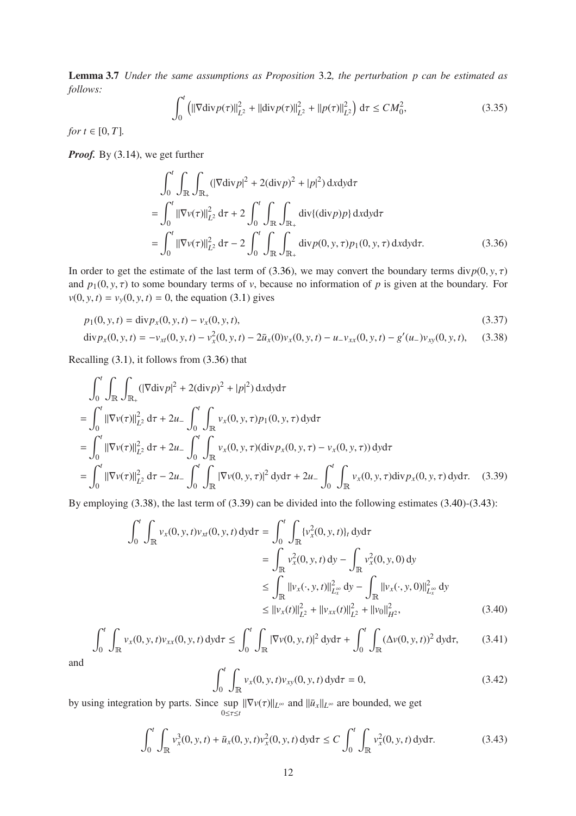Lemma 3.7 *Under the same assumptions as Proposition* [3](#page-7-3).2*, the perturbation p can be estimated as follows:*

<span id="page-11-5"></span>
$$
\int_0^t \left( \|\nabla \text{div} \, p(\tau) \|^2_{L^2} + \|\text{div} \, p(\tau) \|^2_{L^2} + \|p(\tau) \|^2_{L^2} \right) \, \text{d}\tau \le C M_0^2,\tag{3.35}
$$

*for*  $t \in [0, T]$ *.* 

*Proof.* By [\(3.14\)](#page-8-2), we get further

<span id="page-11-1"></span><span id="page-11-0"></span>
$$
\int_{0}^{t} \int_{\mathbb{R}} \int_{\mathbb{R}_{+}} (|\nabla \text{div} p|^{2} + 2(\text{div} p)^{2} + |p|^{2}) \, dxdy d\tau
$$
\n
$$
= \int_{0}^{t} ||\nabla v(\tau)||_{L^{2}}^{2} d\tau + 2 \int_{0}^{t} \int_{\mathbb{R}} \int_{\mathbb{R}_{+}} \text{div}\{(\text{div} p)p\} \, dxdy d\tau
$$
\n
$$
= \int_{0}^{t} ||\nabla v(\tau)||_{L^{2}}^{2} d\tau - 2 \int_{0}^{t} \int_{\mathbb{R}} \int_{\mathbb{R}_{+}} \text{div} p(0, y, \tau) p_{1}(0, y, \tau) \, dxdy d\tau. \tag{3.36}
$$

In order to get the estimate of the last term of [\(3.36\)](#page-11-0), we may convert the boundary terms div $p(0, y, \tau)$ and  $p_1(0, y, \tau)$  to some boundary terms of *v*, because no information of *p* is given at the boundary. For  $v(0, y, t) = v_y(0, y, t) = 0$ , the equation [\(3.1\)](#page-6-2) gives

$$
p_1(0, y, t) = \text{div} p_x(0, y, t) - v_x(0, y, t),
$$
\n(3.37)

$$
\mathrm{div} p_x(0, y, t) = -v_{xt}(0, y, t) - v_x^2(0, y, t) - 2\bar{u}_x(0)v_x(0, y, t) - u_xv_{xx}(0, y, t) - g'(u_x)v_{xy}(0, y, t), \quad (3.38)
$$

Recalling [\(3.1\)](#page-10-1), it follows from [\(3.36\)](#page-11-0) that

$$
\int_{0}^{t} \int_{\mathbb{R}} \int_{\mathbb{R}_{+}} (|\nabla \text{div} p|^{2} + 2(\text{div} p)^{2} + |p|^{2}) \, dxdy \, d\tau
$$
\n
$$
= \int_{0}^{t} ||\nabla v(\tau)||_{L^{2}}^{2} \, d\tau + 2u_{-} \int_{0}^{t} \int_{\mathbb{R}} v_{x}(0, y, \tau) p_{1}(0, y, \tau) \, d\mathbf{y} \, d\tau
$$
\n
$$
= \int_{0}^{t} ||\nabla v(\tau)||_{L^{2}}^{2} \, d\tau + 2u_{-} \int_{0}^{t} \int_{\mathbb{R}} v_{x}(0, y, \tau) (\text{div} p_{x}(0, y, \tau) - v_{x}(0, y, \tau)) \, d\mathbf{y} \, d\tau
$$
\n
$$
= \int_{0}^{t} ||\nabla v(\tau)||_{L^{2}}^{2} \, d\tau - 2u_{-} \int_{0}^{t} \int_{\mathbb{R}} |\nabla v(0, y, \tau)|^{2} \, d\mathbf{y} \, d\tau + 2u_{-} \int_{0}^{t} \int_{\mathbb{R}} v_{x}(0, y, \tau) \, d\mathbf{y} \, p_{x}(0, y, \tau) \, d\mathbf{y} \, d\tau. \tag{3.39}
$$

<span id="page-11-2"></span>By employing [\(3.38\)](#page-11-1), the last term of [\(3.39\)](#page-11-2) can be divided into the following estimates [\(3.40\)](#page-11-3)-[\(3.43\)](#page-11-4):

$$
\int_{0}^{t} \int_{\mathbb{R}} v_{x}(0, y, t) v_{xt}(0, y, t) \, dy \, d\tau = \int_{0}^{t} \int_{\mathbb{R}} \{v_{x}^{2}(0, y, t)\}_{t} \, dy \, d\tau
$$
\n
$$
= \int_{\mathbb{R}} v_{x}^{2}(0, y, t) \, dy - \int_{\mathbb{R}} v_{x}^{2}(0, y, 0) \, dy
$$
\n
$$
\leq \int_{\mathbb{R}} ||v_{x}(\cdot, y, t)||_{L_{x}^{\infty}}^{2} \, dy - \int_{\mathbb{R}} ||v_{x}(\cdot, y, 0)||_{L_{x}^{\infty}}^{2} \, dy
$$
\n
$$
\leq ||v_{x}(t)||_{L_{x}^{2}}^{2} + ||v_{xx}(t)||_{L_{x}^{2}}^{2} + ||v_{0}||_{H_{x}^{2}}^{2}, \tag{3.40}
$$

<span id="page-11-3"></span>
$$
\int_0^t \int_{\mathbb{R}} v_x(0, y, t) v_{xx}(0, y, t) \, dy \, d\tau \le \int_0^t \int_{\mathbb{R}} |\nabla v(0, y, t)|^2 \, dy \, d\tau + \int_0^t \int_{\mathbb{R}} (\Delta v(0, y, t))^2 \, dy \, d\tau, \tag{3.41}
$$

and

$$
\int_0^t \int_{\mathbb{R}} v_x(0, y, t) v_{xy}(0, y, t) \, dy \, d\tau = 0,\tag{3.42}
$$

by using integration by parts. Since  $\sup_{0 \le x} ||\nabla v(\tau)||_{L^{\infty}}$  and  $||\bar{u}_x||_{L^{\infty}}$  are bounded, we get  $0 \leq \tau \leq t$ 

<span id="page-11-4"></span>
$$
\int_0^t \int_{\mathbb{R}} v_x^3(0, y, t) + \bar{u}_x(0, y, t) v_x^2(0, y, t) \, dy \, d\tau \le C \int_0^t \int_{\mathbb{R}} v_x^2(0, y, t) \, dy \, d\tau. \tag{3.43}
$$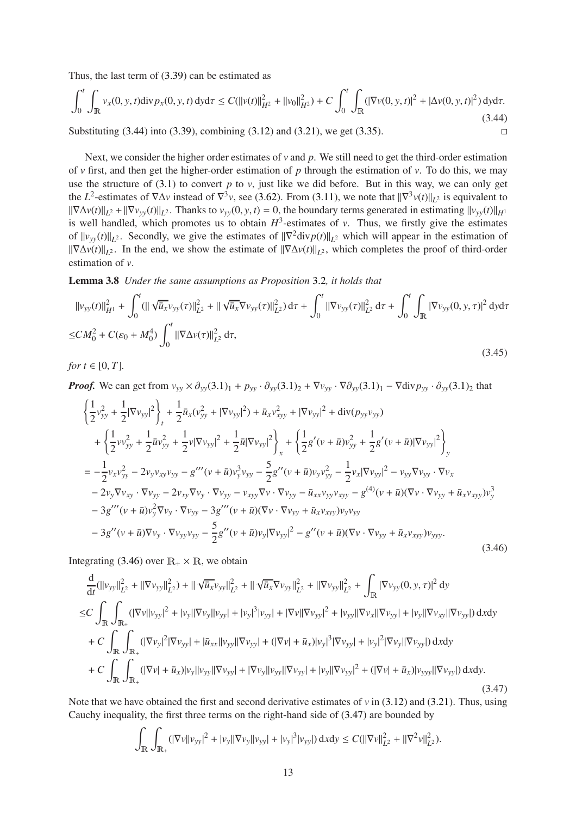Thus, the last term of [\(3.39\)](#page-11-2) can be estimated as

<span id="page-12-0"></span>
$$
\int_0^t \int_{\mathbb{R}} v_x(0, y, t) \text{div} \, p_x(0, y, t) \, \text{d}y \, \text{d}\tau \le C(||v(t)||_{H^2}^2 + ||v_0||_{H^2}^2) + C \int_0^t \int_{\mathbb{R}} (|\nabla v(0, y, t)|^2 + |\Delta v(0, y, t)|^2) \, \text{d}y \, \text{d}\tau. \tag{3.44}
$$

Substituting  $(3.44)$  into  $(3.39)$ , combining  $(3.12)$  and  $(3.21)$ , we get  $(3.35)$ .

Next, we consider the higher order estimates of  $\nu$  and  $p$ . We still need to get the third-order estimation of *v* first, and then get the higher-order estimation of *p* through the estimation of *v*. To do this, we may use the structure of  $(3.1)$  to convert  $p$  to  $v$ , just like we did before. But in this way, we can only get the  $L^2$ -estimates of  $\nabla \Delta v$  instead of  $\nabla^3 v$ , see [\(3.62\)](#page-15-0). From [\(3.11\)](#page-8-7), we note that  $\|\nabla^3 v(t)\|_{L^2}$  is equivalent to  $\|\nabla \Delta v(t)\|_{L^2} + \|\nabla v_{yy}(t)\|_{L^2}$ . Thanks to  $v_{yy}(0, y, t) = 0$ , the boundary terms generated in estimating  $\|v_{yy}(t)\|_{H^1}$ is well handled, which promotes us to obtain  $H^3$ -estimates of *v*. Thus, we firstly give the estimates of  $||v_{yy}(t)||_{L^2}$ . Secondly, we give the estimates of  $||\nabla^2 \text{div} p(t)||_{L^2}$  which will appear in the estimation of  $\|\nabla \Delta v(t)\|_{L^2}$ . In the end, we show the estimate of  $\|\nabla \Delta v(t)\|_{L^2}$ , which completes the proof of third-order estimation of *v*.

<span id="page-12-4"></span>Lemma 3.8 *Under the same assumptions as Proposition* [3](#page-7-3).2*, it holds that*

$$
||v_{yy}(t)||_{H^{1}}^{2} + \int_{0}^{t} (||\sqrt{\bar{u}_{x}}v_{yy}(\tau)||_{L^{2}}^{2} + ||\sqrt{\bar{u}_{x}}\nabla v_{yy}(\tau)||_{L^{2}}^{2}) d\tau + \int_{0}^{t} ||\nabla v_{yy}(\tau)||_{L^{2}}^{2} d\tau + \int_{0}^{t} \int_{\mathbb{R}} |\nabla v_{yy}(0, y, \tau)|^{2} dy d\tau
$$
  
\n
$$
\leq CM_{0}^{2} + C(\varepsilon_{0} + M_{0}^{4}) \int_{0}^{t} ||\nabla \Delta v(\tau)||_{L^{2}}^{2} d\tau,
$$
\n(3.45)

<span id="page-12-3"></span>*for*  $t \in [0, T]$ *.* 

*Proof.* We can get from  $v_{yy} \times \partial_{yy}(3.1)_1 + p_{yy} \cdot \partial_{yy}(3.1)_2 + \nabla v_{yy} \cdot \nabla \partial_{yy}(3.1)_1 - \nabla \text{div} p_{yy} \cdot \partial_{yy}(3.1)_2$  $v_{yy} \times \partial_{yy}(3.1)_1 + p_{yy} \cdot \partial_{yy}(3.1)_2 + \nabla v_{yy} \cdot \nabla \partial_{yy}(3.1)_1 - \nabla \text{div} p_{yy} \cdot \partial_{yy}(3.1)_2$  $v_{yy} \times \partial_{yy}(3.1)_1 + p_{yy} \cdot \partial_{yy}(3.1)_2 + \nabla v_{yy} \cdot \nabla \partial_{yy}(3.1)_1 - \nabla \text{div} p_{yy} \cdot \partial_{yy}(3.1)_2$  that

$$
\begin{split}\n&\left\{\frac{1}{2}v_{yy}^{2}+\frac{1}{2}|\nabla v_{yy}|^{2}\right\}_{t}+\frac{1}{2}\bar{u}_{x}(v_{yy}^{2}+|\nabla v_{yy}|^{2})+\bar{u}_{x}v_{xyy}^{2}+|\nabla v_{yy}|^{2}+\text{div}(p_{yy}v_{yy}) \\
&+\left\{\frac{1}{2}vv_{yy}^{2}+\frac{1}{2}\bar{u}v_{yy}^{2}+\frac{1}{2}v|\nabla v_{yy}|^{2}+\frac{1}{2}\bar{u}|\nabla v_{yy}|^{2}\right\}_{x}+\left\{\frac{1}{2}g'(v+\bar{u})v_{yy}^{2}+\frac{1}{2}g'(v+\bar{u})|\nabla v_{yy}|^{2}\right\}_{y} \\
&=-\frac{1}{2}v_{x}v_{yy}^{2}-2v_{y}v_{xy}v_{yy}-g'''(v+\bar{u})v_{y}^{3}v_{yy}-\frac{5}{2}g''(v+\bar{u})v_{y}v_{yy}^{2}-\frac{1}{2}v_{x}|\nabla v_{yy}|^{2}-v_{yy}\nabla v_{yy}\cdot\nabla v_{x} \\
&-2v_{y}\nabla v_{xy}\cdot\nabla v_{yy}-2v_{xy}\nabla v_{y}\cdot\nabla v_{yy}-v_{xyy}\nabla v\cdot\nabla v_{yy}-\bar{u}_{xx}v_{yy}v_{xyy}-g^{(4)}(v+\bar{u})(\nabla v\cdot\nabla v_{yy}+\bar{u}_{x}v_{xyy})v_{y}^{3} \\
&-3g'''(v+\bar{u})v_{y}^{2}\nabla v_{y}\cdot\nabla v_{yy}-3g'''(v+\bar{u})(\nabla v\cdot\nabla v_{yy}+\bar{u}_{x}v_{xyy})v_{y}v_{yy} \\
&-3g''(v+\bar{u})\nabla v_{y}\cdot\nabla v_{yy}v_{yy}-\frac{5}{2}g''(v+\bar{u})v_{y}|\nabla v_{yy}|^{2}-g''(v+\bar{u})(\nabla v\cdot\nabla v_{yy}+\bar{u}_{x}v_{xyy})v_{yyy}.\n\end{split}
$$
\n(3.46)

<span id="page-12-1"></span>Integrating [\(3.46\)](#page-12-1) over  $\mathbb{R}_+ \times \mathbb{R}$ , we obtain

$$
\frac{d}{dt}(\|v_{yy}\|_{L^2}^2 + \|\nabla v_{yy}\|_{L^2}^2) + \|\sqrt{\bar{u}_x}v_{yy}\|_{L^2}^2 + \|\sqrt{\bar{u}_x}\nabla v_{yy}\|_{L^2}^2 + \|\nabla v_{yy}\|_{L^2}^2 + \int_{\mathbb{R}} |\nabla v_{yy}(0, y, \tau)|^2 dy
$$
\n
$$
\leq C \int_{\mathbb{R}} \int_{\mathbb{R}_+} (|\nabla v||v_{yy}|^2 + |v_y||\nabla v_y||v_{yy}| + |v_y|^3 |v_{yy}| + |\nabla v||\nabla v_{yy}|^2 + |v_{yy}||\nabla v_{xy}||\nabla v_{yy}| + |v_y||\nabla v_{xy}||\nabla v_{yy}|) dxdy
$$
\n
$$
+ C \int_{\mathbb{R}} \int_{\mathbb{R}_+} (|\nabla v_y|^2 |\nabla v_{yy}| + |\bar{u}_{xx}||v_{yy}||\nabla v_{yy}| + (|\nabla v| + \bar{u}_x)|v_y|^3 |\nabla v_{yy}| + |v_y|^2 |\nabla v_y||\nabla v_{yy}|) dxdy
$$
\n
$$
+ C \int_{\mathbb{R}} \int_{\mathbb{R}_+} (|\nabla v| + \bar{u}_x)|v_y||v_{yy}||\nabla v_{yy}| + |\nabla v_y||v_{yy}||\nabla v_{yy}| + |v_y||\nabla v_{yy}|^2 + (|\nabla v| + \bar{u}_x)|v_{yyy}||\nabla v_{yy}|) dxdy.
$$
\n(3.47)

<span id="page-12-2"></span>Note that we have obtained the first and second derivative estimates of  $v$  in [\(3.12\)](#page-8-5) and [\(3.21\)](#page-9-5). Thus, using Cauchy inequality, the first three terms on the right-hand side of [\(3.47\)](#page-12-2) are bounded by

$$
\int_{\mathbb{R}} \int_{\mathbb{R}_+} (|\nabla v||v_{yy}|^2 + |v_y||\nabla v_y||v_{yy}| + |v_y|^3 |v_{yy}|) \, dxdy \leq C(||\nabla v||^2_{L^2} + ||\nabla^2 v||^2_{L^2}).
$$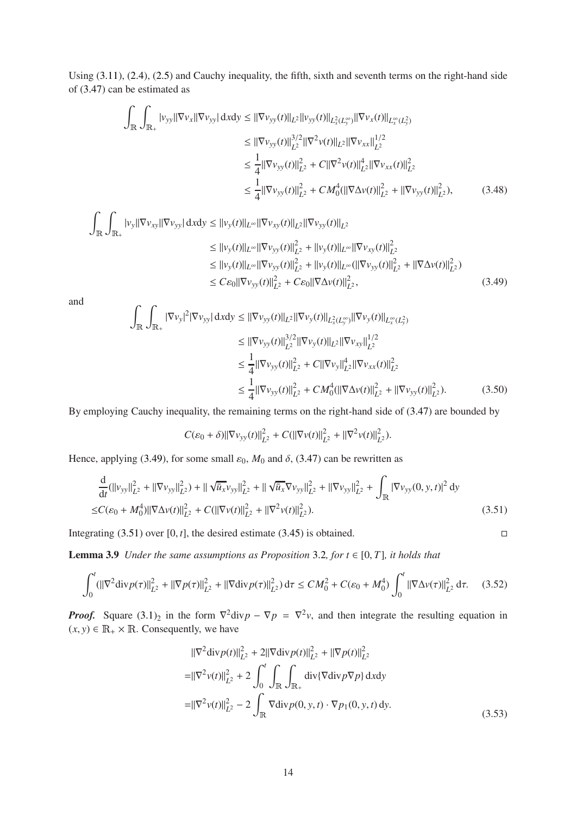Using [\(3.11\)](#page-8-7), [\(2.4\)](#page-5-2), [\(2.5\)](#page-5-3) and Cauchy inequality, the fifth, sixth and seventh terms on the right-hand side of [\(3.47\)](#page-12-2) can be estimated as

$$
\int_{\mathbb{R}} \int_{\mathbb{R}_+} |v_{yy}||\nabla v_{xy}| dxdy \le ||\nabla v_{yy}(t)||_{L^2} ||v_{yy}(t)||_{L^2(x,y)} ||\nabla v_x(t)||_{L^\infty(x,y)} ||\nabla v_{xx}(t)||_{L^2} ||\nabla v_{xx}||_{L^2}^{1/2}
$$
\n
$$
\le ||\nabla v_{yy}(t)||_{L^2}^{3/2} ||\nabla^2 v(t)||_{L^2}^{2} ||\nabla v_{xx}||_{L^2}^{1/2}
$$
\n
$$
\le \frac{1}{4} ||\nabla v_{yy}(t)||_{L^2}^2 + C ||\nabla^2 v(t)||_{L^2}^4 ||\nabla v_{xx}(t)||_{L^2}^2
$$
\n
$$
\le \frac{1}{4} ||\nabla v_{yy}(t)||_{L^2}^2 + C M_0^4 (||\nabla \Delta v(t)||_{L^2}^2 + ||\nabla v_{yy}(t)||_{L^2}^2), \tag{3.48}
$$

$$
\int_{\mathbb{R}} \int_{\mathbb{R}_+} |v_y| |\nabla v_{xy}| |\nabla v_{yy}| \, dxdy \le ||v_y(t)||_{L^{\infty}} ||\nabla v_{xy}(t)||_{L^2} ||\nabla v_{yy}(t)||_{L^2}
$$
\n
$$
\le ||v_y(t)||_{L^{\infty}} ||\nabla v_{yy}(t)||_{L^2}^2 + ||v_y(t)||_{L^{\infty}} ||\nabla v_{xy}(t)||_{L^2}^2
$$
\n
$$
\le ||v_y(t)||_{L^{\infty}} ||\nabla v_{yy}(t)||_{L^2}^2 + ||v_y(t)||_{L^{\infty}} (||\nabla v_{yy}(t)||_{L^2}^2 + ||\nabla \Delta v(t)||_{L^2}^2)
$$
\n
$$
\le C\varepsilon_0 ||\nabla v_{yy}(t)||_{L^2}^2 + C\varepsilon_0 ||\nabla \Delta v(t)||_{L^2}^2, \tag{3.49}
$$

<span id="page-13-0"></span>and

$$
\int_{\mathbb{R}} \int_{\mathbb{R}_+} |\nabla v_y|^2 |\nabla v_{yy}| \, dxdy \le ||\nabla v_{yy}(t)||_{L^2} ||\nabla v_y(t)||_{L^2(x_y^{\infty})} ||\nabla v_y(t)||_{L^{\infty}(L^2_y)} \n\le ||\nabla v_{yy}(t)||_{L^2}^{3/2} ||\nabla v_y(t)||_{L^2} ||\nabla v_{xy}||_{L^2}^{1/2} \n\le \frac{1}{4} ||\nabla v_{yy}(t)||_{L^2}^2 + C ||\nabla v_y||_{L^2}^4 ||\nabla v_{xx}(t)||_{L^2}^2 \n\le \frac{1}{4} ||\nabla v_{yy}(t)||_{L^2}^2 + C M_0^4 (||\nabla \Delta v(t)||_{L^2}^2 + ||\nabla v_{yy}(t)||_{L^2}^2).
$$
\n(3.50)

By employing Cauchy inequality, the remaining terms on the right-hand side of [\(3.47\)](#page-12-2) are bounded by

$$
C(\varepsilon_0+\delta)\|\nabla v_{yy}(t)\|_{L^2}^2+C(\|\nabla v(t)\|_{L^2}^2+\|\nabla^2 v(t)\|_{L^2}^2).
$$

Hence, applying [\(3.49\)](#page-13-0), for some small  $\varepsilon_0$ ,  $M_0$  and  $\delta$ , [\(3.47\)](#page-12-2) can be rewritten as

<span id="page-13-1"></span>
$$
\frac{d}{dt}(\|\mathbf{v}_{yy}\|_{L^2}^2 + \|\nabla v_{yy}\|_{L^2}^2) + \|\sqrt{\bar{u}_x}v_{yy}\|_{L^2}^2 + \|\sqrt{\bar{u}_x}\nabla v_{yy}\|_{L^2}^2 + \|\nabla v_{yy}\|_{L^2}^2 + \int_{\mathbb{R}} |\nabla v_{yy}(0, y, t)|^2 dy
$$
\n
$$
\leq C(\varepsilon_0 + M_0^4) \|\nabla \Delta v(t)\|_{L^2}^2 + C(\|\nabla v(t)\|_{L^2}^2 + \|\nabla^2 v(t)\|_{L^2}^2). \tag{3.51}
$$

<span id="page-13-3"></span>Integrating  $(3.51)$  over  $[0, t]$ , the desired estimate  $(3.45)$  is obtained.

**Lemma [3](#page-7-3).9** *Under the same assumptions as Proposition* 3.2*, for*  $t \in [0, T]$ *, it holds that* 

<span id="page-13-4"></span>
$$
\int_0^t (||\nabla^2 \operatorname{div} p(\tau)||_{L^2}^2 + ||\nabla p(\tau)||_{L^2}^2 + ||\nabla \operatorname{div} p(\tau)||_{L^2}^2) d\tau \le CM_0^2 + C(\varepsilon_0 + M_0^4) \int_0^t ||\nabla \Delta v(\tau)||_{L^2}^2 d\tau. \tag{3.52}
$$

*Proof.* Square  $(3.1)_2$  in the form  $\nabla^2 \text{div} p - \nabla p = \nabla^2 v$ , and then integrate the resulting equation in  $(x, y) \in \mathbb{R}_+ \times \mathbb{R}$ . Consequently, we have

<span id="page-13-2"></span>
$$
\|\nabla^2 \text{div} p(t)\|_{L^2}^2 + 2\|\nabla \text{div} p(t)\|_{L^2}^2 + \|\nabla p(t)\|_{L^2}^2
$$
  
\n
$$
= \|\nabla^2 v(t)\|_{L^2}^2 + 2 \int_0^t \int_{\mathbb{R}} \int_{\mathbb{R}_+} \text{div}\{\nabla \text{div} p \nabla p\} \, \text{d}x \, \text{d}y
$$
  
\n
$$
= \|\nabla^2 v(t)\|_{L^2}^2 - 2 \int_{\mathbb{R}} \nabla \text{div} p(0, y, t) \cdot \nabla p_1(0, y, t) \, \text{d}y.
$$
 (3.53)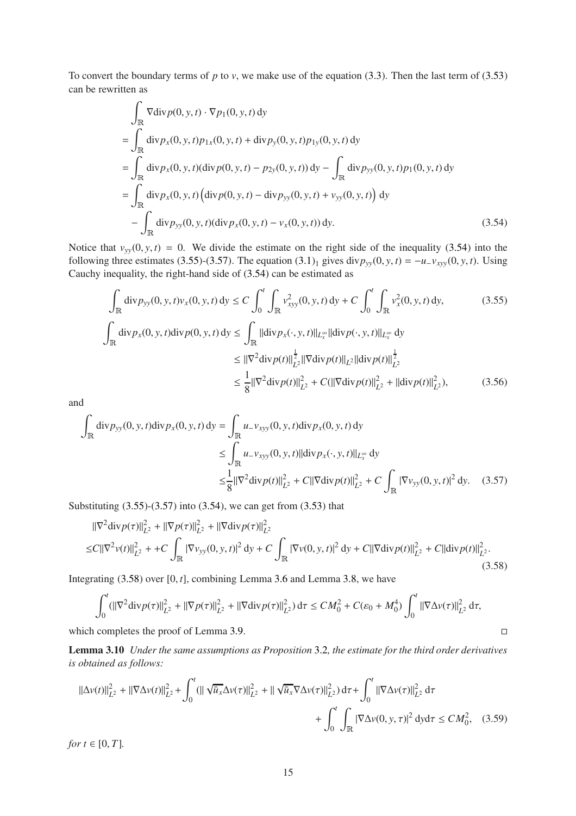To convert the boundary terms of  $p$  to  $v$ , we make use of the equation [\(3.3\)](#page-6-3). Then the last term of [\(3.53\)](#page-13-2) can be rewritten as

$$
\int_{\mathbb{R}} \nabla \text{div} p(0, y, t) \cdot \nabla p_1(0, y, t) \, dy
$$
\n
$$
= \int_{\mathbb{R}} \text{div} p_x(0, y, t) p_{1x}(0, y, t) + \text{div} p_y(0, y, t) p_{1y}(0, y, t) \, dy
$$
\n
$$
= \int_{\mathbb{R}} \text{div} p_x(0, y, t) (\text{div} p(0, y, t) - p_{2y}(0, y, t)) \, dy - \int_{\mathbb{R}} \text{div} p_{yy}(0, y, t) p_1(0, y, t) \, dy
$$
\n
$$
= \int_{\mathbb{R}} \text{div} p_x(0, y, t) (\text{div} p(0, y, t) - \text{div} p_{yy}(0, y, t) + v_{yy}(0, y, t)) \, dy
$$
\n
$$
- \int_{\mathbb{R}} \text{div} p_{yy}(0, y, t) (\text{div} p_x(0, y, t) - v_x(0, y, t)) \, dy.
$$
\n(3.54)

<span id="page-14-0"></span>Notice that  $v_{yy}(0, y, t) = 0$ . We divide the estimate on the right side of the inequality [\(3.54\)](#page-14-0) into the following three estimates [\(3.55\)](#page-14-1)-[\(3.57\)](#page-14-2). The equation  $(3.1)_1$  gives div $p_{yy}(0, y, t) = -u_y p_{xy}(0, y, t)$ . Using Cauchy inequality, the right-hand side of [\(3.54\)](#page-14-0) can be estimated as

<span id="page-14-1"></span>
$$
\int_{\mathbb{R}} \text{div} p_{yy}(0, y, t) v_x(0, y, t) \, dy \le C \int_0^t \int_{\mathbb{R}} v_{xyy}^2(0, y, t) \, dy + C \int_0^t \int_{\mathbb{R}} v_x^2(0, y, t) \, dy,
$$
\n(3.55)\n
$$
\int_{\mathbb{R}} \text{div} p_x(0, y, t) \, \text{div} \, p(0, y, t) \, dy \le \int_{\mathbb{R}} ||\text{div} \, p_x(\cdot, y, t)||_{L_x^{\infty}} ||\text{div} \, p(\cdot, y, t)||_{L_x^{\infty}} \, dy
$$
\n
$$
\le ||\nabla^2 \text{div} \, p(t)||_{L^2}^{\frac{1}{2}} ||\nabla \text{div} \, p(t)||_{L^2} ||\text{div} \, p(t)||_{L^2}^{\frac{1}{2}}
$$
\n
$$
\le \frac{1}{8} ||\nabla^2 \text{div} \, p(t)||_{L^2}^2 + C(||\nabla \text{div} \, p(t)||_{L^2}^2 + ||\text{div} \, p(t)||_{L^2}^2),
$$
\n(3.56)

and

$$
\int_{\mathbb{R}} \text{div} p_{yy}(0, y, t) \text{div} p_{x}(0, y, t) \, dy = \int_{\mathbb{R}} u_{-}v_{xyy}(0, y, t) \text{div} p_{x}(0, y, t) \, dy
$$
\n
$$
\leq \int_{\mathbb{R}} u_{-}v_{xyy}(0, y, t) ||\text{div} p_{x}(\cdot, y, t)||_{L_{x}^{\infty}} dy
$$
\n
$$
\leq \frac{1}{8} ||\nabla^{2} \text{div} p(t)||_{L^{2}}^{2} + C ||\nabla \text{div} p(t)||_{L^{2}}^{2} + C \int_{\mathbb{R}} |\nabla v_{yy}(0, y, t)|^{2} \, dy. \tag{3.57}
$$

<span id="page-14-2"></span>Substituting  $(3.55)-(3.57)$  $(3.55)-(3.57)$  into  $(3.54)$ , we can get from  $(3.53)$  that

<span id="page-14-3"></span>
$$
\|\nabla^2 \text{div} \, p(\tau)\|_{L^2}^2 + \|\nabla p(\tau)\|_{L^2}^2 + \|\nabla \text{div} \, p(\tau)\|_{L^2}^2
$$
  
\n
$$
\leq C \|\nabla^2 v(t)\|_{L^2}^2 + C \int_{\mathbb{R}} |\nabla v_{yy}(0, y, t)|^2 \, \text{d}y + C \int_{\mathbb{R}} |\nabla v(0, y, t)|^2 \, \text{d}y + C \|\nabla \text{div} \, p(t)\|_{L^2}^2 + C \|\text{div} \, p(t)\|_{L^2}^2. \tag{3.58}
$$

Integrating  $(3.58)$  $(3.58)$  $(3.58)$  over  $[0, t]$ , combining Lemma 3.6 and Lemma 3.[8,](#page-12-4) we have

$$
\int_0^t (||\nabla^2 \text{div} \, p(\tau)||_{L^2}^2 + ||\nabla p(\tau)||_{L^2}^2 + ||\nabla \text{div} \, p(\tau)||_{L^2}^2) \, d\tau \le CM_0^2 + C(\varepsilon_0 + M_0^4) \int_0^t ||\nabla \Delta v(\tau)||_{L^2}^2 \, d\tau,
$$
\nwhich completes the proof of Lemma 3.9.

Lemma 3.10 *Under the same assumptions as Proposition* [3](#page-7-3).2*, the estimate for the third order derivatives is obtained as follows:*

$$
\|\Delta v(t)\|_{L^{2}}^{2} + \|\nabla \Delta v(t)\|_{L^{2}}^{2} + \int_{0}^{t} (\|\sqrt{u_{x}} \Delta v(\tau)\|_{L^{2}}^{2} + \|\sqrt{u_{x}} \nabla \Delta v(\tau)\|_{L^{2}}^{2}) d\tau + \int_{0}^{t} \|\nabla \Delta v(\tau)\|_{L^{2}}^{2} d\tau + \int_{0}^{t} \int_{\mathbb{R}} |\nabla \Delta v(0, y, \tau)|^{2} dy d\tau \le CM_{0}^{2}, \quad (3.59)
$$

<span id="page-14-4"></span>*for*  $t \in [0, T]$ *.*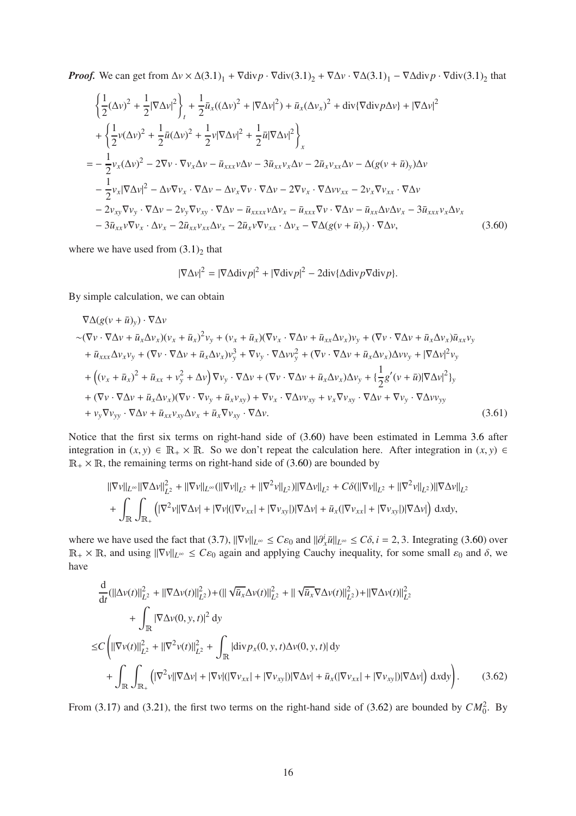*Proof.* We can get from  $\Delta v \times \Delta(3.1)_1 + \nabla \text{div} p \cdot \nabla \text{div}(3.1)_2 + \nabla \Delta v \cdot \nabla \Delta(3.1)_1 - \nabla \Delta \text{div} p \cdot \nabla \text{div}(3.1)_2$  $\Delta v \times \Delta(3.1)_1 + \nabla \text{div} p \cdot \nabla \text{div}(3.1)_2 + \nabla \Delta v \cdot \nabla \Delta(3.1)_1 - \nabla \Delta \text{div} p \cdot \nabla \text{div}(3.1)_2$  $\Delta v \times \Delta(3.1)_1 + \nabla \text{div} p \cdot \nabla \text{div}(3.1)_2 + \nabla \Delta v \cdot \nabla \Delta(3.1)_1 - \nabla \Delta \text{div} p \cdot \nabla \text{div}(3.1)_2$  that

$$
\begin{split}\n&\left\{\frac{1}{2}(\Delta v)^2 + \frac{1}{2}|\nabla\Delta v|^2\right\}_t + \frac{1}{2}\bar{u}_x((\Delta v)^2 + |\nabla\Delta v|^2) + \bar{u}_x(\Delta v_x)^2 + \text{div}\{\nabla\text{div}p\Delta v\} + |\nabla\Delta v|^2 \\
&+ \left\{\frac{1}{2}v(\Delta v)^2 + \frac{1}{2}\bar{u}(\Delta v)^2 + \frac{1}{2}v|\nabla\Delta v|^2 + \frac{1}{2}\bar{u}|\nabla\Delta v|^2\right\}_x \\
&= -\frac{1}{2}v_x(\Delta v)^2 - 2\nabla v \cdot \nabla v_x\Delta v - \bar{u}_{xxx}v\Delta v - 3\bar{u}_{xx}v_x\Delta v - 2\bar{u}_xv_{xx}\Delta v - \Delta(g(v + \bar{u})_y)\Delta v \\
&- \frac{1}{2}v_x|\nabla\Delta v|^2 - \Delta v\nabla v_x \cdot \nabla\Delta v - \Delta v_x\nabla v \cdot \nabla\Delta v - 2\nabla v_x \cdot \nabla\Delta v v_{xx} - 2v_x\nabla v_{xx} \cdot \nabla\Delta v \\
&- 2v_{xy}\nabla v_y \cdot \nabla\Delta v - 2v_y\nabla v_{xy} \cdot \nabla\Delta v - \bar{u}_{xxx}v\Delta v_x - \bar{u}_{xxx}\nabla v \cdot \nabla\Delta v - \bar{u}_{xx}\Delta v\Delta v_x - 3\bar{u}_{xxx}v_x\Delta v_x \\
&- 3\bar{u}_{xxx}v\nabla v_x \cdot \Delta v_x - 2\bar{u}_{xx}v_{xx}\Delta v_x - 2\bar{u}_xv\nabla v_{xx} \cdot \Delta v_x - \nabla\Delta(g(v + \bar{u})_y) \cdot \nabla\Delta v,\n\end{split} \tag{3.60}
$$

<span id="page-15-1"></span>where we have used from  $(3.1)_2$  that

$$
|\nabla \Delta v|^2 = |\nabla \Delta \text{div} \, p|^2 + |\nabla \text{div} \, p|^2 - 2 \text{div} \{ \Delta \text{div} \, p \, \nabla \text{div} \, p \}.
$$

By simple calculation, we can obtain

$$
\nabla \Delta (g(v + \bar{u})_y) \cdot \nabla \Delta v
$$
  
\n
$$
\sim (\nabla v \cdot \nabla \Delta v + \bar{u}_x \Delta v_x)(v_x + \bar{u}_x)^2 v_y + (v_x + \bar{u}_x)(\nabla v_x \cdot \nabla \Delta v + \bar{u}_{xx} \Delta v_x)v_y + (\nabla v \cdot \nabla \Delta v + \bar{u}_x \Delta v_x)\bar{u}_{xx}v_y
$$
  
\n
$$
+ \bar{u}_{xxx} \Delta v_x v_y + (\nabla v \cdot \nabla \Delta v + \bar{u}_x \Delta v_x)v_y^3 + \nabla v_y \cdot \nabla \Delta v v_y^2 + (\nabla v \cdot \nabla \Delta v + \bar{u}_x \Delta v_x) \Delta v v_y + |\nabla \Delta v|^2 v_y
$$
  
\n
$$
+ ((v_x + \bar{u}_x)^2 + \bar{u}_{xx} + v_y^2 + \Delta v) \nabla v_y \cdot \nabla \Delta v + (\nabla v \cdot \nabla \Delta v + \bar{u}_x \Delta v_x) \Delta v_y + \frac{1}{2}g'(v + \bar{u})|\nabla \Delta v|^2\}_y
$$
  
\n
$$
+ (\nabla v \cdot \nabla \Delta v + \bar{u}_x \Delta v_x)(\nabla v \cdot \nabla v_y + \bar{u}_x v_{xy}) + \nabla v_x \cdot \nabla \Delta v v_{xy} + v_x \nabla v_{xy} \cdot \nabla \Delta v + \nabla v_y \cdot \nabla \Delta v v_{yy}
$$
  
\n
$$
+ v_y \nabla v_{yy} \cdot \nabla \Delta v + \bar{u}_{xx} v_{xy} \Delta v_x + \bar{u}_x \nabla v_{xy} \cdot \nabla \Delta v.
$$
\n(3.61)

Notice that the first six terms on right-hand side of [\(3.60\)](#page-15-1) have been estimated in Lemma [3](#page-9-6).6 after integration in  $(x, y) \in \mathbb{R}_+ \times \mathbb{R}$ . So we don't repeat the calculation here. After integration in  $(x, y) \in$  $\mathbb{R}_+ \times \mathbb{R}$ , the remaining terms on right-hand side of [\(3.60\)](#page-15-1) are bounded by

$$
\begin{split} &\|\nabla v\|_{L^{\infty}} \|\nabla \Delta v\|^{2}_{L^{2}} + \|\nabla v\|_{L^{\infty}} (\|\nabla v\|_{L^{2}} + \|\nabla^{2} v\|_{L^{2}}) \|\nabla \Delta v\|_{L^{2}} + C\delta (\|\nabla v\|_{L^{2}} + \|\nabla^{2} v\|_{L^{2}}) \|\nabla \Delta v\|_{L^{2}} \\ &+ \int_{\mathbb{R}} \int_{\mathbb{R}_{+}} \left( |\nabla^{2} v| |\nabla \Delta v| + |\nabla v| (|\nabla v_{xx}| + |\nabla v_{xy}|) |\nabla \Delta v| + \bar{u}_{x} (|\nabla v_{xx}| + |\nabla v_{xy}|) |\nabla \Delta v| \right) \, \mathrm{d}x \mathrm{d}y, \end{split}
$$

where we have used the fact that [\(3.7\)](#page-7-5),  $\|\nabla v\|_{L^\infty} \leq C\varepsilon_0$  and  $\|\partial_x^i \bar{u}\|_{L^\infty} \leq C\delta$ , *i* = 2, 3. Integrating [\(3.60\)](#page-15-1) over  $\mathbb{R}_+ \times \mathbb{R}$ , and using  $\|\nabla v\|_{L^\infty} \leq C\varepsilon_0$  again and applying Cauchy inequality, for some small  $\varepsilon_0$  and  $\delta$ , we have

$$
\frac{d}{dt}(||\Delta v(t)||_{L^{2}}^{2} + ||\nabla\Delta v(t)||_{L^{2}}^{2}) + (||\sqrt{\bar{u}_{x}}\Delta v(t)||_{L^{2}}^{2} + ||\sqrt{\bar{u}_{x}}\nabla\Delta v(t)||_{L^{2}}^{2}) + ||\nabla\Delta v(t)||_{L^{2}}^{2} \n+ \int_{\mathbb{R}} |\nabla\Delta v(0, y, t)|^{2} dy \n\leq C \left(||\nabla v(t)||_{L^{2}}^{2} + ||\nabla^{2}v(t)||_{L^{2}}^{2} + \int_{\mathbb{R}} |div p_{x}(0, y, t)\Delta v(0, y, t)| dy \n+ \int_{\mathbb{R}} \int_{\mathbb{R}_{+}} (|\nabla^{2}v||\nabla\Delta v| + |\nabla v||(|\nabla v_{xx}| + |\nabla v_{xy}|)|\nabla\Delta v| + \bar{u}_{x}(|\nabla v_{xx}| + |\nabla v_{xy}|)|\nabla\Delta v|) dx dy \right).
$$
\n(3.62)

<span id="page-15-0"></span>From [\(3.17\)](#page-9-0) and [\(3.21\)](#page-9-5), the first two terms on the right-hand side of [\(3.62\)](#page-15-0) are bounded by  $CM_0^2$ . By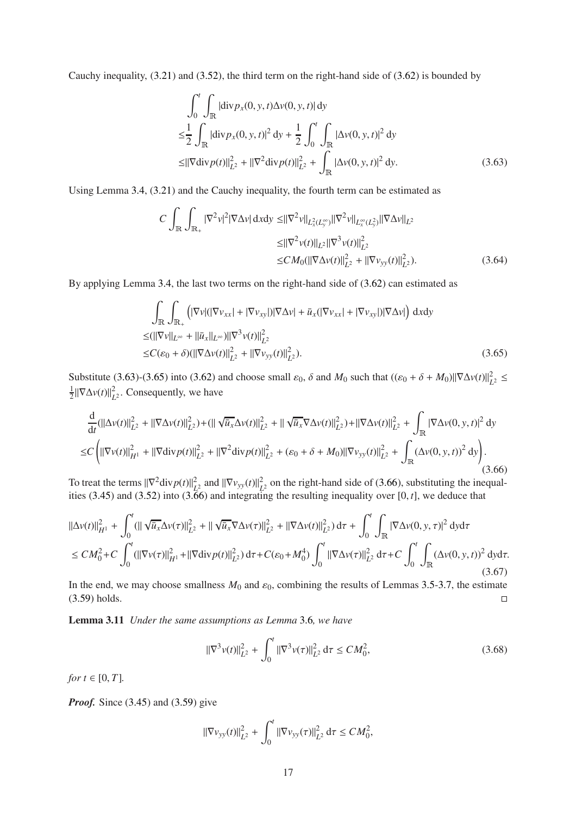Cauchy inequality, [\(3.21\)](#page-9-5) and [\(3.52\)](#page-13-4), the third term on the right-hand side of [\(3.62\)](#page-15-0) is bounded by

$$
\int_0^t \int_{\mathbb{R}} |\text{div} \, p_x(0, y, t) \Delta v(0, y, t)| \, dy
$$
\n
$$
\leq \frac{1}{2} \int_{\mathbb{R}} |\text{div} \, p_x(0, y, t)|^2 \, dy + \frac{1}{2} \int_0^t \int_{\mathbb{R}} |\Delta v(0, y, t)|^2 \, dy
$$
\n
$$
\leq ||\nabla \text{div} \, p(t)||_{L^2}^2 + ||\nabla^2 \text{div} \, p(t)||_{L^2}^2 + \int_{\mathbb{R}} |\Delta v(0, y, t)|^2 \, dy. \tag{3.63}
$$

Using Lemma 3.[4,](#page-8-1) [\(3.21\)](#page-9-5) and the Cauchy inequality, the fourth term can be estimated as

<span id="page-16-0"></span>
$$
C \int_{\mathbb{R}} \int_{\mathbb{R}_{+}} |\nabla^{2} v|^{2} |\nabla \Delta v| \, dxdy \leq ||\nabla^{2} v||_{L_{x}^{2}(L_{y}^{\infty})} ||\nabla^{2} v||_{L_{x}^{\infty}(L_{y}^{2})} ||\nabla \Delta v||_{L^{2}}\leq ||\nabla^{2} v(t)||_{L^{2}} ||\nabla^{3} v(t)||_{L^{2}}^{2}\leq CM_{0} (||\nabla \Delta v(t)||_{L^{2}}^{2} + ||\nabla v_{yy}(t)||_{L^{2}}^{2}). \tag{3.64}
$$

By applying Lemma 3.[4,](#page-8-1) the last two terms on the right-hand side of [\(3.62\)](#page-15-0) can estimated as

<span id="page-16-1"></span>
$$
\int_{\mathbb{R}} \int_{\mathbb{R}_+} \left( |\nabla v| (|\nabla v_{xx}| + |\nabla v_{xy}|) |\nabla \Delta v| + \bar{u}_x (|\nabla v_{xx}| + |\nabla v_{xy}|) |\nabla \Delta v| \right) dxdy
$$
  
\n
$$
\leq (||\nabla v||_{L^{\infty}} + ||\bar{u}_x||_{L^{\infty}}) ||\nabla^3 v(t)||_{L^2}^2
$$
  
\n
$$
\leq C(\varepsilon_0 + \delta) (||\nabla \Delta v(t)||_{L^2}^2 + ||\nabla v_{yy}(t)||_{L^2}^2).
$$
\n(3.65)

Substitute [\(3.63\)](#page-16-0)-[\(3.65\)](#page-16-1) into [\(3.62\)](#page-15-0) and choose small  $\varepsilon_0$ ,  $\delta$  and  $M_0$  such that  $((\varepsilon_0 + \delta + M_0) || \nabla \Delta v(t) ||_L^2)$  $\overline{L}$ <sup>2</sup>  $\leq$ 1  $\frac{1}{2} \|\nabla \Delta v(t)\|_{L}^{2}$  $L^2$ . Consequently, we have

<span id="page-16-2"></span>
$$
\frac{d}{dt}(\|\Delta v(t)\|_{L^{2}}^{2} + \|\nabla\Delta v(t)\|_{L^{2}}^{2}) + (\|\sqrt{\bar{u}_{x}}\Delta v(t)\|_{L^{2}}^{2} + \|\sqrt{\bar{u}_{x}}\nabla\Delta v(t)\|_{L^{2}}^{2}) + \|\nabla\Delta v(t)\|_{L^{2}}^{2} + \int_{\mathbb{R}}|\nabla\Delta v(0, y, t)|^{2} dy
$$
\n
$$
\leq C\left(\|\nabla v(t)\|_{H^{1}}^{2} + \|\nabla\text{div}p(t)\|_{L^{2}}^{2} + \|\nabla^{2}\text{div}p(t)\|_{L^{2}}^{2} + (\varepsilon_{0} + \delta + M_{0})\|\nabla v_{yy}(t)\|_{L^{2}}^{2} + \int_{\mathbb{R}}(\Delta v(0, y, t))^{2} dy\right). \tag{3.66}
$$

To treat the terms  $\|\nabla^2 \text{div} p(t)\|_{L^2}^2$  $\frac{2}{L^2}$  and  $\|\nabla v_{yy}(t)\|^2$  $L^2$  on the right-hand side of [\(3.66\)](#page-16-2), substituting the inequalities [\(3.45\)](#page-12-3) and [\(3.52\)](#page-13-4) into [\(3.66\)](#page-16-2) and integrating the resulting inequality over [0, *t*], we deduce that

$$
\|\Delta v(t)\|_{H^{1}}^{2} + \int_{0}^{t} (\|\sqrt{u_{x}}\Delta v(\tau)\|_{L^{2}}^{2} + \|\sqrt{u_{x}}\nabla\Delta v(\tau)\|_{L^{2}}^{2} + \|\nabla\Delta v(t)\|_{L^{2}}^{2}) d\tau + \int_{0}^{t} \int_{\mathbb{R}} |\nabla\Delta v(0, y, \tau)|^{2} dy d\tau
$$
  
\n
$$
\leq CM_{0}^{2} + C \int_{0}^{t} (\|\nabla v(\tau)\|_{H^{1}}^{2} + \|\nabla\text{div} p(t)\|_{L^{2}}^{2}) d\tau + C(\varepsilon_{0} + M_{0}^{4}) \int_{0}^{t} \|\nabla\Delta v(\tau)\|_{L^{2}}^{2} d\tau + C \int_{0}^{t} \int_{\mathbb{R}} (\Delta v(0, y, t))^{2} dy d\tau.
$$
\n(3.67)

<span id="page-16-3"></span>In the end, we may choose smallness  $M_0$  and  $\varepsilon_0$ , combining the results of Lemmas 3.[5-](#page-8-6)[3](#page-10-4).7, the estimate  $(3.59)$  holds.

Lemma 3.11 *Under the same assumptions as Lemma* [3](#page-9-6).6*, we have*

<span id="page-16-4"></span>
$$
\|\nabla^3 v(t)\|_{L^2}^2 + \int_0^t \|\nabla^3 v(\tau)\|_{L^2}^2 d\tau \le CM_0^2,
$$
\n(3.68)

*for*  $t \in [0, T]$ *.* 

*Proof.* Since [\(3.45\)](#page-12-3) and [\(3.59\)](#page-14-4) give

$$
\|\nabla v_{yy}(t)\|_{L^2}^2 + \int_0^t \|\nabla v_{yy}(\tau)\|_{L^2}^2 d\tau \le CM_0^2,
$$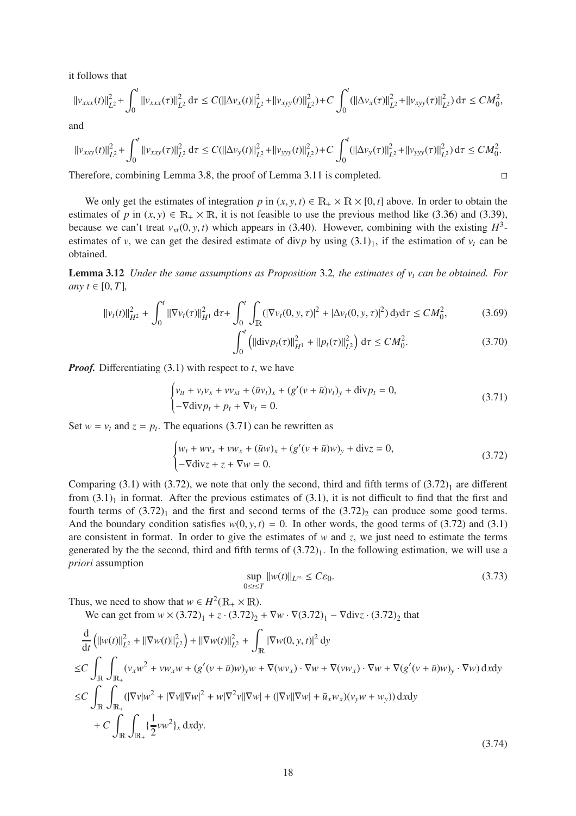it follows that

$$
||v_{xxx}(t)||_{L^2}^2 + \int_0^t ||v_{xxx}(\tau)||_{L^2}^2 d\tau \leq C(||\Delta v_x(t)||_{L^2}^2 + ||v_{xyy}(t)||_{L^2}^2) + C \int_0^t (||\Delta v_x(\tau)||_{L^2}^2 + ||v_{xyy}(\tau)||_{L^2}^2) d\tau \leq CM_0^2,
$$

and

$$
\|v_{xxy}(t)\|_{L^2}^2+\int_0^t\|v_{xxy}(\tau)\|_{L^2}^2\,d\tau\leq C(\|\Delta v_y(t)\|_{L^2}^2+\|v_{yyy}(t)\|_{L^2}^2)+C\int_0^t(\|\Delta v_y(\tau)\|_{L^2}^2+\|v_{yyy}(\tau)\|_{L^2}^2)\,d\tau\leq CM_0^2.
$$

Therefore, combining Lemma 3.[8,](#page-12-4) the proof of Lemma 3.[11](#page-16-3) is completed.

We only get the estimates of integration *p* in  $(x, y, t) \in \mathbb{R}_+ \times \mathbb{R} \times [0, t]$  above. In order to obtain the estimates of *p* in  $(x, y) \in \mathbb{R}_+ \times \mathbb{R}$ , it is not feasible to use the previous method like [\(3.36\)](#page-11-0) and [\(3.39\)](#page-11-2), because we can't treat  $v_{xt}(0, y, t)$  which appears in [\(3.40\)](#page-11-3). However, combining with the existing  $H^3$ estimates of *v*, we can get the desired estimate of div*p* by using  $(3.1)_1$ , if the estimation of  $v_t$  can be obtained.

Lemma 3.12 *Under the same assumptions as Proposition* [3](#page-7-3).2*, the estimates of v<sup>t</sup> can be obtained. For any*  $t \in [0, T]$ ,

$$
||v_t(t)||_{H^2}^2 + \int_0^t ||\nabla v_t(\tau)||_{H^1}^2 d\tau + \int_0^t \int_{\mathbb{R}} (|\nabla v_t(0, y, \tau)|^2 + |\Delta v_t(0, y, \tau)|^2) dy d\tau \le CM_0^2,
$$
 (3.69)

<span id="page-17-5"></span><span id="page-17-4"></span>
$$
\int_0^t \left( ||\text{div} p_t(\tau)||_{H^1}^2 + ||p_t(\tau)||_{L^2}^2 \right) d\tau \le CM_0^2.
$$
 (3.70)

*Proof.* Differentiating [\(3.1\)](#page-6-2) with respect to *t*, we have

<span id="page-17-1"></span>
$$
\begin{cases} v_{tt} + v_t v_x + v v_{xt} + (\bar{u}v_t)_x + (g'(v + \bar{u})v_t)_y + \text{div} p_t = 0, \\ -\nabla \text{div} p_t + p_t + \nabla v_t = 0. \end{cases}
$$
(3.71)

Set  $w = v_t$  and  $z = p_t$ . The equations [\(3.71\)](#page-17-1) can be rewritten as

<span id="page-17-2"></span>
$$
\begin{cases} w_t + w v_x + v w_x + (\bar{u}w)_x + (g'(v + \bar{u})w)_y + \text{div}z = 0, \\ -\nabla \text{div}z + z + \nabla w = 0. \end{cases}
$$
 (3.72)

Comparing [\(3.1\)](#page-6-2) with [\(3.72\)](#page-17-2), we note that only the second, third and fifth terms of  $(3.72)<sub>1</sub>$  are different from  $(3.1)_1$  in format. After the previous estimates of  $(3.1)$ , it is not difficult to find that the first and fourth terms of  $(3.72)<sub>1</sub>$  and the first and second terms of the  $(3.72)<sub>2</sub>$  can produce some good terms. And the boundary condition satisfies  $w(0, y, t) = 0$ . In other words, the good terms of [\(3.72\)](#page-17-2) and [\(3.1\)](#page-6-2) are consistent in format. In order to give the estimates of *w* and *z*, we just need to estimate the terms generated by the the second, third and fifth terms of  $(3.72)_1$ . In the following estimation, we will use a *priori* assumption

<span id="page-17-0"></span>
$$
\sup_{0 \le t \le T} ||w(t)||_{L^{\infty}} \le C\varepsilon_0. \tag{3.73}
$$

Thus, we need to show that  $w \in H^2(\mathbb{R}_+ \times \mathbb{R})$ .

We can get from  $w \times (3.72)_1 + z \cdot (3.72)_2 + \nabla w \cdot \nabla (3.72)_1 - \nabla \text{div} z \cdot (3.72)_2$  $w \times (3.72)_1 + z \cdot (3.72)_2 + \nabla w \cdot \nabla (3.72)_1 - \nabla \text{div} z \cdot (3.72)_2$  $w \times (3.72)_1 + z \cdot (3.72)_2 + \nabla w \cdot \nabla (3.72)_1 - \nabla \text{div} z \cdot (3.72)_2$  that

<span id="page-17-3"></span>
$$
\frac{d}{dt} \left( ||w(t)||_{L^2}^2 + ||\nabla w(t)||_{L^2}^2 \right) + ||\nabla w(t)||_{L^2}^2 + \int_{\mathbb{R}} |\nabla w(0, y, t)|^2 dy
$$
\n
$$
\leq C \int_{\mathbb{R}} \int_{\mathbb{R}_+} (v_x w^2 + v w_x w + (g'(v + \bar{u})w)_y w + \nabla(wv_x) \cdot \nabla w + \nabla(vw_x) \cdot \nabla w + \nabla(g'(v + \bar{u})w)_y \cdot \nabla w) dxdy
$$
\n
$$
\leq C \int_{\mathbb{R}} \int_{\mathbb{R}_+} (|\nabla v|w^2 + |\nabla v||\nabla w|^2 + w|\nabla^2 v||\nabla w| + (|\nabla v||\nabla w| + \bar{u}_x w_x)(v_y w + w_y)) dxdy
$$
\n
$$
+ C \int_{\mathbb{R}} \int_{\mathbb{R}_+} \left\{ \frac{1}{2} v w^2 \right\}_x dxdy.
$$
\n(3.74)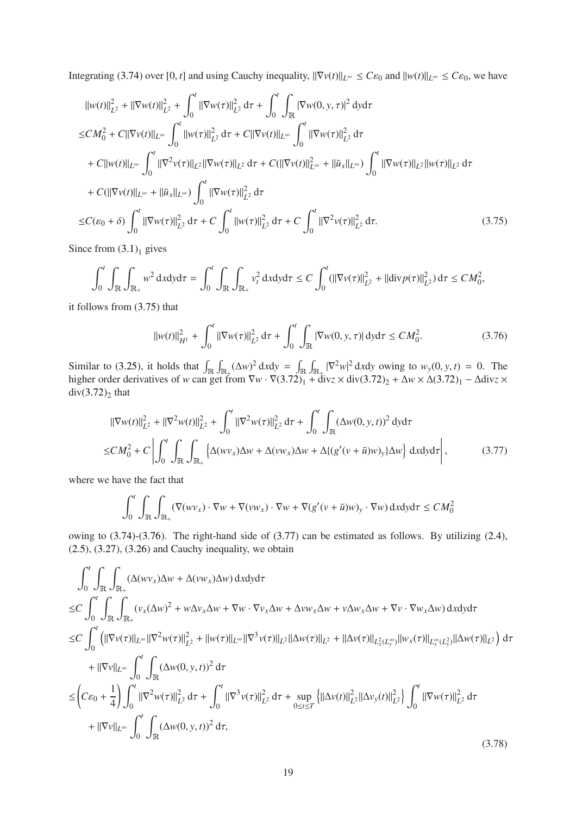Integrating [\(3.74\)](#page-17-3) over [0, *t*] and using Cauchy inequality,  $\|\nabla v(t)\|_{L^{\infty}} \leq C\varepsilon_0$  and  $\|w(t)\|_{L^{\infty}} \leq C\varepsilon_0$ , we have

$$
||w(t)||_{L^{2}}^{2} + ||\nabla w(t)||_{L^{2}}^{2} + \int_{0}^{t} ||\nabla w(\tau)||_{L^{2}}^{2} d\tau + \int_{0}^{t} \int_{\mathbb{R}} |\nabla w(0, y, \tau)|^{2} dy d\tau
$$
  
\n
$$
\leq CM_{0}^{2} + C||\nabla v(t)||_{L^{\infty}} \int_{0}^{t} ||w(\tau)||_{L^{2}}^{2} d\tau + C||\nabla v(t)||_{L^{\infty}} \int_{0}^{t} ||\nabla w(\tau)||_{L^{2}}^{2} d\tau
$$
  
\n
$$
+ C||w(t)||_{L^{\infty}} \int_{0}^{t} ||\nabla^{2} v(\tau)||_{L^{2}} ||\nabla w(\tau)||_{L^{2}} d\tau + C(||\nabla v(t)||_{L^{\infty}}^{2} + ||\bar{u}_{x}||_{L^{\infty}}) \int_{0}^{t} ||\nabla w(\tau)||_{L^{2}} ||w(\tau)||_{L^{2}} d\tau
$$
  
\n
$$
+ C(||\nabla v(t)||_{L^{\infty}} + ||\bar{u}_{x}||_{L^{\infty}}) \int_{0}^{t} ||\nabla w(\tau)||_{L^{2}}^{2} d\tau
$$
  
\n
$$
\leq C(\varepsilon_{0} + \delta) \int_{0}^{t} ||\nabla w(\tau)||_{L^{2}}^{2} d\tau + C \int_{0}^{t} ||w(\tau)||_{L^{2}}^{2} d\tau + C \int_{0}^{t} ||\nabla^{2} v(\tau)||_{L^{2}}^{2} d\tau.
$$
 (3.75)

<span id="page-18-0"></span>Since from  $(3.1)$ <sub>1</sub> gives

$$
\int_0^t \int_{\mathbb{R}} \int_{\mathbb{R}_+} w^2 \, \mathrm{d}x \mathrm{d}y \mathrm{d}\tau = \int_0^t \int_{\mathbb{R}} \int_{\mathbb{R}_+} v_t^2 \, \mathrm{d}x \mathrm{d}y \mathrm{d}\tau \leq C \int_0^t (||\nabla v(\tau)||_{L^2}^2 + ||\mathrm{div} p(\tau)||_{L^2}^2) \, \mathrm{d}\tau \leq C M_0^2,
$$

it follows from [\(3.75\)](#page-18-0) that

<span id="page-18-1"></span>
$$
||w(t)||_{H^{1}}^{2} + \int_{0}^{t} ||\nabla w(\tau)||_{L^{2}}^{2} d\tau + \int_{0}^{t} \int_{\mathbb{R}} |\nabla w(0, y, \tau)| d\tau \le CM_{0}^{2}.
$$
 (3.76)

Similar to [\(3.25\)](#page-9-4), it holds that  $\int_{\mathbb{R}} \int_{\mathbb{R}_+} (\Delta w)^2 dxdy = \int_{\mathbb{R}} \int_{\mathbb{R}_+} |\nabla^2 w|^2 dxdy$  owing to  $w_y(0, y, t) = 0$ . The higher order derivatives of *w* can get from  $\nabla w \cdot \nabla (3.72)_1^2 + \text{div}z \times \text{div}(3.72)_2 + \Delta w \times \Delta (3.72)_1 - \Delta \text{div}z \times$  $\nabla w \cdot \nabla (3.72)_1^2 + \text{div}z \times \text{div}(3.72)_2 + \Delta w \times \Delta (3.72)_1 - \Delta \text{div}z \times$  $\nabla w \cdot \nabla (3.72)_1^2 + \text{div}z \times \text{div}(3.72)_2 + \Delta w \times \Delta (3.72)_1 - \Delta \text{div}z \times$  $div(3.72)_2$  $div(3.72)_2$  $div(3.72)_2$  that

<span id="page-18-2"></span>
$$
\|\nabla w(t)\|_{L^{2}}^{2} + \|\nabla^{2} w(t)\|_{L^{2}}^{2} + \int_{0}^{t} \|\nabla^{2} w(\tau)\|_{L^{2}}^{2} d\tau + \int_{0}^{t} \int_{\mathbb{R}} (\Delta w(0, y, t))^{2} dy d\tau
$$
  
\n
$$
\leq CM_{0}^{2} + C \left| \int_{0}^{t} \int_{\mathbb{R}} \int_{\mathbb{R}_{+}} \left\{ \Delta (wv_{x}) \Delta w + \Delta (vw_{x}) \Delta w + \Delta \{(g'(v + \bar{u})w)_{y}\} \Delta w \right\} dxdy d\tau \right|,
$$
\n(3.77)

where we have the fact that

$$
\int_0^t \int_{\mathbb{R}} \int_{\mathbb{R}_+} (\nabla(wv_x) \cdot \nabla w + \nabla(vw_x) \cdot \nabla w + \nabla(g'(v + \bar{u})w)_y \cdot \nabla w) \, \mathrm{d}x \mathrm{d}y \mathrm{d}\tau \le CM_0^2
$$

owing to [\(3.74\)](#page-17-3)-[\(3.76\)](#page-18-1). The right-hand side of [\(3.77\)](#page-18-2) can be estimated as follows. By utilizing [\(2.4\)](#page-5-2),  $(2.5)$ ,  $(3.27)$ ,  $(3.26)$  and Cauchy inequality, we obtain

<span id="page-18-3"></span>
$$
\int_{0}^{t} \int_{\mathbb{R}} \int_{\mathbb{R}_{+}} (\Delta(wv_{x}) \Delta w + \Delta(vw_{x}) \Delta w) dxdyd\tau
$$
  
\n
$$
\leq C \int_{0}^{t} \int_{\mathbb{R}} \int_{\mathbb{R}_{+}} (v_{x}(\Delta w)^{2} + w\Delta v_{x} \Delta w + \nabla w \cdot \nabla v_{x} \Delta w + \Delta v w_{x} \Delta w + v\Delta w_{x} \Delta w + \nabla v \cdot \nabla w_{x} \Delta w) dxdyd\tau
$$
  
\n
$$
\leq C \int_{0}^{t} (||\nabla v(\tau)||_{L^{\infty}} ||\nabla^{2} w(\tau)||_{L^{2}}^{2} + ||w(\tau)||_{L^{\infty}} ||\nabla^{3} v(\tau)||_{L^{2}} ||\Delta w(\tau)||_{L^{2}} + ||\Delta v(\tau)||_{L^{2}_{x}(L_{y}^{\infty})} ||w_{x}(\tau)||_{L^{2}}) d\tau
$$
  
\n
$$
+ ||\nabla v||_{L^{\infty}} \int_{0}^{t} \int_{\mathbb{R}} (\Delta w(0, y, t))^{2} d\tau
$$
  
\n
$$
\leq (C\varepsilon_{0} + \frac{1}{4}) \int_{0}^{t} ||\nabla^{2} w(\tau)||_{L^{2}}^{2} d\tau + \int_{0}^{t} ||\nabla^{3} v(\tau)||_{L^{2}}^{2} d\tau + \sup_{0 \leq t \leq T} {||\Delta v(t)||_{L^{2}}^{2} ||\Delta v_{y}(t)||_{L^{2}}^{2}} \int_{0}^{t} ||\nabla w(\tau)||_{L^{2}}^{2} d\tau
$$
  
\n
$$
+ ||\nabla v||_{L^{\infty}} \int_{0}^{t} \int_{\mathbb{R}} (\Delta w(0, y, t))^{2} d\tau,
$$
\n(3.78)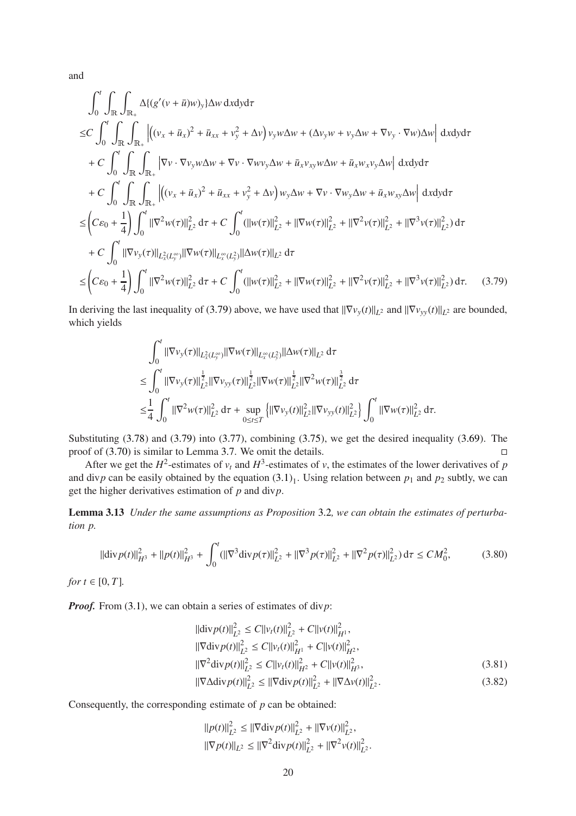and

Z *<sup>t</sup>*

$$
\int_{0}^{t} \int_{\mathbb{R}} \int_{\mathbb{R}_{+}} \Delta\{(g'(v + \bar{u})w)_y\} \Delta w \, dxdyd\tau
$$
  
\n
$$
\leq C \int_{0}^{t} \int_{\mathbb{R}} \int_{\mathbb{R}_{+}} \left| \left( (v_x + \bar{u}_x)^2 + \bar{u}_{xx} + v_y^2 + \Delta v \right) v_y w \Delta w + (\Delta v_y w + v_y \Delta w + \nabla v_y \cdot \nabla w) \Delta w \right| dxdyd\tau
$$
  
\n
$$
+ C \int_{0}^{t} \int_{\mathbb{R}} \int_{\mathbb{R}_{+}} \left| \nabla v \cdot \nabla v_y w \Delta w + \nabla v \cdot \nabla w v_y \Delta w + \bar{u}_x v_{xy} w \Delta w + \bar{u}_x w_x v_y \Delta w \right| dxdyd\tau
$$
  
\n
$$
+ C \int_{0}^{t} \int_{\mathbb{R}} \int_{\mathbb{R}_{+}} \left| \left( (v_x + \bar{u}_x)^2 + \bar{u}_{xx} + v_y^2 + \Delta v \right) w_y \Delta w + \nabla v \cdot \nabla w_y \Delta w + \bar{u}_x w_{xy} \Delta w \right| dxdyd\tau
$$
  
\n
$$
\leq \left( C\varepsilon_{0} + \frac{1}{4} \right) \int_{0}^{t} \left\| \nabla^{2}w(\tau) \right\|_{L^{2}}^{2} d\tau + C \int_{0}^{t} (\left\| w(\tau) \right\|_{L^{2}}^{2} + \left\| \nabla w(\tau) \right\|_{L^{2}}^{2} + \left\| \nabla^{2}v(\tau) \right\|_{L^{2}}^{2} + \left\| \nabla^{3}v(\tau) \right\|_{L^{2}}^{2} \right) d\tau
$$
  
\n
$$
\leq \left( C\varepsilon_{0} + \frac{1}{4} \right) \int_{0}^{t} \left\| \nabla^{2}w(\tau) \right\|_{L^{2}}^{2} d\tau + C \int_{0}^{t} (\left\| w(\tau) \right\|_{L^{2}}^{2} + \left\| \nabla w(\tau) \right\|_{L^{2}}^{2} + \left\| \nabla^{2}v(\tau)
$$

<span id="page-19-0"></span>In deriving the last inequality of [\(3.79\)](#page-19-0) above, we have used that  $\|\nabla v_y(t)\|_{L^2}$  and  $\|\nabla v_{yy}(t)\|_{L^2}$  are bounded, which yields

$$
\int_0^t \|\nabla v_y(\tau)\|_{L^2_x(L_y^\infty)} \|\nabla w(\tau)\|_{L^{\infty}_x(L_y^2)} \|\Delta w(\tau)\|_{L^2} d\tau
$$
\n
$$
\leq \int_0^t \|\nabla v_y(\tau)\|_{L^2}^{\frac{1}{2}} \|\nabla v_{yy}(\tau)\|_{L^2}^{\frac{1}{2}} \|\nabla w(\tau)\|_{L^2}^{\frac{1}{2}} \|\nabla^2 w(\tau)\|_{L^2}^{\frac{3}{2}} d\tau
$$
\n
$$
\leq \frac{1}{4} \int_0^t \|\nabla^2 w(\tau)\|_{L^2}^2 d\tau + \sup_{0 \leq t \leq T} \left\{ \|\nabla v_y(t)\|_{L^2}^2 \|\nabla v_{yy}(t)\|_{L^2}^2 \right\} \int_0^t \|\nabla w(\tau)\|_{L^2}^2 d\tau.
$$

Substituting [\(3.78\)](#page-18-3) and [\(3.79\)](#page-19-0) into [\(3.77\)](#page-18-2), combining [\(3.75\)](#page-18-0), we get the desired inequality [\(3.69\)](#page-17-4). The proof of  $(3.70)$  is similar to Lemma 3.[7.](#page-10-4) We omit the details.

After we get the  $H^2$ -estimates of  $v_t$  and  $H^3$ -estimates of *v*, the estimates of the lower derivatives of *p* and div*p* can be easily obtained by the equation  $(3.1)_1$ . Using relation between  $p_1$  and  $p_2$  subtly, we can get the higher derivatives estimation of *p* and div*p*.

Lemma 3.13 *Under the same assumptions as Proposition* [3](#page-7-3).2*, we can obtain the estimates of perturbation p.*

$$
\|\text{div}\,p(t)\|_{H^3}^2 + \|p(t)\|_{H^3}^2 + \int_0^t (\|\nabla^3 \text{div}\,p(\tau)\|_{L^2}^2 + \|\nabla^3 p(\tau)\|_{L^2}^2 + \|\nabla^2 p(\tau)\|_{L^2}^2) \,d\tau \le CM_0^2,\tag{3.80}
$$

*for*  $t \in [0, T]$ *.* 

*Proof.* From [\(3.1\)](#page-6-2), we can obtain a series of estimates of div*p*:

<span id="page-19-3"></span>
$$
\|\text{div}\,p(t)\|_{L^2}^2 \le C\|v_t(t)\|_{L^2}^2 + C\|v(t)\|_{H^1}^2,
$$
  

$$
\|\nabla \text{div}\,p(t)\|_{L^2}^2 \le C\|v_t(t)\|_{H^1}^2 + C\|v(t)\|_{H^2}^2,
$$

$$
\|\nabla^2 \text{div} \, p(t)\|_{L^2}^2 \le C \|v_t(t)\|_{H^2}^2 + C \|v(t)\|_{H^3}^2,\tag{3.81}
$$

$$
\|\nabla \Delta \text{div} \, p(t)\|_{L^2}^2 \le \|\nabla \text{div} \, p(t)\|_{L^2}^2 + \|\nabla \Delta v(t)\|_{L^2}^2. \tag{3.82}
$$

Consequently, the corresponding estimate of *p* can be obtained:

<span id="page-19-2"></span><span id="page-19-1"></span>
$$
\begin{aligned} ||p(t)||_{L^2}^2 &\le ||\nabla \text{div} p(t)||_{L^2}^2 + ||\nabla v(t)||_{L^2}^2, \\ ||\nabla p(t)||_{L^2} &\le ||\nabla^2 \text{div} p(t)||_{L^2}^2 + ||\nabla^2 v(t)||_{L^2}^2. \end{aligned}
$$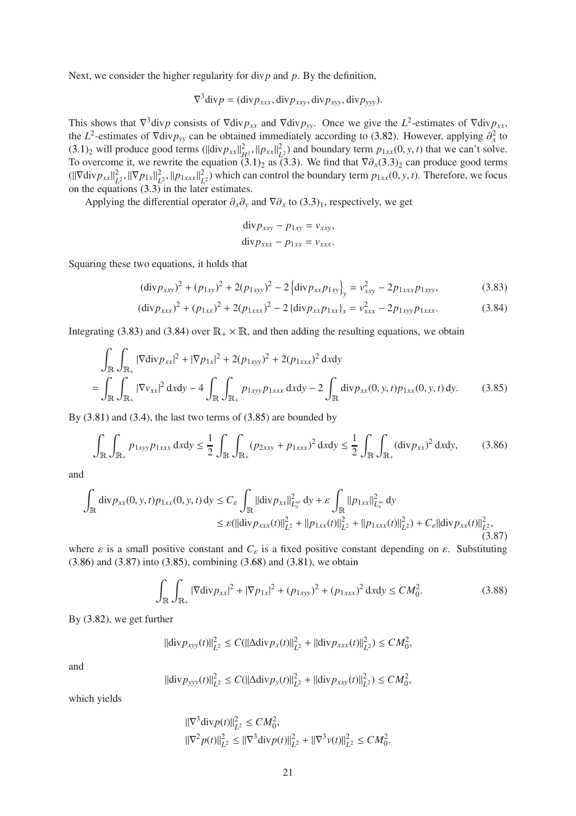Next, we consider the higher regularity for div*p* and *p*. By the definition,

$$
\nabla^3 \text{div} p = (\text{div} p_{xxx}, \text{div} p_{xxy}, \text{div} p_{xyy}, \text{div} p_{yyy}).
$$

This shows that  $\nabla^3$  div*p* consists of  $\nabla$  div*p*<sub>*xx*</sub> and  $\nabla$  div*p*<sub>*yy*</sub>. Once we give the *L*<sup>2</sup>-estimates of  $\nabla$  div*p*<sub>*xx*</sub>, the *L*<sup>2</sup>-estimates of  $\nabla \text{div} p_{yy}$  can be obtained immediately according to [\(3.82\)](#page-19-1). However, applying  $\partial_x^2$  to  $(3.1)_2$  $(3.1)_2$  will produce good terms  $(||div p_{xx}||^2_{H^1}, ||p_{xx}||^2_{L^2})$  $L<sup>2</sup>$  and boundary term  $p_{1xx}(0, y, t)$  that we can't solve. To overcome it, we rewrite the equation  $(3.1)_2$  as  $(3.3)$ . We find that  $\nabla \partial_x (3.3)_2$  can produce good terms  $(||\nabla \text{div} p_{xx}||^2_L$  $L^2$ ,  $\|\nabla p_{1x}\|_L^2$  $L^2$ ,  $||p_{1xxx}||_L^2$  $L_2^2$ ) which can control the boundary term  $p_{1xx}(0, y, t)$ . Therefore, we focus on the equations  $(3.3)$  in the later estimates.

Applying the differential operator  $\partial_x \partial_y$  and  $\nabla \partial_x$  to  $(3.3)_1$ , respectively, we get

<span id="page-20-3"></span><span id="page-20-2"></span>
$$
\begin{aligned}\n\text{div} \, p_{xxy} - p_{1xy} &= v_{xxy}, \\
\text{div} \, p_{xxx} - p_{1xx} &= v_{xxx}.\n\end{aligned}
$$

Squaring these two equations, it holds that

$$
(\text{div} p_{xxy})^2 + (p_{1xy})^2 + 2(p_{1xyy})^2 - 2\left\{\text{div} p_{xx} p_{1xy}\right\}_y = v_{xxy}^2 - 2p_{1xxx} p_{1xyy},\tag{3.83}
$$

$$
(\text{div} p_{xxx})^2 + (p_{1xx})^2 + 2(p_{1xxx})^2 - 2\{\text{div} p_{xx} p_{1xx}\}_x = v_{xxx}^2 - 2p_{1xyy} p_{1xxx}.
$$
 (3.84)

Integrating [\(3.83\)](#page-20-2) and [\(3.84\)](#page-20-3) over  $\mathbb{R}_+ \times \mathbb{R}$ , and then adding the resulting equations, we obtain

<span id="page-20-0"></span>
$$
\int_{\mathbb{R}} \int_{\mathbb{R}_{+}} |\nabla \text{div} p_{xx}|^{2} + |\nabla p_{1x}|^{2} + 2(p_{1xyy})^{2} + 2(p_{1xxx})^{2} \text{d}x \text{d}y
$$
\n
$$
= \int_{\mathbb{R}} \int_{\mathbb{R}_{+}} |\nabla v_{xx}|^{2} \text{d}x \text{d}y - 4 \int_{\mathbb{R}} \int_{\mathbb{R}_{+}} p_{1xyy} p_{1xxx} \text{d}x \text{d}y - 2 \int_{\mathbb{R}} \text{div} p_{xx}(0, y, t) p_{1xx}(0, y, t) \text{d}y. \tag{3.85}
$$

By [\(3.81\)](#page-19-2) and [\(3.4\)](#page-7-1), the last two terms of [\(3.85\)](#page-20-0) are bounded by

<span id="page-20-4"></span>
$$
\int_{\mathbb{R}} \int_{\mathbb{R}_{+}} p_{1xyy} p_{1xxx} \, dx \, dy \le \frac{1}{2} \int_{\mathbb{R}} \int_{\mathbb{R}_{+}} (p_{2xxy} + p_{1xxx})^2 \, dx \, dy \le \frac{1}{2} \int_{\mathbb{R}} \int_{\mathbb{R}_{+}} (\text{div} \, p_{xx})^2 \, dx \, dy, \tag{3.86}
$$

and

<span id="page-20-1"></span>
$$
\int_{\mathbb{R}} \text{div} p_{xx}(0, y, t) p_{1xx}(0, y, t) \, dy \le C_{\varepsilon} \int_{\mathbb{R}} ||\text{div} p_{xx}||_{L_{x}^{\infty}}^{2} \, dy + \varepsilon \int_{\mathbb{R}} ||p_{1xx}||_{L_{x}^{\infty}}^{2} \, dy
$$
\n
$$
\le \varepsilon (||\text{div} p_{xxx}(t)||_{L_{x}^{2}}^{2} + ||p_{1xx}(t)||_{L_{x}^{2}}^{2} + ||p_{1xxx}(t)||_{L_{x}^{2}}^{2}) + C_{\varepsilon} ||\text{div} p_{xx}(t)||_{L_{x}^{2}}^{2},
$$
\n(3.87)

where  $\varepsilon$  is a small positive constant and  $C_{\varepsilon}$  is a fixed positive constant depending on  $\varepsilon$ . Substituting [\(3.86\)](#page-20-4) and [\(3.87\)](#page-20-1) into [\(3.85\)](#page-20-0), combining [\(3.68\)](#page-16-4) and [\(3.81\)](#page-19-2), we obtain

<span id="page-20-5"></span>
$$
\int_{\mathbb{R}} \int_{\mathbb{R}_{+}} |\nabla \text{div} \, p_{xx}|^{2} + |\nabla p_{1x}|^{2} + (p_{1xyy})^{2} + (p_{1xxx})^{2} \, \text{d}x \text{d}y \le CM_{0}^{2}.
$$
\n(3.88)

By [\(3.82\)](#page-19-1), we get further

$$
\|{\text {div}}{p_{xyy}}(t)\|_{L^2}^2 \leq C(\|\Delta{\text {div}}{p_x}(t)\|_{L^2}^2+\|{\text {div}}{p_{xxx}}(t)\|_{L^2}^2)\leq CM_0^2,
$$

and

$$
\|\text{div} \, p_{\text{yyy}}(t)\|_{L^2}^2 \le C(\|\Delta \text{div} \, p_{\text{y}}(t)\|_{L^2}^2 + \|\text{div} \, p_{\text{xxy}}(t)\|_{L^2}^2) \le CM_0^2,
$$

which yields

$$
\begin{aligned} \|\nabla^3 \text{div} \, p(t)\|_{L^2}^2 &\leq CM_0^2, \\ \|\nabla^2 p(t)\|_{L^2}^2 &\leq \|\nabla^3 \text{div} \, p(t)\|_{L^2}^2 + \|\nabla^3 v(t)\|_{L^2}^2 \leq CM_0^2. \end{aligned}
$$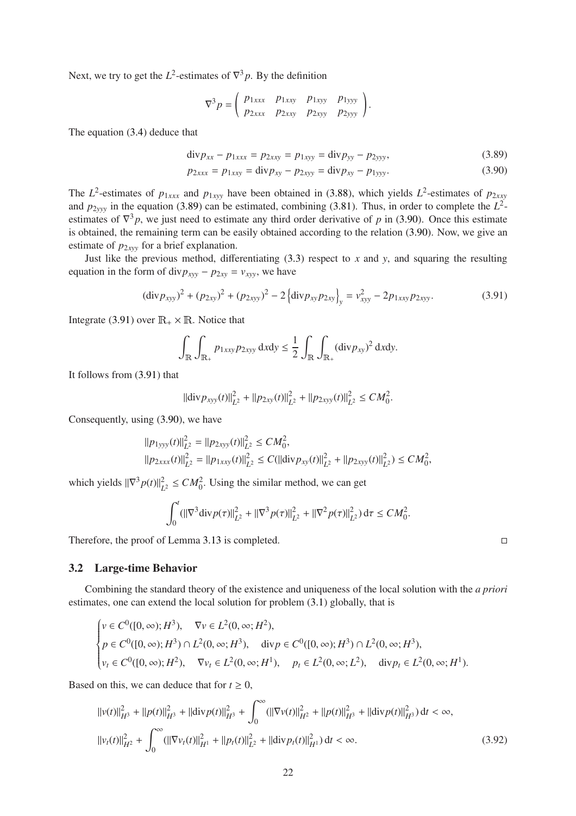Next, we try to get the  $L^2$ -estimates of  $\nabla^3 p$ . By the definition

<span id="page-21-2"></span><span id="page-21-1"></span>
$$
\nabla^3 p = \begin{pmatrix} p_{1xxx} & p_{1xxy} & p_{1xyy} & p_{1yyy} \\ p_{2xxx} & p_{2xxy} & p_{2xyy} & p_{2yyy} \end{pmatrix}.
$$

The equation [\(3.4\)](#page-7-1) deduce that

$$
\text{div} p_{xx} - p_{1xxx} = p_{2xxy} = p_{1xyy} = \text{div} p_{yy} - p_{2yyy},\tag{3.89}
$$

$$
p_{2xxx} = p_{1xxy} = \text{div} p_{xy} - p_{2xyy} = \text{div} p_{xy} - p_{1yyy}.
$$
 (3.90)

The  $L^2$ -estimates of  $p_{1xxx}$  and  $p_{1xyy}$  have been obtained in [\(3.88\)](#page-20-5), which yields  $L^2$ -estimates of  $p_{2xxy}$ and  $p_{2yyy}$  in the equation [\(3.89\)](#page-21-1) can be estimated, combining [\(3.81\)](#page-19-2). Thus, in order to complete the  $L^2$ estimates of  $\nabla^3 p$ , we just need to estimate any third order derivative of *p* in [\(3.90\)](#page-21-2). Once this estimate is obtained, the remaining term can be easily obtained according to the relation [\(3.90\)](#page-21-2). Now, we give an estimate of  $p_{2xyy}$  for a brief explanation.

Just like the previous method, differentiating  $(3.3)$  respect to  $x$  and  $y$ , and squaring the resulting equation in the form of div $p_{xyy} - p_{2xy} = v_{xyy}$ , we have

<span id="page-21-3"></span>
$$
(\text{div} p_{xyy})^2 + (p_{2xy})^2 + (p_{2xyy})^2 - 2\left\{\text{div} p_{xy} p_{2xy}\right\}_y = v_{xyy}^2 - 2p_{1xxy} p_{2xyy}.
$$
 (3.91)

Integrate [\(3.91\)](#page-21-3) over  $\mathbb{R}_+ \times \mathbb{R}$ . Notice that

$$
\int_{\mathbb{R}} \int_{\mathbb{R}_+} p_{1xxy} p_{2xyy} \, \mathrm{d}x \mathrm{d}y \leq \frac{1}{2} \int_{\mathbb{R}} \int_{\mathbb{R}_+} (\mathrm{div} p_{xy})^2 \, \mathrm{d}x \mathrm{d}y.
$$

It follows from [\(3.91\)](#page-21-3) that

$$
\|\text{div} p_{xyy}(t)\|_{L^2}^2 + \|p_{2xy}(t)\|_{L^2}^2 + \|p_{2xyy}(t)\|_{L^2}^2 \le CM_0^2.
$$

Consequently, using [\(3.90\)](#page-21-2), we have

$$
\begin{aligned} ||p_{1yyy}(t)||_{L^2}^2 &= ||p_{2xyy}(t)||_{L^2}^2 \le CM_0^2, \\ ||p_{2xxx}(t)||_{L^2}^2 &= ||p_{1xxy}(t)||_{L^2}^2 \le C(||\text{div } p_{xy}(t)||_{L^2}^2 + ||p_{2xyy}(t)||_{L^2}^2) \le CM_0^2, \end{aligned}
$$

which yields  $\|\nabla^3 p(t)\|_{L}^2$  $L^2 \le CM_0^2$ . Using the similar method, we can get

$$
\int_0^t (||\nabla^3 \text{div} \, p(\tau)||^2_{L^2} + ||\nabla^3 p(\tau)||^2_{L^2} + ||\nabla^2 p(\tau)||^2_{L^2}) \, d\tau \le CM_0^2
$$

Therefore, the proof of Lemma 3.[13](#page-19-3) is completed.

#### <span id="page-21-0"></span>3.2 Large-time Behavior

Combining the standard theory of the existence and uniqueness of the local solution with the *a priori* estimates, one can extend the local solution for problem [\(3.1\)](#page-6-2) globally, that is

$$
\begin{cases}\nv \in C^0([0,\infty); H^3), & \nabla v \in L^2(0,\infty; H^2), \\
p \in C^0([0,\infty); H^3) \cap L^2(0,\infty; H^3), & \text{div } p \in C^0([0,\infty); H^3) \cap L^2(0,\infty; H^3), \\
v_t \in C^0([0,\infty); H^2), & \nabla v_t \in L^2(0,\infty; H^1), & p_t \in L^2(0,\infty; L^2), & \text{div } p_t \in L^2(0,\infty; H^1).\n\end{cases}
$$

Based on this, we can deduce that for  $t > 0$ ,

<span id="page-21-4"></span>
$$
||v(t)||_{H^3}^2 + ||p(t)||_{H^3}^2 + ||\text{div}p(t)||_{H^3}^2 + \int_0^\infty (||\nabla v(t)||_{H^2}^2 + ||p(t)||_{H^3}^2 + ||\text{div}p(t)||_{H^3}^2) dt < \infty,
$$
  

$$
||v_t(t)||_{H^2}^2 + \int_0^\infty (||\nabla v_t(t)||_{H^1}^2 + ||p_t(t)||_{L^2}^2 + ||\text{div}p_t(t)||_{H^1}^2) dt < \infty.
$$
 (3.92)

.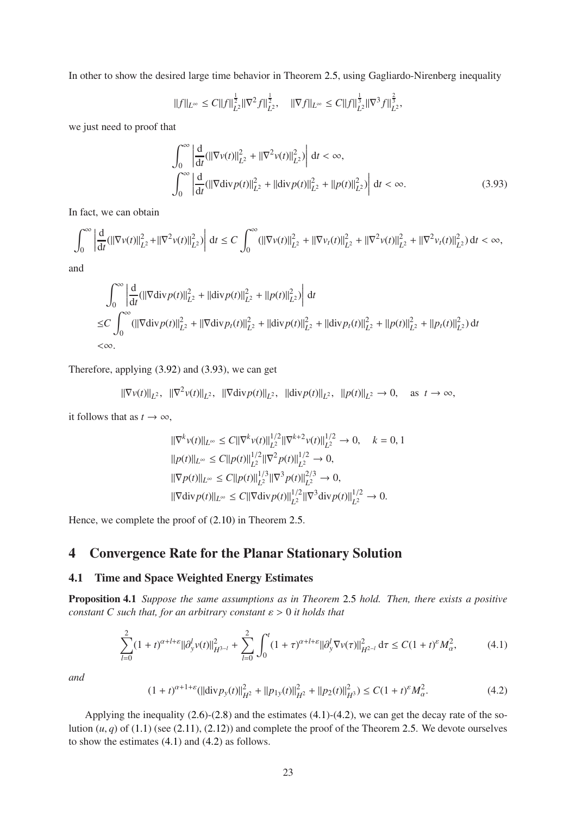In other to show the desired large time behavior in Theorem 2.[5,](#page-5-6) using Gagliardo-Nirenberg inequality

$$
\|f\|_{L^\infty}\leq C\|f\|_{L^2}^\frac{1}{2}\|\nabla^2 f\|_{L^2}^\frac{1}{2},\quad \|\nabla f\|_{L^\infty}\leq C\|f\|_{L^2}^\frac{1}{3}\|\nabla^3 f\|_{L^2}^\frac{2}{3},
$$

we just need to proof that

<span id="page-22-2"></span>
$$
\int_0^{\infty} \left| \frac{d}{dt} (||\nabla v(t)||_{L^2}^2 + ||\nabla^2 v(t)||_{L^2}^2) \right| dt < \infty,
$$
  

$$
\int_0^{\infty} \left| \frac{d}{dt} (||\nabla \text{div} p(t)||_{L^2}^2 + ||\text{div} p(t)||_{L^2}^2 + ||p(t)||_{L^2}^2) \right| dt < \infty.
$$
 (3.93)

In fact, we can obtain

$$
\int_0^{\infty} \left| \frac{d}{dt} (||\nabla v(t)||_{L^2}^2 + ||\nabla^2 v(t)||_{L^2}^2) \right| dt \le C \int_0^{\infty} (||\nabla v(t)||_{L^2}^2 + ||\nabla v_t(t)||_{L^2}^2 + ||\nabla^2 v(t)||_{L^2}^2 + ||\nabla^2 v_t(t)||_{L^2}^2) dt < \infty,
$$

and

$$
\int_0^\infty \left| \frac{d}{dt} (||\nabla \text{div} \, p(t)||_{L^2}^2 + ||\text{div} \, p(t)||_{L^2}^2 + ||p(t)||_{L^2}^2) \right| dt
$$
\n
$$
\leq C \int_0^\infty (||\nabla \text{div} \, p(t)||_{L^2}^2 + ||\nabla \text{div} \, p(t)||_{L^2}^2 + ||\text{div} \, p(t)||_{L^2}^2 + ||\text{div} \, p(t)||_{L^2}^2 + ||p(t)||_{L^2}^2 + ||p_t(t)||_{L^2}^2) dt
$$
\n
$$
<\infty.
$$

Therefore, applying [\(3.92\)](#page-21-4) and [\(3.93\)](#page-22-2), we can get

$$
\|\nabla v(t)\|_{L^2}, \|\nabla^2 v(t)\|_{L^2}, \|\nabla \text{div} \, p(t)\|_{L^2}, \|\text{div} \, p(t)\|_{L^2}, \|\text{div} \, p(t)\|_{L^2} \to 0, \quad \text{as } t \to \infty,
$$

it follows that as  $t \to \infty$ ,

$$
\begin{aligned} &\|\nabla^k v(t)\|_{L^\infty} \leq C \|\nabla^k v(t)\|_{L^2}^{1/2} \|\nabla^{k+2} v(t)\|_{L^2}^{1/2} \to 0, \quad k = 0, 1 \\ &\|p(t)\|_{L^\infty} \leq C \|p(t)\|_{L^2}^{1/2} \|\nabla^2 p(t)\|_{L^2}^{1/2} \to 0, \\ &\|\nabla p(t)\|_{L^\infty} \leq C \|p(t)\|_{L^2}^{1/3} \|\nabla^3 p(t)\|_{L^2}^{2/3} \to 0, \\ &\|\nabla \text{div} p(t)\|_{L^\infty} \leq C \|\nabla \text{div} p(t)\|_{L^2}^{1/2} \|\nabla^3 \text{div} p(t)\|_{L^2}^{1/2} \to 0. \end{aligned}
$$

Hence, we complete the proof of [\(2.10\)](#page-5-7) in Theorem 2.[5.](#page-5-6)

## <span id="page-22-0"></span>4 Convergence Rate for the Planar Stationary Solution

#### <span id="page-22-1"></span>4.1 Time and Space Weighted Energy Estimates

Proposition 4.1 *Suppose the same assumptions as in Theorem* [2](#page-5-6).5 *hold. Then, there exists a positive constant C such that, for an arbitrary constant* ε > 0 *it holds that*

<span id="page-22-3"></span>
$$
\sum_{l=0}^{2} (1+t)^{\alpha+l+\varepsilon} ||\partial_{y}^{l} v(t)||_{H^{3-l}}^{2} + \sum_{l=0}^{2} \int_{0}^{t} (1+\tau)^{\alpha+l+\varepsilon} ||\partial_{y}^{l} \nabla v(\tau)||_{H^{2-l}}^{2} d\tau \le C(1+t)^{\varepsilon} M_{\alpha}^{2},
$$
(4.1)

*and*

<span id="page-22-5"></span><span id="page-22-4"></span>
$$
(1+t)^{\alpha+1+\varepsilon}(\|\text{div} \, p_y(t)\|_{H^2}^2 + \|p_{1y}(t)\|_{H^2}^2 + \|p_2(t)\|_{H^3}^2) \le C(1+t)^{\varepsilon} M_{\alpha}^2.
$$
\n
$$
(4.2)
$$

Applying the inequality [\(2.6\)](#page-5-8)-[\(2.8\)](#page-5-9) and the estimates [\(4.1\)](#page-22-3)-[\(4.2\)](#page-22-4), we can get the decay rate of the solution  $(u, q)$  of [\(1.1\)](#page-1-1) (see [\(2.11\)](#page-5-5), [\(2.12\)](#page-6-4)) and complete the proof of the Theorem 2.[5.](#page-5-6) We devote ourselves to show the estimates [\(4.1\)](#page-22-3) and [\(4.2\)](#page-22-4) as follows.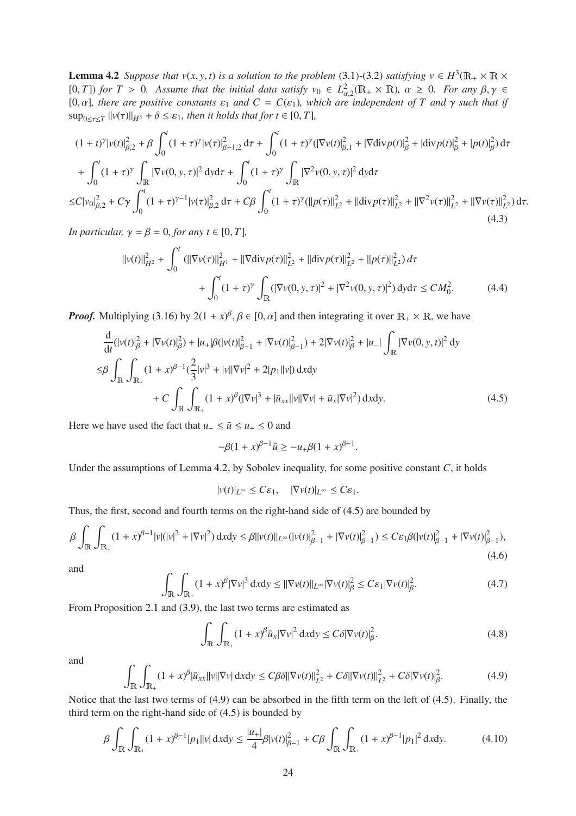**Lemma 4.2** *Suppose that*  $v(x, y, t)$  *is a solution to the problem* [\(3.1\)](#page-6-2)-[\(3.2\)](#page-6-5) *satisfying*  $v \in H^3(\mathbb{R}_+ \times \mathbb{R} \times$  $(0, T)$  *for*  $T > 0$ *. Assume that the initial data satisfy*  $v_0 \in L^2_{\alpha,2}(\mathbb{R}_+ \times \mathbb{R})$ *,*  $\alpha \geq 0$ *. For any*  $\beta, \gamma \in$ [0,  $\alpha$ ], there are positive constants  $\varepsilon_1$  and  $C = C(\varepsilon_1)$ , which are independent of T and  $\gamma$  such that if  $\sup_{0 \le \tau \le T} ||v(\tau)||_{H^3} + \delta \le \varepsilon_1$ *, then it holds that for t*  $\in [0, T]$ *,* 

$$
(1+t)^{\gamma}|v(t)|_{\beta,2}^{2} + \beta \int_{0}^{t} (1+\tau)^{\gamma}|v(\tau)|_{\beta-1,2}^{2} d\tau + \int_{0}^{t} (1+\tau)^{\gamma} (|\nabla v(t)|_{\beta,1}^{2} + |\nabla \text{div} p(t)|_{\beta}^{2} + |\text{div} p(t)|_{\beta}^{2} + |p(t)|_{\beta}^{2}) d\tau + \int_{0}^{t} (1+\tau)^{\gamma} \int_{\mathbb{R}} |\nabla v(0,y,\tau)|^{2} dy d\tau + \int_{0}^{t} (1+\tau)^{\gamma} \int_{\mathbb{R}} |\nabla^{2} v(0,y,\tau)|^{2} dy d\tau \leq C|v_{0}|_{\beta,2}^{2} + C\gamma \int_{0}^{t} (1+\tau)^{\gamma-1} |v(\tau)|_{\beta,2}^{2} d\tau + C\beta \int_{0}^{t} (1+\tau)^{\gamma} (||p(\tau)||_{L^{2}}^{2} + ||\text{div} p(\tau)||_{L^{2}}^{2} + ||\nabla^{2} v(\tau)||_{L^{2}}^{2} + ||\nabla v(\tau)||_{L^{2}}^{2}) d\tau.
$$
\n(4.3)

<span id="page-23-4"></span>*In particular,*  $\gamma = \beta = 0$ *, for any t*  $\in [0, T]$ *,* 

<span id="page-23-5"></span>
$$
||v(t)||_{H^2}^2 + \int_0^t (||\nabla v(\tau)||_{H^1}^2 + ||\nabla \text{div} p(\tau)||_{L^2}^2 + ||\text{div} p(\tau)||_{L^2}^2 + ||p(\tau)||_{L^2}^2) d\tau + \int_0^t (1+\tau)^\gamma \int_{\mathbb{R}} (|\nabla v(0, y, \tau)|^2 + |\nabla^2 v(0, y, \tau)|^2) dy d\tau \le CM_0^2.
$$
 (4.4)

*Proof.* Multiplying [\(3.16\)](#page-8-0) by  $2(1 + x)^{\beta}, \beta \in [0, \alpha]$  and then integrating it over  $\mathbb{R}_+ \times \mathbb{R}$ , we have

$$
\frac{d}{dt}(|v(t)|_{\beta}^{2} + |\nabla v(t)|_{\beta}^{2}) + |u_{+}|\beta(|v(t)|_{\beta-1}^{2} + |\nabla v(t)|_{\beta-1}^{2}) + 2|\nabla v(t)|_{\beta}^{2} + |u_{-}| \int_{\mathbb{R}} |\nabla v(0, y, t)|^{2} dy
$$
\n
$$
\leq \beta \int_{\mathbb{R}} \int_{\mathbb{R}_{+}} (1 + x)^{\beta-1} (\frac{2}{3}|v|^{3} + |v||\nabla v|^{2} + 2|p_{1}||v|) dxdy
$$
\n
$$
+ C \int_{\mathbb{R}} \int_{\mathbb{R}_{+}} (1 + x)^{\beta} (|\nabla v|^{3} + |\bar{u}_{xx}||v||\nabla v| + \bar{u}_{x}|\nabla v|^{2}) dxdy.
$$
\n(4.5)

<span id="page-23-0"></span>Here we have used the fact that  $u_-\leq \bar{u}\leq u_+\leq 0$  and

$$
-\beta(1+x)^{\beta-1}\bar{u} \ge -u_+\beta(1+x)^{\beta-1}.
$$

Under the assumptions of Lemma 4.[2,](#page-22-5) by Sobolev inequality, for some positive constant *C*, it holds

$$
|v(t)|_{L^{\infty}} \leq C\varepsilon_1, \quad |\nabla v(t)|_{L^{\infty}} \leq C\varepsilon_1.
$$

Thus, the first, second and fourth terms on the right-hand side of [\(4.5\)](#page-23-0) are bounded by

<span id="page-23-2"></span>
$$
\beta \int_{\mathbb{R}} \int_{\mathbb{R}_+} (1+x)^{\beta-1} |\nu| (|\nu|^2 + |\nabla \nu|^2) \, dxdy \le \beta ||\nu(t)||_{L^{\infty}} (|\nu(t)|_{\beta-1}^2 + |\nabla \nu(t)|_{\beta-1}^2) \le C \varepsilon_1 \beta (|\nu(t)|_{\beta-1}^2 + |\nabla \nu(t)|_{\beta-1}^2),\tag{4.6}
$$

and

$$
\int_{\mathbb{R}} \int_{\mathbb{R}_+} (1+x)^{\beta} |\nabla v|^3 dx dy \le ||\nabla v(t)||_{L^{\infty}} |\nabla v(t)|_{\beta}^2 \le C\varepsilon_1 |\nabla v(t)|_{\beta}^2.
$$
 (4.7)

From Proposition [2](#page-4-2).1 and [\(3.9\)](#page-7-6), the last two terms are estimated as

$$
\int_{\mathbb{R}} \int_{\mathbb{R}_+} (1+x)^{\beta} \bar{u}_x |\nabla v|^2 dx dy \le C\delta |\nabla v(t)|_{\beta}^2.
$$
 (4.8)

and

<span id="page-23-1"></span>
$$
\int_{\mathbb{R}} \int_{\mathbb{R}_+} (1+x)^{\beta} |\bar{u}_{xx}||v||\nabla v| \, \mathrm{d}x \mathrm{d}y \leq C\beta \delta ||\nabla v(t)||_{L^2}^2 + C\delta ||\nabla v(t)||_{L^2}^2 + C\delta |\nabla v(t)|_{\beta}^2. \tag{4.9}
$$

Notice that the last two terms of [\(4.9\)](#page-23-1) can be absorbed in the fifth term on the left of [\(4.5\)](#page-23-0). Finally, the third term on the right-hand side of [\(4.5\)](#page-23-0) is bounded by

<span id="page-23-3"></span>
$$
\beta \int_{\mathbb{R}} \int_{\mathbb{R}_+} (1+x)^{\beta-1} |p_1| |v| \, \mathrm{d}x \mathrm{d}y \le \frac{|u_+|}{4} \beta |v(t)|_{\beta-1}^2 + C \beta \int_{\mathbb{R}} \int_{\mathbb{R}_+} (1+x)^{\beta-1} |p_1|^2 \, \mathrm{d}x \mathrm{d}y. \tag{4.10}
$$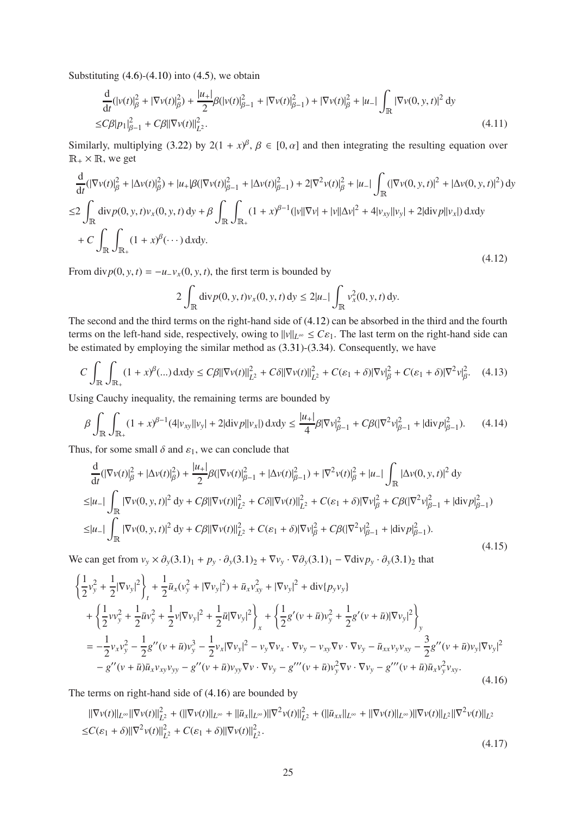Substituting  $(4.6)-(4.10)$  $(4.6)-(4.10)$  into  $(4.5)$ , we obtain

<span id="page-24-2"></span>
$$
\frac{d}{dt}(|v(t)|_{\beta}^{2} + |\nabla v(t)|_{\beta}^{2}) + \frac{|u_{+}|}{2}\beta(|v(t)|_{\beta-1}^{2} + |\nabla v(t)|_{\beta-1}^{2}) + |\nabla v(t)|_{\beta}^{2} + |u_{-}| \int_{\mathbb{R}} |\nabla v(0, y, t)|^{2} dy
$$
\n
$$
\leq C\beta |p_{1}|_{\beta-1}^{2} + C\beta ||\nabla v(t)||_{L^{2}}^{2}.
$$
\n(4.11)

Similarly, multiplying [\(3.22\)](#page-9-3) by  $2(1 + x)^\beta$ ,  $\beta \in [0, \alpha]$  and then integrating the resulting equation over  $\mathbb{R}_+ \times \mathbb{R}$ , we get

$$
\frac{d}{dt}(|\nabla v(t)|_{\beta}^{2} + |\Delta v(t)|_{\beta}^{2}) + |u_{+}|\beta(|\nabla v(t)|_{\beta-1}^{2} + |\Delta v(t)|_{\beta-1}^{2}) + 2|\nabla^{2}v(t)|_{\beta}^{2} + |u_{-}|\int_{\mathbb{R}}(|\nabla v(0, y, t)|^{2} + |\Delta v(0, y, t)|^{2}) dy
$$
\n
$$
\leq 2 \int_{\mathbb{R}} \operatorname{div} p(0, y, t)v_{x}(0, y, t) dy + \beta \int_{\mathbb{R}} \int_{\mathbb{R}_{+}} (1 + x)^{\beta-1} (|v||\nabla v| + |v||\Delta v|^{2} + 4|v_{xy}||v_{y}| + 2|\operatorname{div} p||v_{x}|) dxdy
$$
\n
$$
+ C \int_{\mathbb{R}} \int_{\mathbb{R}_{+}} (1 + x)^{\beta} (\cdots) dxdy.
$$
\n(4.12)

<span id="page-24-0"></span>From div $p(0, y, t) = -u_{-}v_{x}(0, y, t)$ , the first term is bounded by

$$
2\int_{\mathbb{R}}\mathrm{div}p(0,y,t)v_{x}(0,y,t)\,dy\leq2|u_{-}|\int_{\mathbb{R}}v_{x}^{2}(0,y,t)\,dy.
$$

The second and the third terms on the right-hand side of [\(4.12\)](#page-24-0) can be absorbed in the third and the fourth terms on the left-hand side, respectively, owing to  $||v||_{L^{\infty}} \leq C \varepsilon_1$ . The last term on the right-hand side can be estimated by employing the similar method as [\(3.31\)](#page-10-6)-[\(3.34\)](#page-10-3). Consequently, we have

$$
C \int_{\mathbb{R}} \int_{\mathbb{R}_+} (1+x)^{\beta}(\ldots) dx dy \le C\beta \|\nabla v(t)\|_{L^2}^2 + C\delta \|\nabla v(t)\|_{L^2}^2 + C(\varepsilon_1 + \delta) \|\nabla v\|_{\beta}^2 + C(\varepsilon_1 + \delta) \|\nabla^2 v\|_{\beta}^2. \tag{4.13}
$$

Using Cauchy inequality, the remaining terms are bounded by

$$
\beta \int_{\mathbb{R}} \int_{\mathbb{R}_+} (1+x)^{\beta-1} (4|v_{xy}||v_y| + 2|\text{div} \, p||v_x|) \, dxdy \le \frac{|u_+|}{4} \beta |\nabla v|_{\beta-1}^2 + C\beta (|\nabla^2 v|_{\beta-1}^2 + |\text{div} \, p|_{\beta-1}^2). \tag{4.14}
$$

Thus, for some small  $\delta$  and  $\varepsilon_1$ , we can conclude that

$$
\frac{d}{dt}(|\nabla v(t)|_{\beta}^{2} + |\Delta v(t)|_{\beta}^{2}) + \frac{|u_{+}|}{2}\beta(|\nabla v(t)|_{\beta-1}^{2} + |\Delta v(t)|_{\beta-1}^{2}) + |\nabla^{2} v(t)|_{\beta}^{2} + |u_{-}| \int_{\mathbb{R}} |\Delta v(0, y, t)|^{2} dy
$$
\n
$$
\leq |u_{-}| \int_{\mathbb{R}} |\nabla v(0, y, t)|^{2} dy + C\beta ||\nabla v(t)||_{L^{2}}^{2} + C\delta ||\nabla v(t)||_{L^{2}}^{2} + C(\varepsilon_{1} + \delta) |\nabla v|_{\beta}^{2} + C\beta (|\nabla^{2} v|_{\beta-1}^{2} + |\text{div} p|_{\beta-1}^{2})
$$
\n
$$
\leq |u_{-}| \int_{\mathbb{R}} |\nabla v(0, y, t)|^{2} dy + C\beta ||\nabla v(t)||_{L^{2}}^{2} + C(\varepsilon_{1} + \delta) |\nabla v|_{\beta}^{2} + C\beta (|\nabla^{2} v|_{\beta-1}^{2} + |\text{div} p|_{\beta-1}^{2}).
$$
\n(4.15)

<span id="page-24-3"></span>We can get from  $v_y \times \partial_y(3.1)_1 + p_y \cdot \partial_y(3.1)_2 + \nabla v_y \cdot \nabla \partial_y(3.1)_1 - \nabla \text{div} p_y \cdot \partial_y(3.1)_2$  $v_y \times \partial_y(3.1)_1 + p_y \cdot \partial_y(3.1)_2 + \nabla v_y \cdot \nabla \partial_y(3.1)_1 - \nabla \text{div} p_y \cdot \partial_y(3.1)_2$  $v_y \times \partial_y(3.1)_1 + p_y \cdot \partial_y(3.1)_2 + \nabla v_y \cdot \nabla \partial_y(3.1)_1 - \nabla \text{div} p_y \cdot \partial_y(3.1)_2$  that

$$
\begin{split}\n&\left\{\frac{1}{2}v_{y}^{2}+\frac{1}{2}|\nabla v_{y}|^{2}\right\}_{t}+\frac{1}{2}\bar{u}_{x}(v_{y}^{2}+|\nabla v_{y}|^{2})+\bar{u}_{x}v_{xy}^{2}+|\nabla v_{y}|^{2}+\text{div}\{p_{y}v_{y}\} \\
&+\left\{\frac{1}{2}vv_{y}^{2}+\frac{1}{2}\bar{u}v_{y}^{2}+\frac{1}{2}v|\nabla v_{y}|^{2}+\frac{1}{2}\bar{u}|\nabla v_{y}|^{2}\right\}_{x}+\left\{\frac{1}{2}g'(v+\bar{u})v_{y}^{2}+\frac{1}{2}g'(v+\bar{u})|\nabla v_{y}|^{2}\right\}_{y} \\
&=-\frac{1}{2}v_{x}v_{y}^{2}-\frac{1}{2}g''(v+\bar{u})v_{y}^{3}-\frac{1}{2}v_{x}|\nabla v_{y}|^{2}-v_{y}\nabla v_{x}\cdot\nabla v_{y}-v_{xy}\nabla v\cdot\nabla v_{y}-\bar{u}_{xx}v_{y}v_{xy}-\frac{3}{2}g''(v+\bar{u})v_{y}|\nabla v_{y}|^{2} \\
&-g''(v+\bar{u})\bar{u}_{x}v_{xy}v_{yy}-g''(v+\bar{u})v_{yy}\nabla v\cdot\nabla v_{y}-g'''(v+\bar{u})v_{y}^{2}\nabla v\cdot\nabla v_{y}-g'''(v+\bar{u})\bar{u}_{x}v_{y}^{2}v_{xy}.\n\end{split}
$$
\n(4.16)

<span id="page-24-1"></span>The terms on right-hand side of [\(4.16\)](#page-24-1) are bounded by

$$
\|\nabla v(t)\|_{L^{\infty}} \|\nabla v(t)\|_{L^{2}}^{2} + (\|\nabla v(t)\|_{L^{\infty}} + \|\bar{u}_{x}\|_{L^{\infty}}) \|\nabla^{2} v(t)\|_{L^{2}}^{2} + (\|\bar{u}_{xx}\|_{L^{\infty}} + \|\nabla v(t)\|_{L^{\infty}}) \|\nabla v(t)\|_{L^{2}} \|\nabla^{2} v(t)\|_{L^{2}}^{2}
$$
  

$$
\leq C(\varepsilon_{1} + \delta) \|\nabla^{2} v(t)\|_{L^{2}}^{2} + C(\varepsilon_{1} + \delta) \|\nabla v(t)\|_{L^{2}}^{2}.
$$
\n(4.17)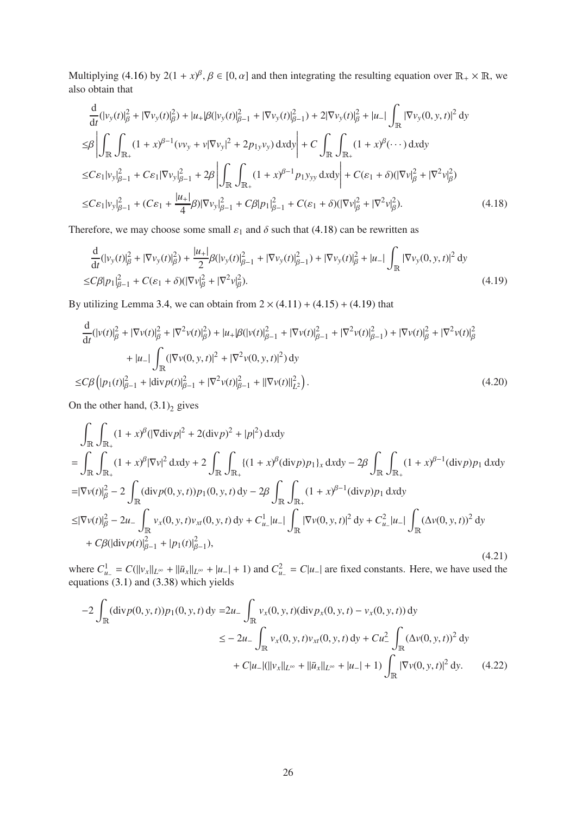Multiplying [\(4.16\)](#page-24-1) by  $2(1 + x)^{\beta}, \beta \in [0, \alpha]$  and then integrating the resulting equation over  $\mathbb{R}_+ \times \mathbb{R}$ , we also obtain that

$$
\frac{d}{dt}(|v_y(t)|_{\beta}^2 + |\nabla v_y(t)|_{\beta}^2) + |u_+|\beta(|v_y(t)|_{\beta-1}^2 + |\nabla v_y(t)|_{\beta-1}^2) + 2|\nabla v_y(t)|_{\beta}^2 + |u_-| \int_{\mathbb{R}} |\nabla v_y(0, y, t)|^2 dy
$$
\n
$$
\leq \beta \left| \int_{\mathbb{R}} \int_{\mathbb{R}_+} (1 + x)^{\beta - 1} (v v_y + v |\nabla v_y|^2 + 2p_{1y} v_y) dx dy \right| + C \int_{\mathbb{R}} \int_{\mathbb{R}_+} (1 + x)^{\beta} (\cdots) dx dy
$$
\n
$$
\leq C \varepsilon_1 |v_y|_{\beta - 1}^2 + C \varepsilon_1 |\nabla v_y|_{\beta - 1}^2 + 2\beta \left| \int_{\mathbb{R}} \int_{\mathbb{R}_+} (1 + x)^{\beta - 1} p_{1} y_{yy} dx dy \right| + C(\varepsilon_1 + \delta) (|\nabla v|_{\beta}^2 + |\nabla^2 v|_{\beta}^2)
$$
\n
$$
\leq C \varepsilon_1 |v_y|_{\beta - 1}^2 + (C \varepsilon_1 + \frac{|u_+|}{4} \beta) |\nabla v_y|_{\beta - 1}^2 + C\beta |p_1|_{\beta - 1}^2 + C(\varepsilon_1 + \delta) (|\nabla v|_{\beta}^2 + |\nabla^2 v|_{\beta}^2). \tag{4.18}
$$

<span id="page-25-0"></span>Therefore, we may choose some small  $\varepsilon_1$  and  $\delta$  such that [\(4.18\)](#page-25-0) can be rewritten as

<span id="page-25-1"></span>
$$
\frac{d}{dt}(|v_y(t)|_{\beta}^2 + |\nabla v_y(t)|_{\beta}^2) + \frac{|u_+|}{2} \beta (|v_y(t)|_{\beta-1}^2 + |\nabla v_y(t)|_{\beta-1}^2) + |\nabla v_y(t)|_{\beta}^2 + |u_-| \int_{\mathbb{R}} |\nabla v_y(0, y, t)|^2 dy
$$
\n
$$
\leq C\beta |p_1|_{\beta-1}^2 + C(\varepsilon_1 + \delta) (|\nabla v|_{\beta}^2 + |\nabla^2 v|_{\beta}^2). \tag{4.19}
$$

By utilizing Lemma 3.[4,](#page-8-1) we can obtain from  $2 \times (4.11) + (4.15) + (4.19)$  $2 \times (4.11) + (4.15) + (4.19)$  $2 \times (4.11) + (4.15) + (4.19)$  $2 \times (4.11) + (4.15) + (4.19)$  $2 \times (4.11) + (4.15) + (4.19)$  $2 \times (4.11) + (4.15) + (4.19)$  that

$$
\frac{d}{dt}(|v(t)|_{\beta}^{2} + |\nabla v(t)|_{\beta}^{2} + |\nabla^{2}v(t)|_{\beta}^{2}) + |u_{+}|\beta(|v(t)|_{\beta-1}^{2} + |\nabla v(t)|_{\beta-1}^{2} + |\nabla^{2}v(t)|_{\beta-1}^{2}) + |\nabla v(t)|_{\beta}^{2} + |\nabla^{2}v(t)|_{\beta}^{2}
$$
\n
$$
+ |u_{-}| \int_{\mathbb{R}} (|\nabla v(0, y, t)|^{2} + |\nabla^{2}v(0, y, t)|^{2}) dy
$$
\n
$$
\leq C\beta \left( |p_{1}(t)|_{\beta-1}^{2} + |\text{div} p(t)|_{\beta-1}^{2} + |\nabla^{2}v(t)|_{\beta-1}^{2} + ||\nabla v(t)||_{L^{2}}^{2} \right). \tag{4.20}
$$

<span id="page-25-2"></span>On the other hand,  $(3.1)_2$  gives

$$
\int_{\mathbb{R}} \int_{\mathbb{R}_{+}} (1+x)^{\beta} (|\nabla \text{div} p|^{2} + 2(\text{div} p)^{2} + |p|^{2}) \, dxdy
$$
\n
$$
= \int_{\mathbb{R}} \int_{\mathbb{R}_{+}} (1+x)^{\beta} |\nabla v|^{2} \, dxdy + 2 \int_{\mathbb{R}} \int_{\mathbb{R}_{+}} \{(1+x)^{\beta} (\text{div} p)p_{1}\}_{x} \, dxdy - 2\beta \int_{\mathbb{R}} \int_{\mathbb{R}_{+}} (1+x)^{\beta-1} (\text{div} p)p_{1} \, dxdy
$$
\n
$$
= |\nabla v(t)|_{\beta}^{2} - 2 \int_{\mathbb{R}} (\text{div} p(0, y, t)) p_{1}(0, y, t) \, dy - 2\beta \int_{\mathbb{R}} \int_{\mathbb{R}_{+}} (1+x)^{\beta-1} (\text{div} p)p_{1} \, dxdy
$$
\n
$$
\leq |\nabla v(t)|_{\beta}^{2} - 2u - \int_{\mathbb{R}} v_{x}(0, y, t)v_{xt}(0, y, t) \, dy + C_{u-}^{1} |u_{-}| \int_{\mathbb{R}} |\nabla v(0, y, t)|^{2} \, dy + C_{u-}^{2} |u_{-}| \int_{\mathbb{R}} (\Delta v(0, y, t))^{2} \, dy
$$
\n
$$
+ C\beta (|\text{div} p(t)|_{\beta-1}^{2} + |p_{1}(t)|_{\beta-1}^{2}), \tag{4.21}
$$

<span id="page-25-3"></span>where  $C_{u-}^1 = C(||v_x||_{L^\infty} + ||\bar{u}_x||_{L^\infty} + |u_-| + 1)$  and  $C_{u-}^2 = C|u_-|$  are fixed constants. Here, we have used the equations [\(3.1\)](#page-10-1) and [\(3.38\)](#page-11-1) which yields

$$
-2\int_{\mathbb{R}} (\text{div}p(0, y, t))p_1(0, y, t) \,dy = 2u_-\int_{\mathbb{R}} v_x(0, y, t)(\text{div}p_x(0, y, t) - v_x(0, y, t)) \,dy
$$
  

$$
\leq -2u_-\int_{\mathbb{R}} v_x(0, y, t)v_{xt}(0, y, t) \,dy + Cu_-\int_{\mathbb{R}} (\Delta v(0, y, t))^2 \,dy
$$
  

$$
+ C|u_-|(||v_x||_{L^\infty} + ||\bar{u}_x||_{L^\infty} + |u_-| + 1) \int_{\mathbb{R}} |\nabla v(0, y, t)|^2 \,dy. \tag{4.22}
$$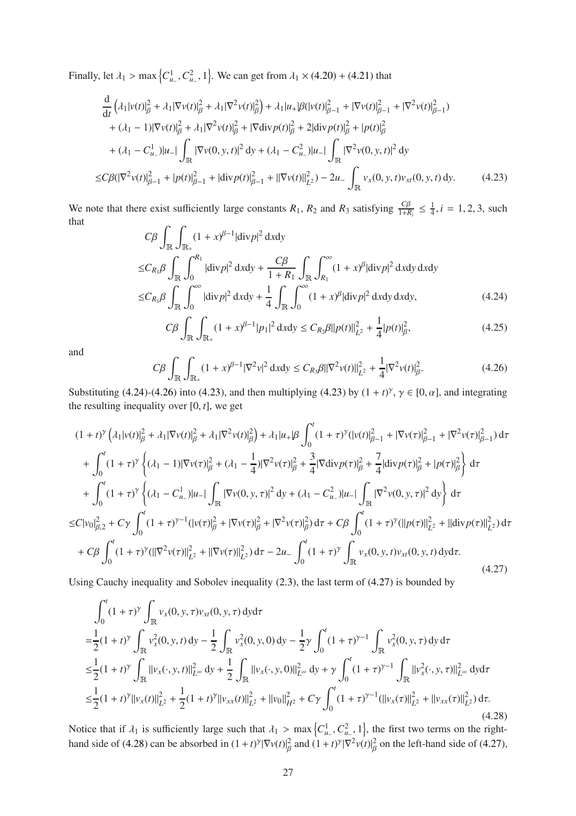Finally, let  $\lambda_1 > \max\left\{C_{u_-}^1, C_{u_-}^2, 1\right\}$ . We can get from  $\lambda_1 \times (4.20) + (4.21)$  $\lambda_1 \times (4.20) + (4.21)$  $\lambda_1 \times (4.20) + (4.21)$  $\lambda_1 \times (4.20) + (4.21)$  that

$$
\frac{d}{dt} \left( \lambda_1 |v(t)|_{\beta}^2 + \lambda_1 |\nabla v(t)|_{\beta}^2 + \lambda_1 |\nabla^2 v(t)|_{\beta}^2 \right) + \lambda_1 |u_+|\beta (|v(t)|_{\beta-1}^2 + |\nabla v(t)|_{\beta-1}^2 + |\nabla^2 v(t)|_{\beta-1}^2) \n+ (\lambda_1 - 1) |\nabla v(t)|_{\beta}^2 + \lambda_1 |\nabla^2 v(t)|_{\beta}^2 + |\nabla \text{div} p(t)|_{\beta}^2 + 2 |\text{div} p(t)|_{\beta}^2 + |p(t)|_{\beta}^2 \n+ (\lambda_1 - C_{u_-}^1)|u_-| \int_{\mathbb{R}} |\nabla v(0, y, t)|^2 dy + (\lambda_1 - C_{u_-}^2)|u_-| \int_{\mathbb{R}} |\nabla^2 v(0, y, t)|^2 dy \n\leq C\beta (|\nabla^2 v(t)|_{\beta-1}^2 + |p(t)|_{\beta-1}^2 + |\text{div} p(t)|_{\beta-1}^2 + ||\nabla v(t)||_{L^2}^2) - 2u_- \int_{\mathbb{R}} v_x(0, y, t) v_{xt}(0, y, t) dy.
$$
\n(4.23)

<span id="page-26-2"></span>We note that there exist sufficiently large constants  $R_1$ ,  $R_2$  and  $R_3$  satisfying  $\frac{C\beta}{1+R_i} \leq \frac{1}{4}$  $\frac{1}{4}$ , *i* = 1, 2, 3, such that  $\Gamma$ 

$$
C\beta \int_{\mathbb{R}} \int_{\mathbb{R}_+} (1+x)^{\beta-1} |\text{div} p|^2 \, dxdy
$$
  
\n
$$
\leq C_{R_1} \beta \int_{\mathbb{R}} \int_0^{R_1} |\text{div} p|^2 \, dxdy + \frac{C\beta}{1+R_1} \int_{\mathbb{R}} \int_{R_1}^{\infty} (1+x)^{\beta} |\text{div} p|^2 \, dxdy \, dxdy
$$
  
\n
$$
\leq C_{R_1} \beta \int_{\mathbb{R}} \int_0^{\infty} |\text{div} p|^2 \, dxdy + \frac{1}{4} \int_{\mathbb{R}} \int_0^{\infty} (1+x)^{\beta} |\text{div} p|^2 \, dxdy \, dxdy,
$$
\n(4.24)

<span id="page-26-0"></span>
$$
C\beta \int_{\mathbb{R}} \int_{\mathbb{R}_+} (1+x)^{\beta-1} |p_1|^2 \, \mathrm{d}x \mathrm{d}y \le C_{R_2} \beta ||p(t)||_{L^2}^2 + \frac{1}{4} |p(t)|_{\beta}^2,\tag{4.25}
$$

and

<span id="page-26-1"></span>
$$
C\beta \int_{\mathbb{R}} \int_{\mathbb{R}_+} (1+x)^{\beta-1} |\nabla^2 v|^2 \, \mathrm{d}x \mathrm{d}y \le C_{R_3} \beta ||\nabla^2 v(t)||^2_{L^2} + \frac{1}{4} |\nabla^2 v(t)|^2_{\beta}.
$$
 (4.26)

Substituting [\(4.24\)](#page-26-0)-[\(4.26\)](#page-26-1) into [\(4.23\)](#page-26-2), and then multiplying [\(4.23\)](#page-26-2) by  $(1 + t)^\gamma$ ,  $\gamma \in [0, \alpha]$ , and integrating the resulting inequality over [0, *t*], we get

$$
(1+t)^{\gamma} \left(\lambda_1 |v(t)|_{\beta}^2 + \lambda_1 |\nabla v(t)|_{\beta}^2 + \lambda_1 |\nabla^2 v(t)|_{\beta}^2\right) + \lambda_1 |u_{+} | \beta \int_0^t (1+\tau)^{\gamma} (|v(t)|_{\beta-1}^2 + |\nabla v(\tau)|_{\beta-1}^2 + |\nabla^2 v(\tau)|_{\beta-1}^2) d\tau + \int_0^t (1+\tau)^{\gamma} \left\{ (\lambda_1 - 1) |\nabla v(\tau)|_{\beta}^2 + (\lambda_1 - \frac{1}{4}) |\nabla^2 v(\tau)|_{\beta}^2 + \frac{3}{4} |\nabla \text{div} p(\tau)|_{\beta}^2 + \frac{7}{4} |\text{div} p(\tau)|_{\beta}^2 + |p(\tau)|_{\beta}^2 \right\} d\tau + \int_0^t (1+\tau)^{\gamma} \left\{ (\lambda_1 - C_{u_{-}}^1) |u_{-}| \int_{\mathbb{R}} |\nabla v(0, y, \tau)|^2 dy + (\lambda_1 - C_{u_{-}}^2) |u_{-}| \int_{\mathbb{R}} |\nabla^2 v(0, y, \tau)|^2 dy \right\} d\tau \leq C |v_0|_{\beta,2}^2 + C\gamma \int_0^t (1+\tau)^{\gamma-1} (|v(\tau)|_{\beta}^2 + |\nabla v(\tau)|_{\beta}^2 + |\nabla^2 v(\tau)|_{\beta}^2) d\tau + C\beta \int_0^t (1+\tau)^{\gamma} (||p(\tau)||_{L^2}^2 + ||\text{div} p(\tau)||_{L^2}^2) d\tau + C\beta \int_0^t (1+\tau)^{\gamma} (||\nabla^2 v(\tau)||_{L^2}^2 + ||\nabla v(\tau)||_{L^2}^2) d\tau - 2u_{-} \int_0^t (1+\tau)^{\gamma} \int_{\mathbb{R}} v_x(0, y, t) v_{xt}(0, y, t) dy d\tau.
$$
\n(4.27)

<span id="page-26-3"></span>Using Cauchy inequality and Sobolev inequality [\(2.3\)](#page-4-6), the last term of [\(4.27\)](#page-26-3) is bounded by

$$
\int_{0}^{t} (1+\tau)^{\gamma} \int_{\mathbb{R}} v_{x}(0, y, \tau) v_{xt}(0, y, \tau) \, dy \, d\tau
$$
\n
$$
= \frac{1}{2} (1+t)^{\gamma} \int_{\mathbb{R}} v_{x}^{2}(0, y, t) \, dy - \frac{1}{2} \int_{\mathbb{R}} v_{x}^{2}(0, y, 0) \, dy - \frac{1}{2} \gamma \int_{0}^{t} (1+\tau)^{\gamma-1} \int_{\mathbb{R}} v_{x}^{2}(0, y, \tau) \, dy \, d\tau
$$
\n
$$
\leq \frac{1}{2} (1+t)^{\gamma} \int_{\mathbb{R}} ||v_{x}(\cdot, y, t)||_{L^{\infty}}^{2} \, dy + \frac{1}{2} \int_{\mathbb{R}} ||v_{x}(\cdot, y, 0)||_{L^{\infty}}^{2} \, dy + \gamma \int_{0}^{t} (1+\tau)^{\gamma-1} \int_{\mathbb{R}} ||v_{x}^{2}(\cdot, y, \tau)||_{L^{\infty}}^{2} \, dy \, d\tau
$$
\n
$$
\leq \frac{1}{2} (1+t)^{\gamma} ||v_{x}(t)||_{L^{2}}^{2} + \frac{1}{2} (1+t)^{\gamma} ||v_{xx}(t)||_{L^{2}}^{2} + ||v_{0}||_{H^{2}}^{2} + C\gamma \int_{0}^{t} (1+\tau)^{\gamma-1} (||v_{x}(\tau)||_{L^{2}}^{2} + ||v_{xx}(\tau)||_{L^{2}}^{2}) \, d\tau.
$$
\n(4.28)

<span id="page-26-4"></span>Notice that if  $\lambda_1$  is sufficiently large such that  $\lambda_1 > \max\left\{C_{u-}^1, C_{u-}^2, 1\right\}$ , the first two terms on the right-hand side of [\(4.28\)](#page-26-4) can be absorbed in  $(1 + t)^\gamma |\nabla v(t)|_\beta^2$  and  $(1 + t)^\gamma |\nabla^2 v(t)|_\beta^2$  on the left-hand side of [\(4.27\)](#page-26-3),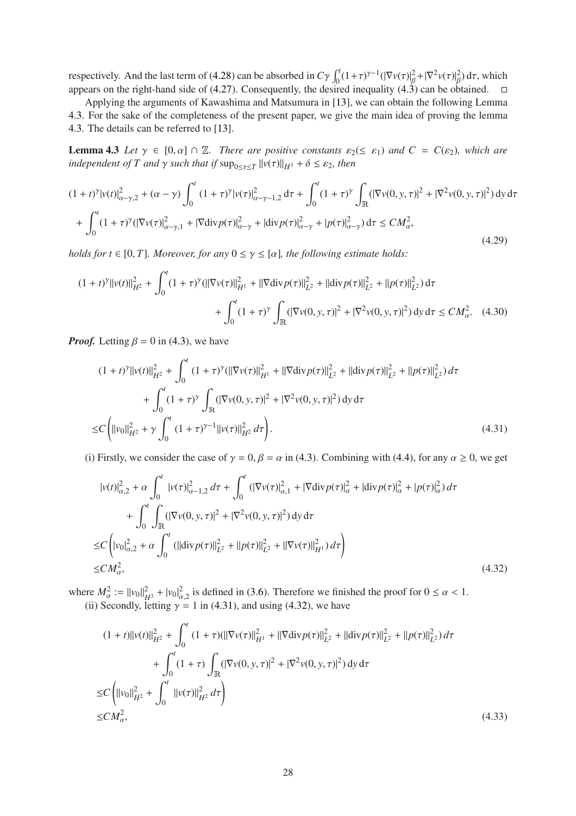respectively. And the last term of [\(4.28\)](#page-26-4) can be absorbed in  $C\gamma \int_0^t (1+\tau)^{\gamma-1} (|\nabla v(\tau)|_\beta^2 + |\nabla^2 v(\tau)|_\beta^2) d\tau$ , which appears on the right-hand side of [\(4.27\)](#page-26-3). Consequently, the desired inequality [\(4.3\)](#page-23-4) can be obtained.  $\square$ 

<span id="page-27-0"></span>Applying the arguments of Kawashima and Matsumura in [\[13\]](#page-39-1), we can obtain the following Lemma [4.3.](#page-27-0) For the sake of the completeness of the present paper, we give the main idea of proving the lemma [4.3.](#page-27-0) The details can be referred to [\[13\]](#page-39-1).

**Lemma 4.3** *Let*  $\gamma \in [0, \alpha] \cap \mathbb{Z}$ *. There are positive constants*  $\varepsilon_2 \leq \varepsilon_1$ *) and*  $C = C(\varepsilon_2)$ *, which are independent of*  $T$  *and*  $\gamma$  *such that if*  $\sup_{0 \leq \tau \leq T} ||v(\tau)||_{H^3} + \delta \leq \varepsilon_2$ *, then* 

$$
(1+t)^{\gamma}|v(t)|_{\alpha-\gamma,2}^{2} + (\alpha-\gamma)\int_{0}^{t} (1+\tau)^{\gamma}|v(\tau)|_{\alpha-\gamma-1,2}^{2} d\tau + \int_{0}^{t} (1+\tau)^{\gamma}\int_{\mathbb{R}} (|\nabla v(0,y,\tau)|^{2} + |\nabla^{2}v(0,y,\tau)|^{2}) dy d\tau
$$
  
+ 
$$
\int_{0}^{t} (1+\tau)^{\gamma}(|\nabla v(\tau)|_{\alpha-\gamma,1}^{2} + |\nabla \text{div} p(\tau)|_{\alpha-\gamma}^{2} + |\text{div} p(\tau)|_{\alpha-\gamma}^{2} + |p(\tau)|_{\alpha-\gamma}^{2}) d\tau \le CM_{\alpha}^{2}, \tag{4.29}
$$

<span id="page-27-5"></span>*holds for t*  $\in$  [0, *T*]*. Moreover, for any*  $0 \le \gamma \le [\alpha]$ *, the following estimate holds:* 

$$
(1+t)^{\gamma} ||v(t)||_{H^{2}}^{2} + \int_{0}^{t} (1+\tau)^{\gamma} (||\nabla v(\tau)||_{H^{1}}^{2} + ||\nabla \text{div} p(\tau)||_{L^{2}}^{2} + ||\text{div} p(\tau)||_{L^{2}}^{2} + ||p(\tau)||_{L^{2}}^{2}) d\tau + \int_{0}^{t} (1+\tau)^{\gamma} \int_{\mathbb{R}} (|\nabla v(0, y, \tau)|^{2} + |\nabla^{2} v(0, y, \tau)|^{2}) dy d\tau \le CM_{\alpha}^{2}.
$$
 (4.30)

<span id="page-27-3"></span>*Proof.* Letting  $\beta = 0$  in [\(4.3\)](#page-23-4), we have

$$
(1+t)^{\gamma}||v(t)||_{H^{2}}^{2} + \int_{0}^{t} (1+\tau)^{\gamma}(||\nabla v(\tau)||_{H^{1}}^{2} + ||\nabla \text{div} p(\tau)||_{L^{2}}^{2} + ||\text{div} p(\tau)||_{L^{2}}^{2} + ||p(\tau)||_{L^{2}}^{2}) d\tau
$$
  
+ 
$$
\int_{0}^{t} (1+\tau)^{\gamma} \int_{\mathbb{R}} (|\nabla v(0, y, \tau)|^{2} + |\nabla^{2} v(0, y, \tau)|^{2}) dy d\tau
$$
  

$$
\leq C \left(||v_{0}||_{H^{2}}^{2} + \gamma \int_{0}^{t} (1+\tau)^{\gamma-1} ||v(\tau)||_{H^{2}}^{2} d\tau \right).
$$
 (4.31)

<span id="page-27-1"></span>(i) Firstly, we consider the case of  $\gamma = 0$ ,  $\beta = \alpha$  in [\(4.3\)](#page-23-4). Combining with [\(4.4\)](#page-23-5), for any  $\alpha \ge 0$ , we get

$$
|v(t)|_{\alpha,2}^{2} + \alpha \int_{0}^{t} |v(\tau)|_{\alpha-1,2}^{2} d\tau + \int_{0}^{t} (|\nabla v(\tau)|_{\alpha,1}^{2} + |\nabla \text{div} p(\tau)|_{\alpha}^{2} + |\text{div} p(\tau)|_{\alpha}^{2} + |p(\tau)|_{\alpha}^{2}) d\tau
$$
  
+ 
$$
\int_{0}^{t} \int_{\mathbb{R}} (|\nabla v(0, y, \tau)|^{2} + |\nabla^{2} v(0, y, \tau)|^{2}) dy d\tau
$$
  

$$
\leq C \left( |v_{0}|_{\alpha,2}^{2} + \alpha \int_{0}^{t} (||\text{div} p(\tau)||_{L^{2}}^{2} + ||p(\tau)||_{L^{2}}^{2} + ||\nabla v(\tau)||_{H^{1}}^{2}) d\tau \right)
$$
  

$$
\leq CM_{\alpha}^{2}, \qquad (4.32)
$$

<span id="page-27-2"></span>where  $M_{\alpha}^2 := ||v_0||_{H^3}^2 + |v_0|_{\alpha,2}^2$  is defined in [\(3.6\)](#page-7-7). Therefore we finished the proof for  $0 \le \alpha < 1$ . (ii) Secondly, letting  $\gamma = 1$  in [\(4.31\)](#page-27-1), and using [\(4.32\)](#page-27-2), we have

<span id="page-27-4"></span>
$$
(1 + t) ||v(t)||_{H^2}^2 + \int_0^t (1 + \tau)(||\nabla v(\tau)||_{H^1}^2 + ||\nabla \text{div} p(\tau)||_{L^2}^2 + ||\text{div} p(\tau)||_{L^2}^2 + ||p(\tau)||_{L^2}^2) d\tau
$$
  
+ 
$$
\int_0^t (1 + \tau) \int_{\mathbb{R}} (|\nabla v(0, y, \tau)|^2 + |\nabla^2 v(0, y, \tau)|^2) dy d\tau
$$
  

$$
\leq C \left( ||v_0||_{H^2}^2 + \int_0^t ||v(\tau)||_{H^2}^2 d\tau \right)
$$
  

$$
\leq C M_\alpha^2,
$$
 (4.33)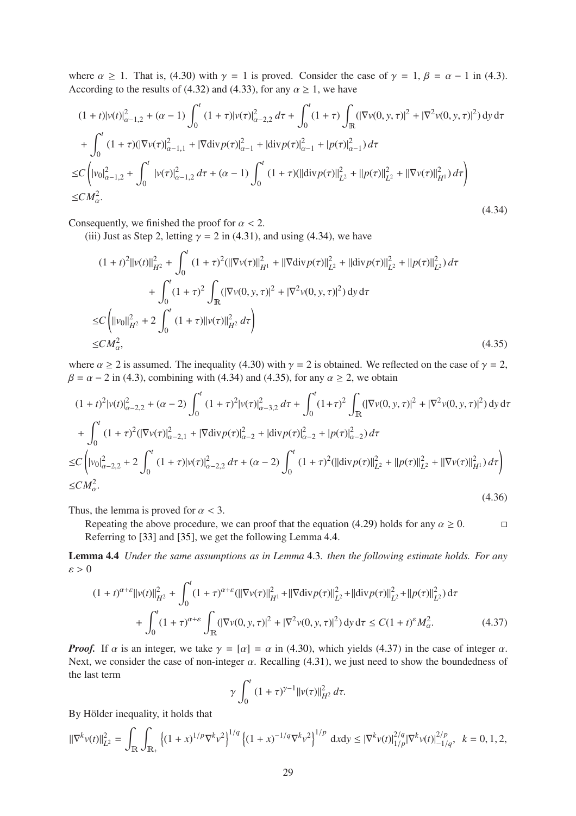where  $\alpha \ge 1$ . That is, [\(4.30\)](#page-27-3) with  $\gamma = 1$  is proved. Consider the case of  $\gamma = 1$ ,  $\beta = \alpha - 1$  in [\(4.3\)](#page-23-4). According to the results of [\(4.32\)](#page-27-2) and [\(4.33\)](#page-27-4), for any  $\alpha \geq 1$ , we have

$$
(1+t)|v(t)|_{\alpha-1,2}^{2} + (\alpha-1)\int_{0}^{t} (1+\tau)|v(\tau)|_{\alpha-2,2}^{2} d\tau + \int_{0}^{t} (1+\tau)\int_{\mathbb{R}} (|\nabla v(0,y,\tau)|^{2} + |\nabla^{2}v(0,y,\tau)|^{2}) dy d\tau
$$
  
+ 
$$
\int_{0}^{t} (1+\tau)(|\nabla v(\tau)|_{\alpha-1,1}^{2} + |\nabla \text{div} p(\tau)|_{\alpha-1}^{2} + |\text{div} p(\tau)|_{\alpha-1}^{2} + |p(\tau)|_{\alpha-1}^{2}) d\tau
$$
  

$$
\leq C \left( |v_{0}|_{\alpha-1,2}^{2} + \int_{0}^{t} |v(\tau)|_{\alpha-1,2}^{2} d\tau + (\alpha-1)\int_{0}^{t} (1+\tau)(||\text{div} p(\tau)||_{L^{2}}^{2} + ||p(\tau)||_{L^{2}}^{2} + ||\nabla v(\tau)||_{H^{1}}^{2}) d\tau \right)
$$
  

$$
\leq CM_{\alpha}^{2}.
$$
 (4.34)

<span id="page-28-0"></span>Consequently, we finished the proof for  $\alpha < 2$ .

(iii) Just as Step 2, letting  $\gamma = 2$  in [\(4.31\)](#page-27-1), and using [\(4.34\)](#page-28-0), we have

$$
(1+t)^{2}||v(t)||_{H^{2}}^{2} + \int_{0}^{t} (1+\tau)^{2} (||\nabla v(\tau)||_{H^{1}}^{2} + ||\nabla \text{div} p(\tau)||_{L^{2}}^{2} + ||\text{div} p(\tau)||_{L^{2}}^{2} + ||p(\tau)||_{L^{2}}^{2}) d\tau
$$
  
+ 
$$
\int_{0}^{t} (1+\tau)^{2} \int_{\mathbb{R}} (|\nabla v(0, y, \tau)|^{2} + |\nabla^{2} v(0, y, \tau)|^{2}) dy d\tau
$$
  

$$
\leq C \left( ||v_{0}||_{H^{2}}^{2} + 2 \int_{0}^{t} (1+\tau)||v(\tau)||_{H^{2}}^{2} d\tau \right)
$$
  

$$
\leq CM_{\alpha}^{2}, \qquad (4.35)
$$

<span id="page-28-1"></span>where  $\alpha \ge 2$  is assumed. The inequality [\(4.30\)](#page-27-3) with  $\gamma = 2$  is obtained. We reflected on the case of  $\gamma = 2$ ,  $\beta = \alpha - 2$  in [\(4.3\)](#page-23-4), combining with [\(4.34\)](#page-28-0) and [\(4.35\)](#page-28-1), for any  $\alpha \ge 2$ , we obtain

$$
(1+t)^{2} |v(t)|_{\alpha-2,2}^{2} + (\alpha-2) \int_{0}^{t} (1+\tau)^{2} |v(\tau)|_{\alpha-3,2}^{2} d\tau + \int_{0}^{t} (1+\tau)^{2} \int_{\mathbb{R}} (|\nabla v(0,y,\tau)|^{2} + |\nabla^{2} v(0,y,\tau)|^{2}) dy d\tau
$$
  
+ 
$$
\int_{0}^{t} (1+\tau)^{2} (|\nabla v(\tau)|_{\alpha-2,1}^{2} + |\nabla \text{div} p(\tau)|_{\alpha-2}^{2} + |\text{div} p(\tau)|_{\alpha-2}^{2} + |p(\tau)|_{\alpha-2}^{2}) d\tau
$$
  

$$
\leq C \left( |v_{0}|_{\alpha-2,2}^{2} + 2 \int_{0}^{t} (1+\tau) |v(\tau)|_{\alpha-2,2}^{2} d\tau + (\alpha-2) \int_{0}^{t} (1+\tau)^{2} (||\text{div} p(\tau)||_{L^{2}}^{2} + ||p(\tau)||_{L^{2}}^{2} + ||\nabla v(\tau)||_{H^{1}}^{2}) d\tau \right)
$$
  

$$
\leq C M_{\alpha}^{2}.
$$
 (4.36)

Thus, the lemma is proved for  $\alpha < 3$ .

Repeating the above procedure, we can proof that the equation [\(4.29\)](#page-27-5) holds for any  $\alpha \ge 0$ . Referring to [\[33\]](#page-40-13) and [\[35\]](#page-40-5), we get the following Lemma 4.[4.](#page-28-2)

Lemma 4.4 *Under the same assumptions as in Lemma* [4](#page-27-0).3*. then the following estimate holds. For any*  $\varepsilon > 0$ 

<span id="page-28-3"></span>
$$
(1+t)^{\alpha+\varepsilon}||v(t)||_{H^2}^2 + \int_0^t (1+\tau)^{\alpha+\varepsilon} (||\nabla v(\tau)||_{H^1}^2 + ||\nabla \text{div} p(\tau)||_{L^2}^2 + ||\text{div} p(\tau)||_{L^2}^2 + ||p(\tau)||_{L^2}^2) d\tau + \int_0^t (1+\tau)^{\alpha+\varepsilon} \int_{\mathbb{R}} (|\nabla v(0, y, \tau)|^2 + |\nabla^2 v(0, y, \tau)|^2) dy d\tau \le C(1+t)^{\varepsilon} M_{\alpha}^2.
$$
 (4.37)

*Proof.* If  $\alpha$  is an integer, we take  $\gamma = [\alpha] = \alpha$  in [\(4.30\)](#page-27-3), which yields [\(4.37\)](#page-28-3) in the case of integer  $\alpha$ . Next, we consider the case of non-integer  $\alpha$ . Recalling [\(4.31\)](#page-27-1), we just need to show the boundedness of the last term

<span id="page-28-2"></span>
$$
\gamma \int_0^t (1+\tau)^{\gamma-1} ||v(\tau)||_{H^2}^2 d\tau.
$$

By Hölder inequality, it holds that

$$
\|\nabla^k v(t)\|_{L^2}^2 = \int_{\mathbb{R}} \int_{\mathbb{R}_+} \left\{ (1+x)^{1/p} \nabla^k v^2 \right\}^{1/q} \left\{ (1+x)^{-1/q} \nabla^k v^2 \right\}^{1/p} \, \mathrm{d}x \mathrm{d}y \leq |\nabla^k v(t)|_{1/p}^{2/q} |\nabla^k v(t)|_{-1/q}^{2/p}, \quad k = 0, 1, 2,
$$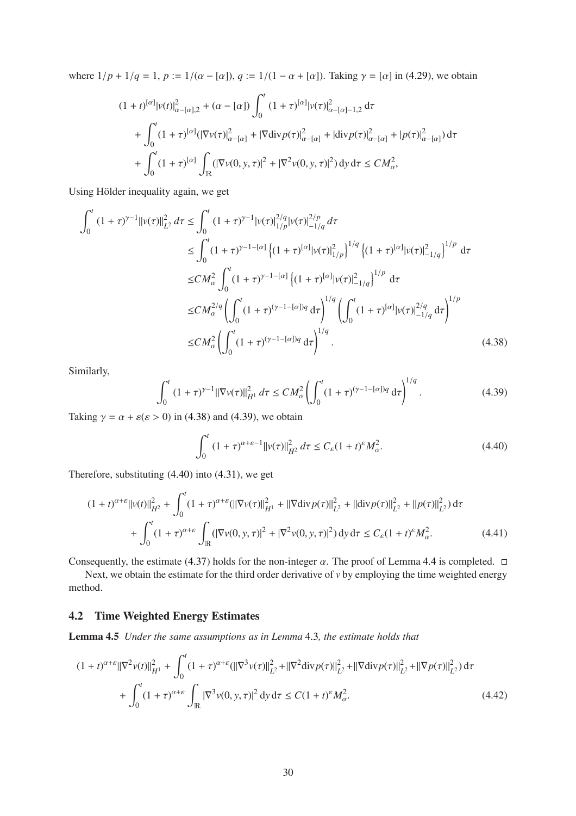where  $1/p + 1/q = 1$ ,  $p := 1/(a - [\alpha])$ ,  $q := 1/(1 - \alpha + [\alpha])$ . Taking  $\gamma = [\alpha]$  in [\(4.29\)](#page-27-5), we obtain

$$
(1+t)^{[\alpha]}|v(t)|^{2}_{\alpha-[\alpha],2} + (\alpha - [\alpha]) \int_{0}^{t} (1+\tau)^{[\alpha]}|v(\tau)|^{2}_{\alpha-[\alpha]-1,2} d\tau
$$
  
+ 
$$
\int_{0}^{t} (1+\tau)^{[\alpha]}(|\nabla v(\tau)|^{2}_{\alpha-[\alpha]} + |\nabla \text{div} p(\tau)|^{2}_{\alpha-[\alpha]} + |\text{div} p(\tau)|^{2}_{\alpha-[\alpha]} + |p(\tau)|^{2}_{\alpha-[\alpha]}) d\tau
$$
  
+ 
$$
\int_{0}^{t} (1+\tau)^{[\alpha]} \int_{\mathbb{R}} (|\nabla v(0,y,\tau)|^{2} + |\nabla^{2} v(0,y,\tau)|^{2}) dy d\tau \le CM_{\alpha}^{2},
$$

Using Hölder inequality again, we get

$$
\int_{0}^{t} (1+\tau)^{\gamma-1} ||v(\tau)||_{L^{2}}^{2} d\tau \leq \int_{0}^{t} (1+\tau)^{\gamma-1} |v(\tau)|_{1/p}^{2/q} |v(\tau)|_{-1/q}^{2/p} d\tau
$$
\n
$$
\leq \int_{0}^{t} (1+\tau)^{\gamma-1-[a]} \left\{ (1+\tau)^{[\alpha]} |v(\tau)|_{1/p}^{2} \right\}^{1/q} \left\{ (1+\tau)^{[\alpha]} |v(\tau)|_{-1/q}^{2} \right\}^{1/p} d\tau
$$
\n
$$
\leq CM_{\alpha}^{2} \int_{0}^{t} (1+\tau)^{\gamma-1-[a]} \left\{ (1+\tau)^{[\alpha]} |v(\tau)|_{-1/q}^{2} \right\}^{1/p} d\tau
$$
\n
$$
\leq CM_{\alpha}^{2/q} \left( \int_{0}^{t} (1+\tau)^{(\gamma-1-[a])q} d\tau \right)^{1/q} \left( \int_{0}^{t} (1+\tau)^{[\alpha]} |v(\tau)|_{-1/q}^{2/q} d\tau \right)^{1/p}
$$
\n
$$
\leq CM_{\alpha}^{2} \left( \int_{0}^{t} (1+\tau)^{(\gamma-1-[a])q} d\tau \right)^{1/q} . \tag{4.38}
$$

<span id="page-29-1"></span>Similarly,

<span id="page-29-2"></span>
$$
\int_0^t (1+\tau)^{\gamma-1} ||\nabla v(\tau)||_{H^1}^2 d\tau \le CM_\alpha^2 \left( \int_0^t (1+\tau)^{(\gamma-1-[\alpha])q} d\tau \right)^{1/q}.
$$
\n(4.39)

Taking  $\gamma = \alpha + \varepsilon (\varepsilon > 0)$  in [\(4.38\)](#page-29-1) and [\(4.39\)](#page-29-2), we obtain

<span id="page-29-3"></span>
$$
\int_0^t (1+\tau)^{\alpha+\varepsilon-1} ||v(\tau)||_{H^2}^2 d\tau \le C_{\varepsilon} (1+t)^{\varepsilon} M_{\alpha}^2.
$$
 (4.40)

Therefore, substituting [\(4.40\)](#page-29-3) into [\(4.31\)](#page-27-1), we get

$$
(1+t)^{\alpha+\varepsilon}||v(t)||_{H^2}^2 + \int_0^t (1+\tau)^{\alpha+\varepsilon} (||\nabla v(\tau)||_{H^1}^2 + ||\nabla \text{div} p(\tau)||_{L^2}^2 + ||\text{div} p(\tau)||_{L^2}^2 + ||p(\tau)||_{L^2}^2) d\tau + \int_0^t (1+\tau)^{\alpha+\varepsilon} \int_{\mathbb{R}} (|\nabla v(0,y,\tau)|^2 + |\nabla^2 v(0,y,\tau)|^2) dy d\tau \le C_{\varepsilon} (1+t)^{\varepsilon} M_{\alpha}^2.
$$
 (4.41)

<span id="page-29-4"></span>Consequently, the estimate [\(4.37\)](#page-28-3) holds for the non-integer  $\alpha$ . The proof of Lemma [4](#page-28-2).4 is completed.  $\Box$ 

Next, we obtain the estimate for the third order derivative of *v* by employing the time weighted energy method.

### <span id="page-29-6"></span><span id="page-29-0"></span>4.2 Time Weighted Energy Estimates

Lemma 4.5 *Under the same assumptions as in Lemma* [4](#page-27-0).3*, the estimate holds that*

<span id="page-29-5"></span>
$$
(1+t)^{\alpha+\varepsilon} \|\nabla^2 v(t)\|_{H^1}^2 + \int_0^t (1+\tau)^{\alpha+\varepsilon} (\|\nabla^3 v(\tau)\|_{L^2}^2 + \|\nabla^2 \text{div} p(\tau)\|_{L^2}^2 + \|\nabla \text{div} p(\tau)\|_{L^2}^2 + \|\nabla p(\tau)\|_{L^2}^2) d\tau + \int_0^t (1+\tau)^{\alpha+\varepsilon} \int_{\mathbb{R}} |\nabla^3 v(0, y, \tau)|^2 dy d\tau \le C(1+t)^{\varepsilon} M_{\alpha}^2.
$$
 (4.42)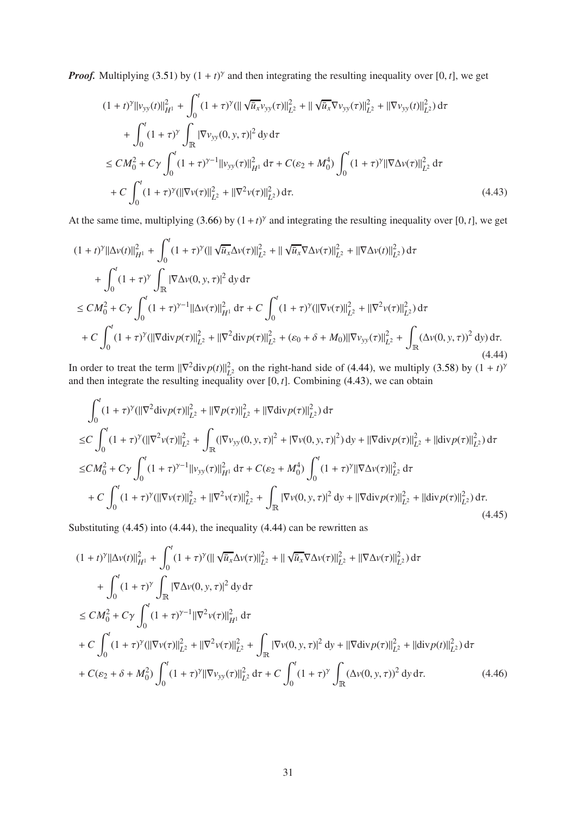*Proof.* Multiplying [\(3.51\)](#page-13-1) by  $(1 + t)^\gamma$  and then integrating the resulting inequality over [0, *t*], we get

$$
(1+t)^{\gamma} ||v_{yy}(t)||_{H^{1}}^{2} + \int_{0}^{t} (1+\tau)^{\gamma} (||\sqrt{\bar{u}_{x}}v_{yy}(\tau)||_{L^{2}}^{2} + ||\sqrt{\bar{u}_{x}}\nabla v_{yy}(\tau)||_{L^{2}}^{2} + ||\nabla v_{yy}(t)||_{L^{2}}^{2}) d\tau + \int_{0}^{t} (1+\tau)^{\gamma} \int_{\mathbb{R}} |\nabla v_{yy}(0, y, \tau)|^{2} dy d\tau \le CM_{0}^{2} + C\gamma \int_{0}^{t} (1+\tau)^{\gamma-1} ||v_{yy}(\tau)||_{H^{1}}^{2} d\tau + C(\varepsilon_{2} + M_{0}^{4}) \int_{0}^{t} (1+\tau)^{\gamma} ||\nabla \Delta v(\tau)||_{L^{2}}^{2} d\tau + C \int_{0}^{t} (1+\tau)^{\gamma} (||\nabla v(\tau)||_{L^{2}}^{2} + ||\nabla^{2} v(\tau)||_{L^{2}}^{2}) d\tau.
$$
\n(4.43)

<span id="page-30-1"></span>At the same time, multiplying [\(3.66\)](#page-16-2) by  $(1 + t)^\gamma$  and integrating the resulting inequality over [0, *t*], we get

$$
(1+t)^{\gamma} ||\Delta v(t)||_{H^{1}}^{2} + \int_{0}^{t} (1+\tau)^{\gamma} (||\sqrt{u_{x}} \Delta v(\tau)||_{L^{2}}^{2} + ||\sqrt{u_{x}} \nabla \Delta v(\tau)||_{L^{2}}^{2} + ||\nabla \Delta v(t)||_{L^{2}}^{2}) d\tau + \int_{0}^{t} (1+\tau)^{\gamma} \int_{\mathbb{R}} |\nabla \Delta v(0, y, \tau)|^{2} dy d\tau \le CM_{0}^{2} + C\gamma \int_{0}^{t} (1+\tau)^{\gamma-1} ||\Delta v(\tau)||_{H^{1}}^{2} d\tau + C \int_{0}^{t} (1+\tau)^{\gamma} (||\nabla v(\tau)||_{L^{2}}^{2} + ||\nabla^{2} v(\tau)||_{L^{2}}^{2}) d\tau + C \int_{0}^{t} (1+\tau)^{\gamma} (||\nabla \text{div} p(\tau)||_{L^{2}}^{2} + ||\nabla^{2} \text{div} p(\tau)||_{L^{2}}^{2} + (\varepsilon_{0} + \delta + M_{0}) ||\nabla v_{yy}(\tau)||_{L^{2}}^{2} + \int_{\mathbb{R}} (\Delta v(0, y, \tau))^{2} dy) d\tau.
$$
\n(4.44)

<span id="page-30-0"></span>In order to treat the term  $\|\nabla^2 \text{div} p(t)\|_{L^2}^2$ <sup>2</sup><sub>*L*</sub><sup>2</sup> on the right-hand side of [\(4.44\)](#page-30-0), we multiply [\(3.58\)](#page-14-3) by  $(1 + t)$ <sup>γ</sup> and then integrate the resulting inequality over [0, *t*]. Combining [\(4.43\)](#page-30-1), we can obtain

$$
\int_{0}^{t} (1+\tau)^{\gamma} (||\nabla^{2} \text{div} p(\tau)||_{L^{2}}^{2} + ||\nabla p(\tau)||_{L^{2}}^{2} + ||\nabla \text{div} p(\tau)||_{L^{2}}^{2}) d\tau
$$
\n
$$
\leq C \int_{0}^{t} (1+\tau)^{\gamma} (||\nabla^{2} v(\tau)||_{L^{2}}^{2} + \int_{\mathbb{R}} (|\nabla v_{yy}(0, y, \tau)|^{2} + |\nabla v(0, y, \tau)|^{2}) dy + ||\nabla \text{div} p(\tau)||_{L^{2}}^{2} + ||\text{div} p(\tau)||_{L^{2}}^{2}) d\tau
$$
\n
$$
\leq CM_{0}^{2} + C\gamma \int_{0}^{t} (1+\tau)^{\gamma-1} ||v_{yy}(\tau)||_{H^{1}}^{2} d\tau + C(\varepsilon_{2} + M_{0}^{4}) \int_{0}^{t} (1+\tau)^{\gamma} ||\nabla \Delta v(\tau)||_{L^{2}}^{2} d\tau
$$
\n
$$
+ C \int_{0}^{t} (1+\tau)^{\gamma} (||\nabla v(\tau)||_{L^{2}}^{2} + ||\nabla^{2} v(\tau)||_{L^{2}}^{2} + \int_{\mathbb{R}} |\nabla v(0, y, \tau)|^{2} dy + ||\nabla \text{div} p(\tau)||_{L^{2}}^{2} + ||\text{div} p(\tau)||_{L^{2}}^{2}) d\tau.
$$
\n(4.45)

<span id="page-30-2"></span>Substituting [\(4.45\)](#page-30-2) into [\(4.44\)](#page-30-0), the inequality [\(4.44\)](#page-30-0) can be rewritten as

<span id="page-30-3"></span>
$$
(1+t)^{\gamma} ||\Delta v(t)||_{H^{1}}^{2} + \int_{0}^{t} (1+\tau)^{\gamma} (||\sqrt{u_{x}} \Delta v(\tau)||_{L^{2}}^{2} + ||\sqrt{u_{x}} \nabla \Delta v(\tau)||_{L^{2}}^{2} + ||\nabla \Delta v(\tau)||_{L^{2}}^{2}) d\tau + \int_{0}^{t} (1+\tau)^{\gamma} \int_{\mathbb{R}} |\nabla \Delta v(0, y, \tau)|^{2} dy d\tau \n\le CM_{0}^{2} + C\gamma \int_{0}^{t} (1+\tau)^{\gamma-1} ||\nabla^{2} v(\tau)||_{H^{1}}^{2} d\tau + C \int_{0}^{t} (1+\tau)^{\gamma} (||\nabla v(\tau)||_{L^{2}}^{2} + ||\nabla^{2} v(\tau)||_{L^{2}}^{2} + \int_{\mathbb{R}} |\nabla v(0, y, \tau)|^{2} dy + ||\nabla \text{div} p(\tau)||_{L^{2}}^{2} + ||\text{div} p(t)||_{L^{2}}^{2}) d\tau + C(\varepsilon_{2} + \delta + M_{0}^{2}) \int_{0}^{t} (1+\tau)^{\gamma} ||\nabla v_{yy}(\tau)||_{L^{2}}^{2} d\tau + C \int_{0}^{t} (1+\tau)^{\gamma} \int_{\mathbb{R}} (\Delta v(0, y, \tau))^{2} dy d\tau.
$$
\n(4.46)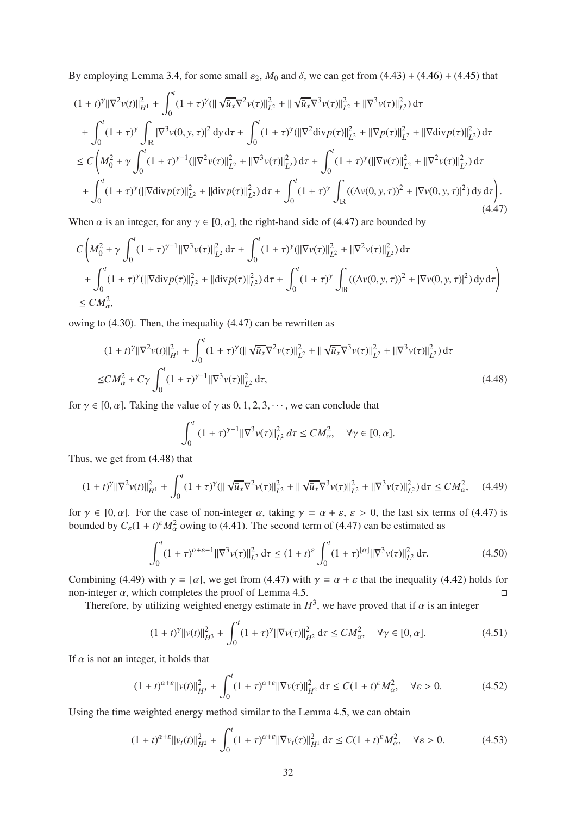By employing Lemma 3.[4,](#page-8-1) for some small  $\varepsilon_2$ ,  $M_0$  and  $\delta$ , we can get from [\(4.43\)](#page-30-1) + [\(4.46\)](#page-30-3) + [\(4.45\)](#page-30-2) that

$$
(1+t)^{\gamma} \|\nabla^{2} v(t)\|_{H^{1}}^{2} + \int_{0}^{t} (1+\tau)^{\gamma} (\|\sqrt{u}_{x}\nabla^{2} v(\tau)\|_{L^{2}}^{2} + \|\sqrt{u}_{x}\nabla^{3} v(\tau)\|_{L^{2}}^{2} + \|\nabla^{3} v(\tau)\|_{L^{2}}^{2}) d\tau + \int_{0}^{t} (1+\tau)^{\gamma} \int_{\mathbb{R}} |\nabla^{3} v(0, y, \tau)|^{2} dy d\tau + \int_{0}^{t} (1+\tau)^{\gamma} (\|\nabla^{2} \text{div} p(\tau)\|_{L^{2}}^{2} + \|\nabla p(\tau)\|_{L^{2}}^{2} + \|\nabla \text{div} p(\tau)\|_{L^{2}}^{2}) d\tau \leq C \left(M_{0}^{2} + \gamma \int_{0}^{t} (1+\tau)^{\gamma-1} (\|\nabla^{2} v(\tau)\|_{L^{2}}^{2} + \|\nabla^{3} v(\tau)\|_{L^{2}}^{2}) d\tau + \int_{0}^{t} (1+\tau)^{\gamma} (\|\nabla v(\tau)\|_{L^{2}}^{2} + \|\nabla^{2} v(\tau)\|_{L^{2}}^{2}) d\tau + \int_{0}^{t} (1+\tau)^{\gamma} (\|\nabla \text{div} p(\tau)\|_{L^{2}}^{2} + \|\text{div} p(\tau)\|_{L^{2}}^{2}) d\tau + \int_{0}^{t} (1+\tau)^{\gamma} \int_{\mathbb{R}} ((\Delta v(0, y, \tau))^{2} + |\nabla v(0, y, \tau)|^{2}) dy d\tau \right). \tag{4.47}
$$

<span id="page-31-0"></span>When  $\alpha$  is an integer, for any  $\gamma \in [0, \alpha]$ , the right-hand side of [\(4.47\)](#page-31-0) are bounded by

$$
C\left(M_0^2 + \gamma \int_0^t (1+\tau)^{\gamma-1} ||\nabla^3 v(\tau)||_{L^2}^2 d\tau + \int_0^t (1+\tau)^{\gamma} (||\nabla v(\tau)||_{L^2}^2 + ||\nabla^2 v(\tau)||_{L^2}^2) d\tau + \int_0^t (1+\tau)^{\gamma} (||\nabla \text{div} p(\tau)||_{L^2}^2 + ||\text{div} p(\tau)||_{L^2}^2) d\tau + \int_0^t (1+\tau)^{\gamma} \int_{\mathbb{R}} ((\Delta v(0, y, \tau))^2 + |\nabla v(0, y, \tau)|^2) dy d\tau \right) \leq CM_\alpha^2,
$$

owing to [\(4.30\)](#page-27-3). Then, the inequality [\(4.47\)](#page-31-0) can be rewritten as

<span id="page-31-1"></span>
$$
(1+t)^{\gamma} \|\nabla^2 v(t)\|_{H^1}^2 + \int_0^t (1+\tau)^{\gamma} (\|\sqrt{\bar{u}_x}\nabla^2 v(\tau)\|_{L^2}^2 + \|\sqrt{\bar{u}_x}\nabla^3 v(\tau)\|_{L^2}^2 + \|\nabla^3 v(\tau)\|_{L^2}^2) d\tau
$$
  
\n
$$
\leq CM_\alpha^2 + C\gamma \int_0^t (1+\tau)^{\gamma-1} \|\nabla^3 v(\tau)\|_{L^2}^2 d\tau,
$$
\n(4.48)

for  $\gamma \in [0, \alpha]$ . Taking the value of  $\gamma$  as  $0, 1, 2, 3, \dots$ , we can conclude that

$$
\int_0^t (1+\tau)^{\gamma-1} ||\nabla^3 v(\tau)||_{L^2}^2 d\tau \le CM_\alpha^2, \quad \forall \gamma \in [0, \alpha].
$$

Thus, we get from [\(4.48\)](#page-31-1) that

<span id="page-31-2"></span>
$$
(1+t)^{\gamma} \|\nabla^2 v(t)\|_{H^1}^2 + \int_0^t (1+\tau)^{\gamma} (\|\sqrt{\bar{u}_x} \nabla^2 v(\tau)\|_{L^2}^2 + \|\sqrt{\bar{u}_x} \nabla^3 v(\tau)\|_{L^2}^2 + \|\nabla^3 v(\tau)\|_{L^2}^2) d\tau \le CM_\alpha^2, \quad (4.49)
$$

for  $\gamma \in [0, \alpha]$ . For the case of non-integer  $\alpha$ , taking  $\gamma = \alpha + \varepsilon$ ,  $\varepsilon > 0$ , the last six terms of [\(4.47\)](#page-31-0) is bounded by  $C_{\varepsilon}(1+t)^{\varepsilon}M_{\alpha}^2$  owing to [\(4.41\)](#page-29-4). The second term of [\(4.47\)](#page-31-0) can be estimated as

$$
\int_0^t (1+\tau)^{\alpha+\varepsilon-1} ||\nabla^3 v(\tau)||^2_{L^2} d\tau \le (1+t)^{\varepsilon} \int_0^t (1+\tau)^{[\alpha]} ||\nabla^3 v(\tau)||^2_{L^2} d\tau.
$$
 (4.50)

Combining [\(4.49\)](#page-31-2) with  $\gamma = [\alpha]$ , we get from [\(4.47\)](#page-31-0) with  $\gamma = \alpha + \varepsilon$  that the inequality [\(4.42\)](#page-29-5) holds for non-integer  $\alpha$ , which completes the proof of Lemma 4.[5.](#page-29-6)

Therefore, by utilizing weighted energy estimate in  $H^3$ , we have proved that if  $\alpha$  is an integer

$$
(1+t)^{\gamma}||v(t)||_{H^3}^2 + \int_0^t (1+\tau)^{\gamma}||\nabla v(\tau)||_{H^2}^2 d\tau \le CM_\alpha^2, \quad \forall \gamma \in [0, \alpha]. \tag{4.51}
$$

If  $\alpha$  is not an integer, it holds that

<span id="page-31-3"></span>
$$
(1+t)^{\alpha+\varepsilon}||v(t)||_{H^3}^2 + \int_0^t (1+\tau)^{\alpha+\varepsilon}||\nabla v(\tau)||_{H^2}^2 d\tau \le C(1+t)^{\varepsilon}M_{\alpha}^2, \quad \forall \varepsilon > 0.
$$
 (4.52)

Using the time weighted energy method similar to the Lemma 4.[5,](#page-29-6) we can obtain

$$
(1+t)^{\alpha+\varepsilon}||v_t(t)||_{H^2}^2 + \int_0^t (1+\tau)^{\alpha+\varepsilon}||\nabla v_t(\tau)||_{H^1}^2 d\tau \le C(1+t)^{\varepsilon}M_{\alpha}^2, \quad \forall \varepsilon > 0.
$$
 (4.53)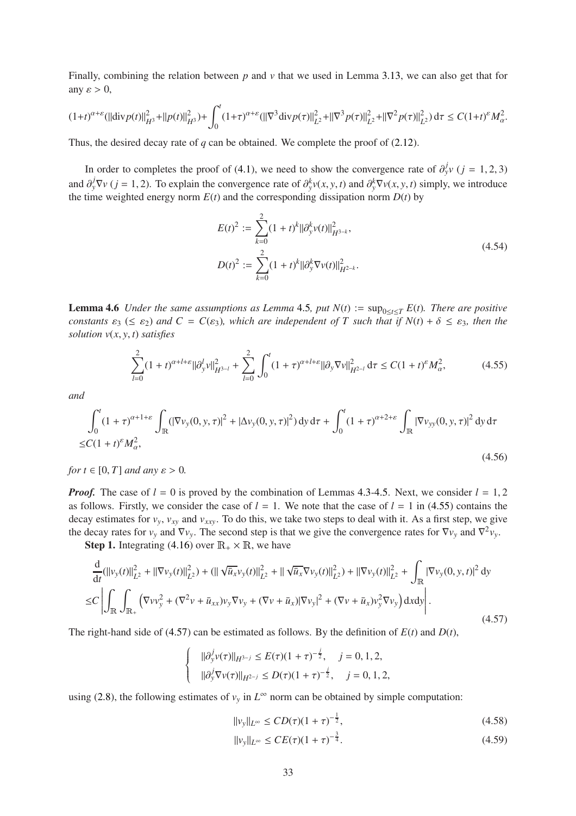Finally, combining the relation between *p* and *v* that we used in Lemma 3.[13,](#page-19-3) we can also get that for any  $\varepsilon > 0$ ,

$$
(1+t)^{\alpha+\varepsilon}(\|\text{div}p(t)\|_{H^3}^2 + \|p(t)\|_{H^3}^2) + \int_0^t (1+\tau)^{\alpha+\varepsilon}(\|\nabla^3\text{div}p(\tau)\|_{L^2}^2 + \|\nabla^3p(\tau)\|_{L^2}^2 + \|\nabla^2p(\tau)\|_{L^2}^2) d\tau \le C(1+t)^{\varepsilon}M_{\alpha}^2.
$$

Thus, the desired decay rate of *q* can be obtained. We complete the proof of [\(2.12\)](#page-6-4).

In order to completes the proof of [\(4.1\)](#page-22-3), we need to show the convergence rate of  $\partial_y^j v$  (*j* = 1, 2, 3) and  $\partial_y^j \nabla v$  ( $j = 1, 2$ ). To explain the convergence rate of  $\partial_y^k v(x, y, t)$  and  $\partial_y^k \nabla v(x, y, t)$  simply, we introduce the time weighted energy norm  $E(t)$  and the corresponding dissipation norm  $D(t)$  by

$$
E(t)^{2} := \sum_{k=0}^{2} (1+t)^{k} ||\partial_{y}^{k} v(t)||_{H^{3-k}}^{2},
$$
  
\n
$$
D(t)^{2} := \sum_{k=0}^{2} (1+t)^{k} ||\partial_{y}^{k} \nabla v(t)||_{H^{2-k}}^{2}.
$$
\n(4.54)

<span id="page-32-4"></span>**Lemma [4](#page-29-6).6** *Under the same assumptions as Lemma* 4.5*, put*  $N(t) := \sup_{0 \le t \le T} E(t)$ *. There are positive constants*  $\varepsilon_3$  ( $\leq \varepsilon_2$ ) *and*  $C = C(\varepsilon_3)$ *, which are independent of* T *such that if*  $N(t) + \delta \leq \varepsilon_3$ *, then the solution v*(*x*, *y*, *t*) *satisfies*

<span id="page-32-0"></span>
$$
\sum_{l=0}^{2} (1+t)^{\alpha+l+\varepsilon} ||\partial_y^l v||_{H^{3-l}}^2 + \sum_{l=0}^{2} \int_0^t (1+\tau)^{\alpha+l+\varepsilon} ||\partial_y \nabla v||_{H^{2-l}}^2 d\tau \le C(1+t)^{\varepsilon} M_\alpha^2,
$$
(4.55)

*and*

<span id="page-32-5"></span>
$$
\int_0^t (1+\tau)^{\alpha+1+\varepsilon} \int_{\mathbb{R}} (|\nabla v_y(0, y, \tau)|^2 + |\Delta v_y(0, y, \tau)|^2) \, dy \, d\tau + \int_0^t (1+\tau)^{\alpha+2+\varepsilon} \int_{\mathbb{R}} |\nabla v_{yy}(0, y, \tau)|^2 \, dy \, d\tau
$$
  
\n
$$
\leq C(1+t)^{\varepsilon} M_\alpha^2,
$$
\n(4.56)

*for*  $t \in [0, T]$  *and any*  $\varepsilon > 0$ *.* 

*Proof.* The case of  $l = 0$  is proved by the combination of Lemmas 4.[3-](#page-27-0)4.[5.](#page-29-6) Next, we consider  $l = 1, 2$ as follows. Firstly, we consider the case of  $l = 1$ . We note that the case of  $l = 1$  in [\(4.55\)](#page-32-0) contains the decay estimates for  $v_y$ ,  $v_{xy}$  and  $v_{xxy}$ . To do this, we take two steps to deal with it. As a first step, we give the decay rates for  $v_y$  and  $\nabla v_y$ . The second step is that we give the convergence rates for  $\nabla v_y$  and  $\nabla^2 v_y$ .

**Step 1.** Integrating [\(4.16\)](#page-24-1) over  $\mathbb{R}_+ \times \mathbb{R}$ , we have

 $\sqrt{ }$  $\left\{ \right.$  $\overline{\mathcal{L}}$ 

<span id="page-32-1"></span>
$$
\frac{d}{dt}(\|\nu_{y}(t)\|_{L^{2}}^{2} + \|\nabla v_{y}(t)\|_{L^{2}}^{2}) + (\|\sqrt{\bar{u}_{x}}\nu_{y}(t)\|_{L^{2}}^{2} + \|\sqrt{\bar{u}_{x}}\nabla v_{y}(t)\|_{L^{2}}^{2}) + \|\nabla v_{y}(t)\|_{L^{2}}^{2} + \int_{\mathbb{R}} |\nabla v_{y}(0, y, t)|^{2} dy
$$
\n
$$
\leq C \left| \int_{\mathbb{R}} \int_{\mathbb{R}_{+}} \left( \nabla v v_{y}^{2} + (\nabla^{2} v + \bar{u}_{xx})v_{y} \nabla v_{y} + (\nabla v + \bar{u}_{x})|\nabla v_{y}|^{2} + (\nabla v + \bar{u}_{x})v_{y}^{2} \nabla v_{y} \right) dx dy \right|.
$$
\n(4.57)

The right-hand side of [\(4.57\)](#page-32-1) can be estimated as follows. By the definition of  $E(t)$  and  $D(t)$ ,

$$
\|\partial_y^j v(\tau)\|_{H^{3-j}} \le E(\tau)(1+\tau)^{-\frac{j}{2}}, \quad j = 0, 1, 2,
$$
  

$$
\|\partial_y^j \nabla v(\tau)\|_{H^{2-j}} \le D(\tau)(1+\tau)^{-\frac{j}{2}}, \quad j = 0, 1, 2,
$$

using [\(2.8\)](#page-5-9), the following estimates of  $v_y$  in  $L^\infty$  norm can be obtained by simple computation:

<span id="page-32-2"></span>
$$
||v_y||_{L^{\infty}} \le CD(\tau)(1+\tau)^{-\frac{1}{2}},
$$
\n(4.58)

<span id="page-32-3"></span>
$$
||v_y||_{L^{\infty}} \le CE(\tau)(1+\tau)^{-\frac{3}{4}}.
$$
\n(4.59)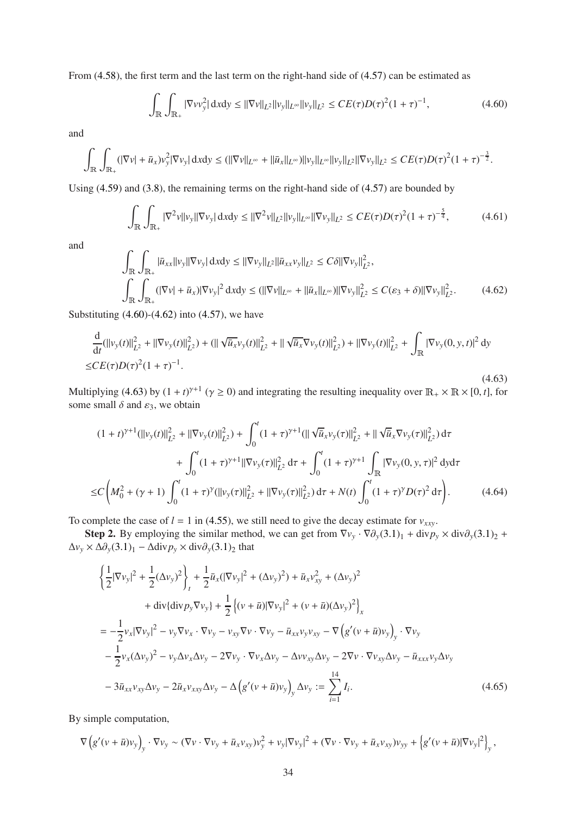From [\(4.58\)](#page-32-2), the first term and the last term on the right-hand side of [\(4.57\)](#page-32-1) can be estimated as

<span id="page-33-0"></span>
$$
\int_{\mathbb{R}} \int_{\mathbb{R}_+} |\nabla v v_y^2| \, \mathrm{d}x \mathrm{d}y \le ||\nabla v||_{L^2} ||v_y||_{L^\infty} ||v_y||_{L^2} \le CE(\tau)D(\tau)^2 (1+\tau)^{-1},\tag{4.60}
$$

and

$$
\int_{\mathbb{R}} \int_{\mathbb{R}_+} (|\nabla v| + \bar{u}_x) v_y^2 |\nabla v_y| \, \mathrm{d}x \mathrm{d}y \le (||\nabla v||_{L^{\infty}} + ||\bar{u}_x||_{L^{\infty}}) ||v_y||_{L^{\infty}} ||v_y||_{L^2} ||\nabla v_y||_{L^2} \le CE(\tau) D(\tau)^2 (1+\tau)^{-\frac{3}{2}}.
$$

Using [\(4.59\)](#page-32-3) and [\(3.8\)](#page-7-8), the remaining terms on the right-hand side of [\(4.57\)](#page-32-1) are bounded by

$$
\int_{\mathbb{R}} \int_{\mathbb{R}_+} |\nabla^2 v| |\nu_y| |\nabla \nu_y| \, \mathrm{d}x \mathrm{d}y \le ||\nabla^2 v||_{L^2} ||\nu_y||_{L^\infty} ||\nabla \nu_y||_{L^2} \le CE(\tau)D(\tau)^2 (1+\tau)^{-\frac{5}{4}},\tag{4.61}
$$

and

<span id="page-33-1"></span>
$$
\int_{\mathbb{R}} \int_{\mathbb{R}_+} |\bar{u}_{xx}||v_y| |\nabla v_y| \, dxdy \le ||\nabla v_y||_{L^2} ||\bar{u}_{xx}v_y||_{L^2} \le C\delta ||\nabla v_y||_{L^2}^2,
$$
\n
$$
\int_{\mathbb{R}} \int_{\mathbb{R}_+} (|\nabla v| + \bar{u}_x)|\nabla v_y|^2 \, dxdy \le (||\nabla v||_{L^\infty} + ||\bar{u}_x||_{L^\infty}) ||\nabla v_y||_{L^2}^2 \le C(\varepsilon_3 + \delta) ||\nabla v_y||_{L^2}^2. \tag{4.62}
$$

Substituting  $(4.60)$ - $(4.62)$  into  $(4.57)$ , we have

<span id="page-33-2"></span>
$$
\frac{d}{dt}(\|v_y(t)\|_{L^2}^2 + \|\nabla v_y(t)\|_{L^2}^2) + (\|\sqrt{\bar{u}_x}v_y(t)\|_{L^2}^2 + \|\sqrt{\bar{u}_x}\nabla v_y(t)\|_{L^2}^2) + \|\nabla v_y(t)\|_{L^2}^2 + \int_{\mathbb{R}} |\nabla v_y(0, y, t)|^2 dy
$$
\n
$$
\leq CE(\tau)D(\tau)^2(1+\tau)^{-1}.
$$
\n(4.63)

Multiplying [\(4.63\)](#page-33-2) by  $(1 + t)^{\gamma+1}$  ( $\gamma \ge 0$ ) and integrating the resulting inequality over  $\mathbb{R}_+ \times \mathbb{R} \times [0, t]$ , for some small  $\delta$  and  $\varepsilon_3$ , we obtain

$$
(1+t)^{\gamma+1}(||v_y(t)||_{L^2}^2 + ||\nabla v_y(t)||_{L^2}^2) + \int_0^t (1+\tau)^{\gamma+1} (||\sqrt{u}_x v_y(\tau)||_{L^2}^2 + ||\sqrt{u}_x \nabla v_y(\tau)||_{L^2}^2) d\tau + \int_0^t (1+\tau)^{\gamma+1} ||\nabla v_y(\tau)||_{L^2}^2 d\tau + \int_0^t (1+\tau)^{\gamma+1} \int_{\mathbb{R}} |\nabla v_y(0, y, \tau)|^2 dy d\tau \leq C \left(M_0^2 + (\gamma+1) \int_0^t (1+\tau)^{\gamma} (||v_y(\tau)||_{L^2}^2 + ||\nabla v_y(\tau)||_{L^2}^2) d\tau + N(t) \int_0^t (1+\tau)^{\gamma} D(\tau)^2 d\tau \right). \tag{4.64}
$$

<span id="page-33-4"></span>To complete the case of  $l = 1$  in [\(4.55\)](#page-32-0), we still need to give the decay estimate for  $v_{xxv}$ .

Step 2. By employing the similar method, we can get from  $\nabla v_y \cdot \nabla \partial_y (3.1)_1 + \text{div} p_y \times \text{div} \partial_y (3.1)_2 +$  $\nabla v_y \cdot \nabla \partial_y (3.1)_1 + \text{div} p_y \times \text{div} \partial_y (3.1)_2 +$  $\nabla v_y \cdot \nabla \partial_y (3.1)_1 + \text{div} p_y \times \text{div} \partial_y (3.1)_2 +$  $\Delta v_y \times \Delta \partial_y (3.1)_1 - \Delta \text{div} p_y \times \text{div} \partial_y (3.1)_2$  $\Delta v_y \times \Delta \partial_y (3.1)_1 - \Delta \text{div} p_y \times \text{div} \partial_y (3.1)_2$  $\Delta v_y \times \Delta \partial_y (3.1)_1 - \Delta \text{div} p_y \times \text{div} \partial_y (3.1)_2$  that

$$
\begin{split}\n&\left\{\frac{1}{2}|\nabla v_{y}|^{2}+\frac{1}{2}(\Delta v_{y})^{2}\right\}_{t}+\frac{1}{2}\bar{u}_{x}(|\nabla v_{y}|^{2}+(\Delta v_{y})^{2})+\bar{u}_{x}v_{xy}^{2}+(\Delta v_{y})^{2} \\
&+{\rm div}\{\text{div}p_{y}\nabla v_{y}\}+\frac{1}{2}\left\{(v+\bar{u})|\nabla v_{y}|^{2}+(v+\bar{u})(\Delta v_{y})^{2}\right\}_{x} \\
&=-\frac{1}{2}v_{x}|\nabla v_{y}|^{2}-v_{y}\nabla v_{x}\cdot\nabla v_{y}-v_{xy}\nabla v\cdot\nabla v_{y}-\bar{u}_{xx}v_{y}v_{xy}-\nabla\left(g'(v+\bar{u})v_{y}\right)_{y}\cdot\nabla v_{y} \\
&- \frac{1}{2}v_{x}(\Delta v_{y})^{2}-v_{y}\Delta v_{x}\Delta v_{y}-2\nabla v_{y}\cdot\nabla v_{x}\Delta v_{y}-2\nabla v\cdot\nabla v_{xy}\Delta v_{y}-\bar{u}_{xxx}v_{y}\Delta v_{y} \\
&- 3\bar{u}_{xx}v_{xy}\Delta v_{y}-2\bar{u}_{x}v_{xxy}\Delta v_{y}-\Delta\left(g'(v+\bar{u})v_{y}\right)_{y}\Delta v_{y} := \sum_{i=1}^{14}I_{i}.\n\end{split}
$$
\n(4.65)

<span id="page-33-3"></span>By simple computation,

$$
\nabla \left( g'(v+\bar{u})v_y \right)_y \cdot \nabla v_y \sim (\nabla v \cdot \nabla v_y + \bar{u}_x v_{xy})v_y^2 + v_y |\nabla v_y|^2 + (\nabla v \cdot \nabla v_y + \bar{u}_x v_{xy})v_{yy} + \left\{ g'(v+\bar{u})|\nabla v_y|^2 \right\}_y,
$$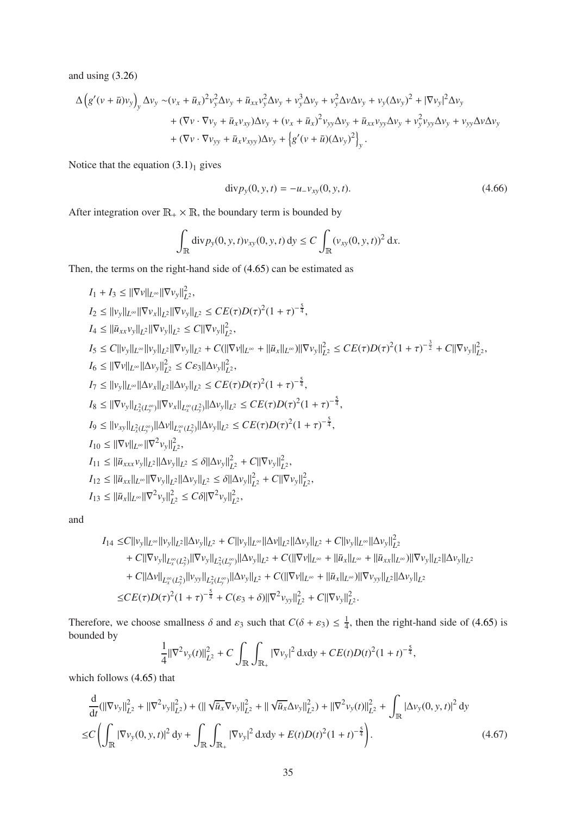and using [\(3.26\)](#page-9-7)

$$
\Delta \left( g'(v + \bar{u})v_y \right)_y \Delta v_y \sim (v_x + \bar{u}_x)^2 v_y^2 \Delta v_y + \bar{u}_{xx} v_y^2 \Delta v_y + v_y^3 \Delta v_y + v_y^2 \Delta v \Delta v_y + v_y (\Delta v_y)^2 + |\nabla v_y|^2 \Delta v_y \n+ (\nabla v \cdot \nabla v_y + \bar{u}_x v_{xy}) \Delta v_y + (v_x + \bar{u}_x)^2 v_{yy} \Delta v_y + \bar{u}_{xx} v_{yy} \Delta v_y + v_y^2 v_{yy} \Delta v_y + v_{yy} \Delta v \Delta v_y \n+ (\nabla v \cdot \nabla v_{yy} + \bar{u}_x v_{xyy}) \Delta v_y + \left( g'(v + \bar{u}) (\Delta v_y)^2 \right)_y.
$$

Notice that the equation  $(3.1)<sub>1</sub>$  $(3.1)<sub>1</sub>$  gives

<span id="page-34-1"></span>
$$
div p_y(0, y, t) = -u_y v_{xy}(0, y, t).
$$
\n(4.66)

After integration over  $\mathbb{R}_+ \times \mathbb{R}$ , the boundary term is bounded by

$$
\int_{\mathbb{R}} \text{div} \, p_y(0, y, t) v_{xy}(0, y, t) \, dy \le C \int_{\mathbb{R}} (v_{xy}(0, y, t))^2 \, dx.
$$

Then, the terms on the right-hand side of [\(4.65\)](#page-33-3) can be estimated as

$$
I_{1} + I_{3} \leq ||\nabla v||_{L^{\infty}}||\nabla v_{y}||_{L^{2}}^{2},
$$
\n
$$
I_{2} \leq ||v_{y}||_{L^{\infty}}||\nabla v_{x}||_{L^{2}}||\nabla v_{y}||_{L^{2}} \leq CE(\tau)D(\tau)^{2}(1+\tau)^{-\frac{5}{4}},
$$
\n
$$
I_{4} \leq ||\bar{u}_{xx}v_{y}||_{L^{2}}||\nabla v_{y}||_{L^{2}} \leq C||\nabla v_{y}||_{L^{2}},
$$
\n
$$
I_{5} \leq C||v_{y}||_{L^{\infty}}||v_{y}||_{L^{2}}||\nabla v_{y}||_{L^{2}} + C(||\nabla v||_{L^{\infty}} + ||\bar{u}_{x}||_{L^{\infty}})||\nabla v_{y}||_{L^{2}}^{2} \leq CE(\tau)D(\tau)^{2}(1+\tau)^{-\frac{3}{2}} + C||\nabla v_{y}||_{L^{2}},
$$
\n
$$
I_{6} \leq ||\nabla v||_{L^{\infty}}||\Delta v_{x}||_{L^{2}}||\Delta v_{y}||_{L^{2}} \leq C\varepsilon_{3}||\Delta v_{y}||_{L^{2}}^{2},
$$
\n
$$
I_{7} \leq ||v_{y}||_{L^{\infty}}||\Delta v_{x}||_{L^{2}}||\Delta v_{y}||_{L^{2}} \leq CE(\tau)D(\tau)^{2}(1+\tau)^{-\frac{5}{4}},
$$
\n
$$
I_{8} \leq ||\nabla v_{y}||_{L^{2}_{x}(L^{\infty}_{y})}||\nabla v_{x}||_{L^{\infty}_{x}(L^{2}_{y})}||\Delta v_{y}||_{L^{2}} \leq CE(\tau)D(\tau)^{2}(1+\tau)^{-\frac{5}{4}},
$$
\n
$$
I_{9} \leq ||v_{xy}||_{L^{2}_{x}(L^{\infty}_{y})}||\Delta v||_{L^{\infty}_{x}(L^{2}_{y})}||\Delta v_{y}||_{L^{2}} \leq CE(\tau)D(\tau)^{2}(1+\tau)^{-\frac{5}{4}},
$$
\n
$$
I_{10} \leq ||\nabla v||_{L^{\infty}}||\nabla
$$

and

$$
I_{14} \leq C ||v_y||_{L^{\infty}} ||v_y||_{L^2} ||\Delta v_y||_{L^2} + C ||v_y||_{L^{\infty}} ||\Delta v||_{L^2} ||\Delta v_y||_{L^2} + C ||v_y||_{L^{\infty}} ||\Delta v_y||_{L^2}^2 + C ||\nabla v_y||_{L^{\infty}_x(L^2_y)} ||\nabla v_y||_{L^2_x(L^{\infty}_y)} ||\Delta v_y||_{L^2} + C(||\nabla v||_{L^{\infty}} + ||\bar{u}_x||_{L^{\infty}} + ||\bar{u}_x||_{L^{\infty}}) ||\nabla v_y||_{L^2} ||\Delta v_y||_{L^2} + C ||\Delta v||_{L^{\infty}_x(L^2_y)} ||v_{yy}||_{L^2_x(L^{\infty}_y)} ||\Delta v_y||_{L^2} + C(||\nabla v||_{L^{\infty}} + ||\bar{u}_x||_{L^{\infty}}) ||\nabla v_{yy}||_{L^2} ||\Delta v_y||_{L^2} \leq CE(\tau)D(\tau)^2(1+\tau)^{-\frac{5}{4}} + C(\varepsilon_3+\delta) ||\nabla^2 v_{yy}||_{L^2}^2 + C ||\nabla v_y||_{L^2}^2.
$$

Therefore, we choose smallness  $\delta$  and  $\varepsilon_3$  such that  $C(\delta + \varepsilon_3) \leq \frac{1}{4}$  $\frac{1}{4}$ , then the right-hand side of [\(4.65\)](#page-33-3) is bounded by

$$
\frac{1}{4} \|\nabla^2 v_y(t)\|_{L^2}^2 + C \int_{\mathbb{R}} \int_{\mathbb{R}_+} |\nabla v_y|^2 \, \mathrm{d}x \mathrm{d}y + CE(t)D(t)^2 (1+t)^{-\frac{5}{4}},
$$

which follows [\(4.65\)](#page-33-3) that

<span id="page-34-0"></span>
$$
\frac{d}{dt}(\|\nabla v_y\|_{L^2}^2 + \|\nabla^2 v_y\|_{L^2}^2) + (\|\sqrt{\bar{u}_x}\nabla v_y\|_{L^2}^2 + \|\sqrt{\bar{u}_x}\Delta v_y\|_{L^2}^2) + \|\nabla^2 v_y(t)\|_{L^2}^2 + \int_{\mathbb{R}} |\Delta v_y(0, y, t)|^2 dy
$$
  
\n
$$
\leq C \left( \int_{\mathbb{R}} |\nabla v_y(0, y, t)|^2 dy + \int_{\mathbb{R}} \int_{\mathbb{R}_+} |\nabla v_y|^2 dy + E(t)D(t)^2 (1 + t)^{-\frac{5}{4}} \right). \tag{4.67}
$$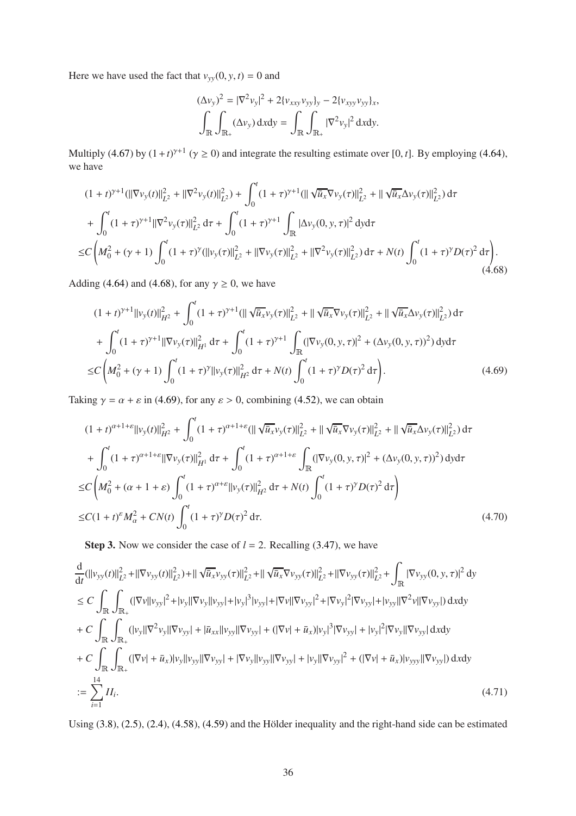Here we have used the fact that  $v_{yy}(0, y, t) = 0$  and

$$
(\Delta v_y)^2 = |\nabla^2 v_y|^2 + 2\{v_{xxy}v_{yy}\}_y - 2\{v_{xyy}v_{yy}\}_x,
$$
  

$$
\int_{\mathbb{R}} \int_{\mathbb{R}_+} (\Delta v_y) \, dx \, dy = \int_{\mathbb{R}} \int_{\mathbb{R}_+} |\nabla^2 v_y|^2 \, dx \, dy.
$$

Multiply [\(4.67\)](#page-34-0) by  $(1 + t)^{\gamma+1}$  ( $\gamma \ge 0$ ) and integrate the resulting estimate over [0, *t*]. By employing [\(4.64\)](#page-33-4), we have

$$
(1+t)^{\gamma+1}(||\nabla v_{y}(t)||^{2}_{L^{2}} + ||\nabla^{2}v_{y}(t)||^{2}_{L^{2}}) + \int_{0}^{t} (1+\tau)^{\gamma+1} (||\sqrt{\bar{u}_{x}}\nabla v_{y}(\tau)||^{2}_{L^{2}} + ||\sqrt{\bar{u}_{x}}\Delta v_{y}(\tau)||^{2}_{L^{2}}) d\tau + \int_{0}^{t} (1+\tau)^{\gamma+1} ||\nabla^{2}v_{y}(\tau)||^{2}_{L^{2}} d\tau + \int_{0}^{t} (1+\tau)^{\gamma+1} \int_{\mathbb{R}} |\Delta v_{y}(0, y, \tau)|^{2} dy d\tau \leq C \left(M_{0}^{2} + (\gamma+1) \int_{0}^{t} (1+\tau)^{\gamma} (||v_{y}(\tau)||^{2}_{L^{2}} + ||\nabla v_{y}(\tau)||^{2}_{L^{2}} + ||\nabla^{2}v_{y}(\tau)||^{2}_{L^{2}}) d\tau + N(t) \int_{0}^{t} (1+\tau)^{\gamma} D(\tau)^{2} d\tau \right).
$$
\n(4.68)

<span id="page-35-0"></span>Adding [\(4.64\)](#page-33-4) and [\(4.68\)](#page-35-0), for any  $\gamma \ge 0$ , we have

$$
(1+t)^{\gamma+1}||v_{y}(t)||_{H^{2}}^{2} + \int_{0}^{t} (1+\tau)^{\gamma+1} (||\sqrt{\bar{u}_{x}}v_{y}(\tau)||_{L^{2}}^{2} + ||\sqrt{\bar{u}_{x}}\nabla v_{y}(\tau)||_{L^{2}}^{2} + ||\sqrt{\bar{u}_{x}}\Delta v_{y}(\tau)||_{L^{2}}^{2}) d\tau + \int_{0}^{t} (1+\tau)^{\gamma+1} ||\nabla v_{y}(\tau)||_{H^{1}}^{2} d\tau + \int_{0}^{t} (1+\tau)^{\gamma+1} \int_{\mathbb{R}} (|\nabla v_{y}(0, y, \tau)|^{2} + (\Delta v_{y}(0, y, \tau))^{2}) dy d\tau \leq C \left(M_{0}^{2} + (\gamma+1) \int_{0}^{t} (1+\tau)^{\gamma} ||v_{y}(\tau)||_{H^{2}}^{2} d\tau + N(t) \int_{0}^{t} (1+\tau)^{\gamma} D(\tau)^{2} d\tau \right).
$$
\n(4.69)

<span id="page-35-1"></span>Taking  $\gamma = \alpha + \varepsilon$  in [\(4.69\)](#page-35-1), for any  $\varepsilon > 0$ , combining [\(4.52\)](#page-31-3), we can obtain

$$
(1+t)^{\alpha+1+\varepsilon}||v_{y}(t)||_{H^{2}}^{2} + \int_{0}^{t} (1+\tau)^{\alpha+1+\varepsilon}(||\sqrt{u_{x}}v_{y}(\tau)||_{L^{2}}^{2} + ||\sqrt{u_{x}}\nabla v_{y}(\tau)||_{L^{2}}^{2} + ||\sqrt{u_{x}}\Delta v_{y}(\tau)||_{L^{2}}^{2}) d\tau + \int_{0}^{t} (1+\tau)^{\alpha+1+\varepsilon}||\nabla v_{y}(\tau)||_{H^{1}}^{2} d\tau + \int_{0}^{t} (1+\tau)^{\alpha+1+\varepsilon} \int_{\mathbb{R}} (|\nabla v_{y}(0,y,\tau)|^{2} + (\Delta v_{y}(0,y,\tau))^{2}) dy d\tau \leq C \left(M_{0}^{2} + (\alpha+1+\varepsilon) \int_{0}^{t} (1+\tau)^{\alpha+\varepsilon}||v_{y}(\tau)||_{H^{2}}^{2} d\tau + N(t) \int_{0}^{t} (1+\tau)^{\gamma} D(\tau)^{2} d\tau \right) \leq C(1+t)^{\varepsilon} M_{\alpha}^{2} + CN(t) \int_{0}^{t} (1+\tau)^{\gamma} D(\tau)^{2} d\tau.
$$
\n(4.70)

<span id="page-35-3"></span>**Step 3.** Now we consider the case of  $l = 2$ . Recalling [\(3.47\)](#page-12-2), we have

$$
\frac{d}{dt}(\|v_{yy}(t)\|_{L^2}^2 + \|\nabla v_{yy}(t)\|_{L^2}^2) + \|\sqrt{\bar{u}_x}v_{yy}(\tau)\|_{L^2}^2 + \|\sqrt{\bar{u}_x}\nabla v_{yy}(\tau)\|_{L^2}^2 + \|\nabla v_{yy}(\tau)\|_{L^2}^2 + \int_{\mathbb{R}} |\nabla v_{yy}(0, y, \tau)|^2 dy
$$
\n
$$
\leq C \int_{\mathbb{R}} \int_{\mathbb{R}_+} (|\nabla v||v_{yy}|^2 + |v_y||\nabla v_y||v_{yy}| + |v_y|^3 |v_{yy}| + |\nabla v||\nabla v_{yy}|^2 + |\nabla v_y|^2 |\nabla v_{yy}| + |v_y|^2 |\nabla v_{yy}| |\nabla v_{yy}|) dxdy
$$
\n
$$
+ C \int_{\mathbb{R}} \int_{\mathbb{R}_+} (|v_y||\nabla^2 v_y||\nabla v_{yy}| + |\bar{u}_{xx}||v_{yy}||\nabla v_{yy}| + (|\nabla v| + \bar{u}_x)|v_y|^3 |\nabla v_{yy}| + |v_y|^2 |\nabla v_y||\nabla v_{yy}| dxdy
$$
\n
$$
+ C \int_{\mathbb{R}} \int_{\mathbb{R}_+} (|\nabla v| + \bar{u}_x)|v_y||v_{yy}||\nabla v_{yy}| + |\nabla v_y||v_{yy}||\nabla v_{yy}| + |v_y||\nabla v_{yy}|^2 + (|\nabla v| + \bar{u}_x)|v_{yy}||\nabla v_{yy}|) dxdy
$$
\n
$$
:= \sum_{i=1}^{14} II_i.
$$
\n(4.71)

<span id="page-35-2"></span>Using  $(3.8)$ ,  $(2.5)$ ,  $(2.4)$ ,  $(4.58)$ ,  $(4.59)$  and the Hölder inequality and the right-hand side can be estimated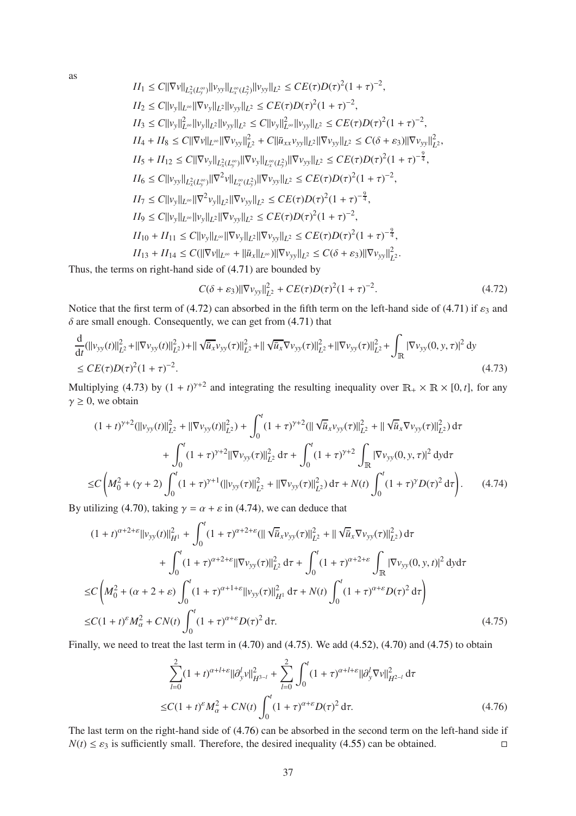as

$$
II_{1} \leq C ||\nabla v||_{L_{x}^{\infty}(L_{y}^{\infty})} ||v_{yy}||_{L_{x}^{\infty}(L_{y}^{2})} ||v_{yy}||_{L^{2}} \leq CE(\tau)D(\tau)^{2}(1+\tau)^{-2},
$$
\n
$$
II_{2} \leq C ||v_{y}||_{L^{\infty}} ||\nabla v_{y}||_{L^{2}} ||v_{yy}||_{L^{2}} \leq CE(\tau)D(\tau)^{2}(1+\tau)^{-2},
$$
\n
$$
II_{3} \leq C ||v_{y}||_{L^{\infty}}^{2} ||v_{y}||_{L^{2}} ||v_{yy}||_{L^{2}} \leq C ||v_{y}||_{L^{\infty}}^{2} ||v_{yy}||_{L^{2}} \leq CE(\tau)D(\tau)^{2}(1+\tau)^{-2},
$$
\n
$$
II_{4} + II_{8} \leq C ||\nabla v||_{L^{\infty}} ||\nabla v_{yy}||_{L^{2}}^{2} + C ||\bar{u}_{xx}v_{yy}||_{L^{2}} ||\nabla v_{yy}||_{L^{2}} \leq C(\delta + \varepsilon_{3}) ||\nabla v_{yy}||_{L^{2}}^{2},
$$
\n
$$
II_{5} + II_{12} \leq C ||\nabla v_{y}||_{L_{x}^{\infty}(L_{y}^{\infty})} ||\nabla v_{y}||_{L_{x}^{\infty}(L_{y}^{2})} ||\nabla v_{yy}||_{L^{2}} \leq CE(\tau)D(\tau)^{2}(1+\tau)^{-\frac{2}{4}},
$$
\n
$$
II_{6} \leq C ||v_{yy}||_{L_{x}^{\infty}(L_{y}^{\infty})} ||\nabla^{2} v||_{L_{x}^{\infty}(L_{y}^{2})} ||\nabla v_{yy}||_{L^{2}} \leq CE(\tau)D(\tau)^{2}(1+\tau)^{-2},
$$
\n
$$
II_{7} \leq C ||v_{y}||_{L^{\infty}} ||\nabla^{2} v_{y}||_{L^{2}} ||\nabla v_{yy}||_{L^{2}} \leq CE(\tau)D(\tau)^{2}(1+\tau)^{-\frac{2}{4}},
$$
\n
$$
II_{9} \leq C ||v_{y}||_{L^{\infty}} ||v_{y}||_{L
$$

Thus, the terms on right-hand side of [\(4.71\)](#page-35-2) are bounded by

<span id="page-36-0"></span>
$$
C(\delta + \varepsilon_3) \|\nabla v_{yy}\|_{L^2}^2 + CE(\tau)D(\tau)^2 (1+\tau)^{-2}.
$$
 (4.72)

Notice that the first term of [\(4.72\)](#page-36-0) can absorbed in the fifth term on the left-hand side of [\(4.71\)](#page-35-2) if  $\varepsilon_3$  and  $\delta$  are small enough. Consequently, we can get from [\(4.71\)](#page-35-2) that

$$
\frac{d}{dt}(\|\nu_{yy}(t)\|_{L^2}^2 + \|\nabla \nu_{yy}(t)\|_{L^2}^2) + \|\sqrt{\bar{u}_x}\nu_{yy}(\tau)\|_{L^2}^2 + \|\sqrt{\bar{u}_x}\nabla \nu_{yy}(\tau)\|_{L^2}^2 + \|\nabla \nu_{yy}(\tau)\|_{L^2}^2 + \int_{\mathbb{R}} |\nabla \nu_{yy}(0, y, \tau)|^2 dy
$$
\n
$$
\le CE(\tau)D(\tau)^2(1+\tau)^{-2}.\tag{4.73}
$$

<span id="page-36-1"></span>Multiplying [\(4.73\)](#page-36-1) by  $(1 + t)^{\gamma+2}$  and integrating the resulting inequality over  $\mathbb{R}_+ \times \mathbb{R} \times [0, t]$ , for any  $\gamma \geq 0$ , we obtain

$$
(1+t)^{\gamma+2}(||v_{yy}(t)||_{L^{2}}^{2} + ||\nabla v_{yy}(t)||_{L^{2}}^{2}) + \int_{0}^{t} (1+\tau)^{\gamma+2} (||\sqrt{u}_{x}v_{yy}(\tau)||_{L^{2}}^{2} + ||\sqrt{u}_{x}\nabla v_{yy}(\tau)||_{L^{2}}^{2}) d\tau + \int_{0}^{t} (1+\tau)^{\gamma+2} ||\nabla v_{yy}(\tau)||_{L^{2}}^{2} d\tau + \int_{0}^{t} (1+\tau)^{\gamma+2} \int_{\mathbb{R}} |\nabla v_{yy}(0, y, \tau)|^{2} dy d\tau \leq C \left(M_{0}^{2} + (\gamma+2) \int_{0}^{t} (1+\tau)^{\gamma+1} (||v_{yy}(\tau)||_{L^{2}}^{2} + ||\nabla v_{yy}(\tau)||_{L^{2}}^{2}) d\tau + N(t) \int_{0}^{t} (1+\tau)^{\gamma} D(\tau)^{2} d\tau \right).
$$
\n(4.74)

<span id="page-36-2"></span>By utilizing [\(4.70\)](#page-35-3), taking  $\gamma = \alpha + \varepsilon$  in [\(4.74\)](#page-36-2), we can deduce that

$$
(1+t)^{\alpha+2+\epsilon}||v_{yy}(t)||_{H^{1}}^{2} + \int_{0}^{t} (1+\tau)^{\alpha+2+\epsilon} (||\sqrt{u}_{x}v_{yy}(\tau)||_{L^{2}}^{2} + ||\sqrt{u}_{x}\nabla v_{yy}(\tau)||_{L^{2}}^{2}) d\tau + \int_{0}^{t} (1+\tau)^{\alpha+2+\epsilon} ||\nabla v_{yy}(\tau)||_{L^{2}}^{2} d\tau + \int_{0}^{t} (1+\tau)^{\alpha+2+\epsilon} \int_{\mathbb{R}} |\nabla v_{yy}(0, y, t)|^{2} d\tau d\tau \n\leq C \left(M_{0}^{2} + (\alpha+2+\epsilon) \int_{0}^{t} (1+\tau)^{\alpha+1+\epsilon} ||v_{yy}(\tau)||_{H^{1}}^{2} d\tau + N(t) \int_{0}^{t} (1+\tau)^{\alpha+\epsilon} D(\tau)^{2} d\tau \right) \n\leq C (1+t)^{\epsilon} M_{\alpha}^{2} + CN(t) \int_{0}^{t} (1+\tau)^{\alpha+\epsilon} D(\tau)^{2} d\tau.
$$
\n(4.75)

<span id="page-36-3"></span>Finally, we need to treat the last term in [\(4.70\)](#page-35-3) and [\(4.75\)](#page-36-3). We add [\(4.52\)](#page-31-3), (4.70) and [\(4.75\)](#page-36-3) to obtain

<span id="page-36-4"></span>
$$
\sum_{l=0}^{2} (1+t)^{\alpha+l+\varepsilon} ||\partial_{y}^{l} v||_{H^{3-l}}^{2} + \sum_{l=0}^{2} \int_{0}^{t} (1+\tau)^{\alpha+l+\varepsilon} ||\partial_{y}^{l} \nabla v||_{H^{2-l}}^{2} d\tau
$$
  

$$
\leq C(1+t)^{\varepsilon} M_{\alpha}^{2} + CN(t) \int_{0}^{t} (1+\tau)^{\alpha+\varepsilon} D(\tau)^{2} d\tau.
$$
 (4.76)

<span id="page-36-5"></span>The last term on the right-hand side of [\(4.76\)](#page-36-4) can be absorbed in the second term on the left-hand side if  $N(t) \leq \varepsilon_3$  is sufficiently small. Therefore, the desired inequality [\(4.55\)](#page-32-0) can be obtained.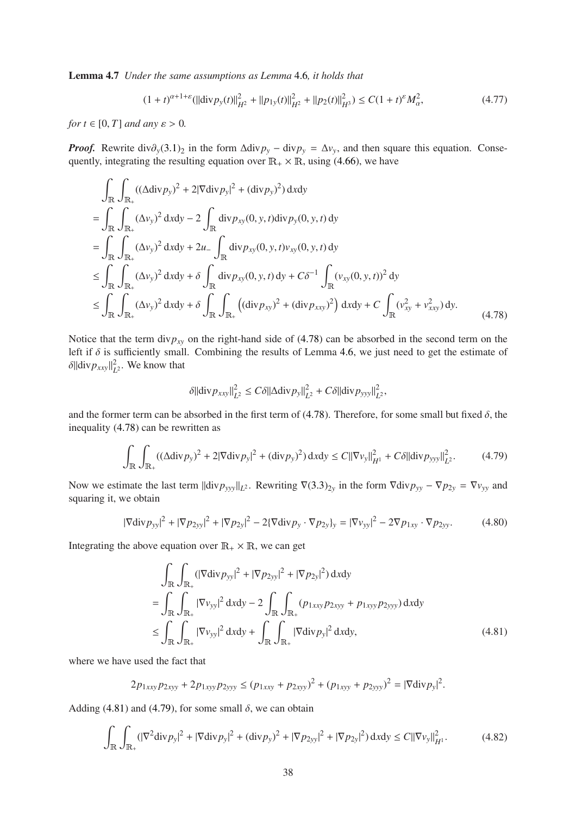Lemma 4.7 *Under the same assumptions as Lemma* [4](#page-32-4).6*, it holds that*

$$
(1+t)^{\alpha+1+\varepsilon}(||\text{div} \, p_y(t)||_{H^2}^2 + ||p_{1y}(t)||_{H^2}^2 + ||p_2(t)||_{H^3}^2) \le C(1+t)^{\varepsilon} M_{\alpha}^2,\tag{4.77}
$$

*for*  $t \in [0, T]$  *and any*  $\varepsilon > 0$ *.* 

*Proof.* Rewrite  $div \partial_y (3.1)_2$  $div \partial_y (3.1)_2$  $div \partial_y (3.1)_2$  in the form  $\Delta div p_y - div p_y = \Delta v_y$ , and then square this equation. Consequently, integrating the resulting equation over  $\mathbb{R}_+ \times \mathbb{R}$ , using [\(4.66\)](#page-34-1), we have

$$
\int_{\mathbb{R}} \int_{\mathbb{R}_{+}} ((\Delta \text{div} p_{y})^{2} + 2|\nabla \text{div} p_{y}|^{2} + (\text{div} p_{y})^{2}) \, dxdy \n= \int_{\mathbb{R}} \int_{\mathbb{R}_{+}} (\Delta v_{y})^{2} \, dxdy - 2 \int_{\mathbb{R}} \text{div} p_{xy}(0, y, t) \, div p_{y}(0, y, t) \, dy \n= \int_{\mathbb{R}} \int_{\mathbb{R}_{+}} (\Delta v_{y})^{2} \, dxdy + 2u_{-} \int_{\mathbb{R}} \text{div} p_{xy}(0, y, t) v_{xy}(0, y, t) \, dy \n\leq \int_{\mathbb{R}} \int_{\mathbb{R}_{+}} (\Delta v_{y})^{2} \, dxdy + \delta \int_{\mathbb{R}} \text{div} p_{xy}(0, y, t) \, dy + C\delta^{-1} \int_{\mathbb{R}} (v_{xy}(0, y, t))^{2} \, dy \n\leq \int_{\mathbb{R}} \int_{\mathbb{R}_{+}} (\Delta v_{y})^{2} \, dxdy + \delta \int_{\mathbb{R}} \int_{\mathbb{R}_{+}} ((\text{div} p_{xy})^{2} + (\text{div} p_{xxy})^{2}) \, dxdy + C \int_{\mathbb{R}} (v_{xy}^{2} + v_{xxy}^{2}) \, dy.
$$
\n(4.78)

<span id="page-37-0"></span>Notice that the term div $p_{xy}$  on the right-hand side of [\(4.78\)](#page-37-0) can be absorbed in the second term on the left if  $\delta$  is sufficiently small. Combining the results of Lemma 4.[6,](#page-32-4) we just need to get the estimate of  $\delta$ ||div $p_{xxy}$ || $^2_L$  $L^2$ . We know that

$$
\delta \|\text{div} \, p_{\text{xxy}}\|_{L^2}^2 \leq C\delta \|\Delta \text{div} \, p_{\text{y}}\|_{L^2}^2 + C\delta \|\text{div} \, p_{\text{yyy}}\|_{L^2}^2,
$$

and the former term can be absorbed in the first term of [\(4.78\)](#page-37-0). Therefore, for some small but fixed  $\delta$ , the inequality [\(4.78\)](#page-37-0) can be rewritten as

<span id="page-37-2"></span>
$$
\int_{\mathbb{R}} \int_{\mathbb{R}_+} ((\Delta \text{div} \, p_y)^2 + 2|\nabla \text{div} \, p_y|^2 + (\text{div} \, p_y)^2) \, dxdy \le C ||\nabla v_y||_{H^1}^2 + C\delta ||\text{div} \, p_{yyy}||_{L^2}^2. \tag{4.79}
$$

Now we estimate the last term  $\|\text{div}p_{yyy}\|_{L^2}$ . Rewriting  $\nabla(3.3)_{2y}$  $\nabla(3.3)_{2y}$  $\nabla(3.3)_{2y}$  in the form  $\nabla \text{div}p_{yy} - \nabla p_{2y} = \nabla v_{yy}$  and squaring it, we obtain

$$
|\nabla \text{div} \, p_{yy}|^2 + |\nabla p_{2yy}|^2 + |\nabla p_{2y}|^2 - 2\{\nabla \text{div} \, p_y \cdot \nabla p_{2y}\}_y = |\nabla v_{yy}|^2 - 2\nabla p_{1xy} \cdot \nabla p_{2yy}.\tag{4.80}
$$

Integrating the above equation over  $\mathbb{R}_+ \times \mathbb{R}$ , we can get

$$
\int_{\mathbb{R}} \int_{\mathbb{R}_{+}} (|\nabla \text{div} p_{yy}|^{2} + |\nabla p_{2yy}|^{2} + |\nabla p_{2y}|^{2}) \, dxdy
$$
\n
$$
= \int_{\mathbb{R}} \int_{\mathbb{R}_{+}} |\nabla v_{yy}|^{2} \, dxdy - 2 \int_{\mathbb{R}} \int_{\mathbb{R}_{+}} (p_{1xxy} p_{2xyy} + p_{1xyy} p_{2yyy}) \, dxdy
$$
\n
$$
\leq \int_{\mathbb{R}} \int_{\mathbb{R}_{+}} |\nabla v_{yy}|^{2} \, dxdy + \int_{\mathbb{R}} \int_{\mathbb{R}_{+}} |\nabla \text{div} p_{y}|^{2} \, dxdy, \tag{4.81}
$$

where we have used the fact that

<span id="page-37-1"></span>
$$
2p_{1xxy}p_{2xyy} + 2p_{1xyy}p_{2yyy} \le (p_{1xxy} + p_{2xyy})^2 + (p_{1xyy} + p_{2yyy})^2 = |\nabla \text{div } p_y|^2.
$$

Adding [\(4.81\)](#page-37-1) and [\(4.79\)](#page-37-2), for some small  $\delta$ , we can obtain

<span id="page-37-3"></span>
$$
\int_{\mathbb{R}} \int_{\mathbb{R}_+} (|\nabla^2 \text{div} \, p_y|^2 + |\nabla \text{div} \, p_y|^2 + (\text{div} \, p_y)^2 + |\nabla p_{2yy}|^2 + |\nabla p_{2y}|^2) \, \mathrm{d}x \mathrm{d}y \le C ||\nabla v_y||_{H^1}^2. \tag{4.82}
$$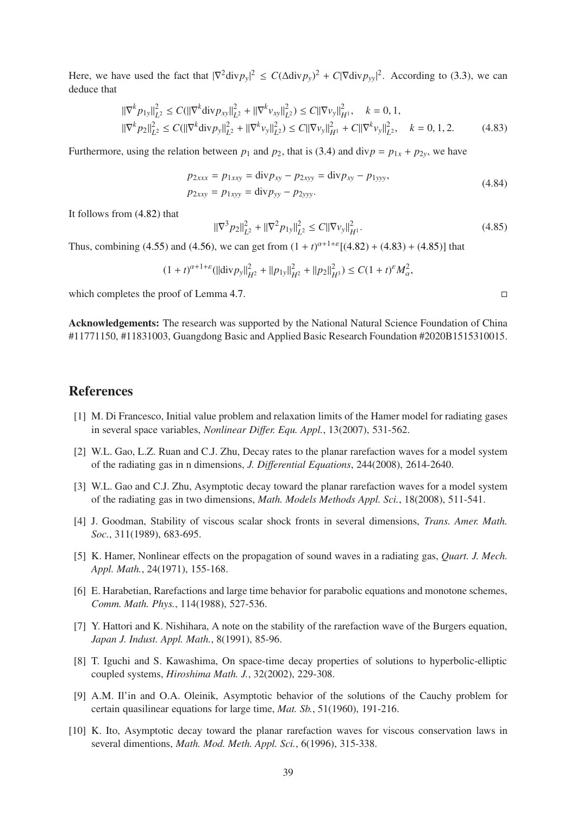Here, we have used the fact that  $|\nabla^2 \text{div} p_y|^2 \le C(\Delta \text{div} p_y)^2 + C|\nabla \text{div} p_{yy}|^2$ . According to [\(3.3\)](#page-6-3), we can deduce that

<span id="page-38-10"></span>
$$
\begin{aligned}\n||\nabla^{k} p_{1y}||_{L^{2}}^{2} &\leq C(||\nabla^{k} \text{div} p_{xy}||_{L^{2}}^{2} + ||\nabla^{k} v_{xy}||_{L^{2}}^{2}) \leq C||\nabla v_{y}||_{H^{1}}^{2}, \quad k = 0, 1, \\
||\nabla^{k} p_{2}||_{L^{2}}^{2} &\leq C(||\nabla^{k} \text{div} p_{y}||_{L^{2}}^{2} + ||\nabla^{k} v_{y}||_{L^{2}}^{2}) \leq C||\nabla v_{y}||_{H^{1}}^{2} + C||\nabla^{k} v_{y}||_{L^{2}}^{2}, \quad k = 0, 1, 2.\n\end{aligned} \tag{4.83}
$$

Furthermore, using the relation between  $p_1$  and  $p_2$ , that is [\(3.4\)](#page-7-1) and div $p = p_{1x} + p_{2y}$ , we have

$$
p_{2xxx} = p_{1xxy} = \text{div} p_{xy} - p_{2xyy} = \text{div} p_{xy} - p_{1yyy},
$$
  
\n
$$
p_{2xxy} = p_{1xyy} = \text{div} p_{yy} - p_{2yyy}.
$$
\n(4.84)

It follows from [\(4.82\)](#page-37-3) that

<span id="page-38-11"></span>
$$
\|\nabla^3 p_2\|_{L^2}^2 + \|\nabla^2 p_{1y}\|_{L^2}^2 \le C\|\nabla v_y\|_{H^1}^2. \tag{4.85}
$$

Thus, combining [\(4.55\)](#page-32-0) and [\(4.56\)](#page-32-5), we can get from  $(1 + t)^{\alpha+1+\epsilon}[(4.82) + (4.83) + (4.85)]$  $(1 + t)^{\alpha+1+\epsilon}[(4.82) + (4.83) + (4.85)]$  $(1 + t)^{\alpha+1+\epsilon}[(4.82) + (4.83) + (4.85)]$  $(1 + t)^{\alpha+1+\epsilon}[(4.82) + (4.83) + (4.85)]$  $(1 + t)^{\alpha+1+\epsilon}[(4.82) + (4.83) + (4.85)]$  $(1 + t)^{\alpha+1+\epsilon}[(4.82) + (4.83) + (4.85)]$  $(1 + t)^{\alpha+1+\epsilon}[(4.82) + (4.83) + (4.85)]$  that

$$
(1+t)^{\alpha+1+\varepsilon}(\|\text{div} \text{p}_y\|_{H^2}^2+\|\text{p}_{1y}\|_{H^2}^2+\| \text{p}_2\|_{H^3}^2)\leq C(1+t)^{\varepsilon}M_{\alpha}^2,
$$

which completes the proof of Lemma 4.[7.](#page-36-5)

Acknowledgements: The research was supported by the National Natural Science Foundation of China #11771150, #11831003, Guangdong Basic and Applied Basic Research Foundation #2020B1515310015.

### <span id="page-38-1"></span><span id="page-38-0"></span>References

- [1] M. Di Francesco, Initial value problem and relaxation limits of the Hamer model for radiating gases in several space variables, *Nonlinear Di*ff*er. Equ. Appl.*, 13(2007), 531-562.
- <span id="page-38-9"></span>[2] W.L. Gao, L.Z. Ruan and C.J. Zhu, Decay rates to the planar rarefaction waves for a model system of the radiating gas in n dimensions, *J. Di*ff*erential Equations*, 244(2008), 2614-2640.
- <span id="page-38-2"></span>[3] W.L. Gao and C.J. Zhu, Asymptotic decay toward the planar rarefaction waves for a model system of the radiating gas in two dimensions, *Math. Models Methods Appl. Sci.*, 18(2008), 511-541.
- [4] J. Goodman, Stability of viscous scalar shock fronts in several dimensions, *Trans. Amer. Math. Soc.*, 311(1989), 683-695.
- <span id="page-38-3"></span>[5] K. Hamer, Nonlinear effects on the propagation of sound waves in a radiating gas, *Quart. J. Mech. Appl. Math.*, 24(1971), 155-168.
- <span id="page-38-5"></span>[6] E. Harabetian, Rarefactions and large time behavior for parabolic equations and monotone schemes, *Comm. Math. Phys.*, 114(1988), 527-536.
- <span id="page-38-6"></span>[7] Y. Hattori and K. Nishihara, A note on the stability of the rarefaction wave of the Burgers equation, *Japan J. Indust. Appl. Math.*, 8(1991), 85-96.
- <span id="page-38-8"></span>[8] T. Iguchi and S. Kawashima, On space-time decay properties of solutions to hyperbolic-elliptic coupled systems, *Hiroshima Math. J.*, 32(2002), 229-308.
- <span id="page-38-4"></span>[9] A.M. Il'in and O.A. Oleinik, Asymptotic behavior of the solutions of the Cauchy problem for certain quasilinear equations for large time, *Mat. Sb.*, 51(1960), 191-216.
- <span id="page-38-7"></span>[10] K. Ito, Asymptotic decay toward the planar rarefaction waves for viscous conservation laws in several dimentions, *Math. Mod. Meth. Appl. Sci.*, 6(1996), 315-338.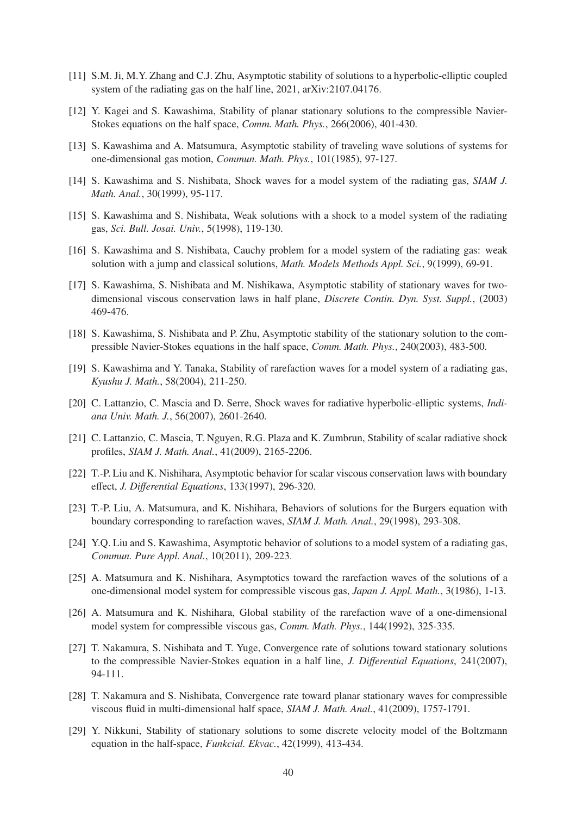- <span id="page-39-16"></span><span id="page-39-13"></span>[11] S.M. Ji, M.Y. Zhang and C.J. Zhu, Asymptotic stability of solutions to a hyperbolic-elliptic coupled system of the radiating gas on the half line, 2021, arXiv:2107.04176.
- <span id="page-39-1"></span>[12] Y. Kagei and S. Kawashima, Stability of planar stationary solutions to the compressible Navier-Stokes equations on the half space, *Comm. Math. Phys.*, 266(2006), 401-430.
- <span id="page-39-4"></span>[13] S. Kawashima and A. Matsumura, Asymptotic stability of traveling wave solutions of systems for one-dimensional gas motion, *Commun. Math. Phys.*, 101(1985), 97-127.
- <span id="page-39-5"></span>[14] S. Kawashima and S. Nishibata, Shock waves for a model system of the radiating gas, *SIAM J. Math. Anal.*, 30(1999), 95-117.
- <span id="page-39-6"></span>[15] S. Kawashima and S. Nishibata, Weak solutions with a shock to a model system of the radiating gas, *Sci. Bull. Josai. Univ.*, 5(1998), 119-130.
- <span id="page-39-12"></span>[16] S. Kawashima and S. Nishibata, Cauchy problem for a model system of the radiating gas: weak solution with a jump and classical solutions, *Math. Models Methods Appl. Sci.*, 9(1999), 69-91.
- [17] S. Kawashima, S. Nishibata and M. Nishikawa, Asymptotic stability of stationary waves for twodimensional viscous conservation laws in half plane, *Discrete Contin. Dyn. Syst. Suppl.*, (2003) 469-476.
- <span id="page-39-14"></span>[18] S. Kawashima, S. Nishibata and P. Zhu, Asymptotic stability of the stationary solution to the compressible Navier-Stokes equations in the half space, *Comm. Math. Phys.*, 240(2003), 483-500.
- <span id="page-39-9"></span>[19] S. Kawashima and Y. Tanaka, Stability of rarefaction waves for a model system of a radiating gas, *Kyushu J. Math.*, 58(2004), 211-250.
- <span id="page-39-8"></span><span id="page-39-7"></span>[20] C. Lattanzio, C. Mascia and D. Serre, Shock waves for radiative hyperbolic-elliptic systems, *Indiana Univ. Math. J.*, 56(2007), 2601-2640.
- [21] C. Lattanzio, C. Mascia, T. Nguyen, R.G. Plaza and K. Zumbrun, Stability of scalar radiative shock profiles, *SIAM J. Math. Anal.*, 41(2009), 2165-2206.
- <span id="page-39-11"></span><span id="page-39-10"></span>[22] T.-P. Liu and K. Nishihara, Asymptotic behavior for scalar viscous conservation laws with boundary effect, *J. Di*ff*erential Equations*, 133(1997), 296-320.
- <span id="page-39-0"></span>[23] T.-P. Liu, A. Matsumura, and K. Nishihara, Behaviors of solutions for the Burgers equation with boundary corresponding to rarefaction waves, *SIAM J. Math. Anal.*, 29(1998), 293-308.
- <span id="page-39-2"></span>[24] Y.Q. Liu and S. Kawashima, Asymptotic behavior of solutions to a model system of a radiating gas, *Commun. Pure Appl. Anal.*, 10(2011), 209-223.
- [25] A. Matsumura and K. Nishihara, Asymptotics toward the rarefaction waves of the solutions of a one-dimensional model system for compressible viscous gas, *Japan J. Appl. Math.*, 3(1986), 1-13.
- <span id="page-39-3"></span>[26] A. Matsumura and K. Nishihara, Global stability of the rarefaction wave of a one-dimensional model system for compressible viscous gas, *Comm. Math. Phys.*, 144(1992), 325-335.
- <span id="page-39-15"></span>[27] T. Nakamura, S. Nishibata and T. Yuge, Convergence rate of solutions toward stationary solutions to the compressible Navier-Stokes equation in a half line, *J. Di*ff*erential Equations*, 241(2007), 94-111.
- <span id="page-39-17"></span>[28] T. Nakamura and S. Nishibata, Convergence rate toward planar stationary waves for compressible viscous fluid in multi-dimensional half space, *SIAM J. Math. Anal.*, 41(2009), 1757-1791.
- <span id="page-39-18"></span>[29] Y. Nikkuni, Stability of stationary solutions to some discrete velocity model of the Boltzmann equation in the half-space, *Funkcial. Ekvac.*, 42(1999), 413-434.